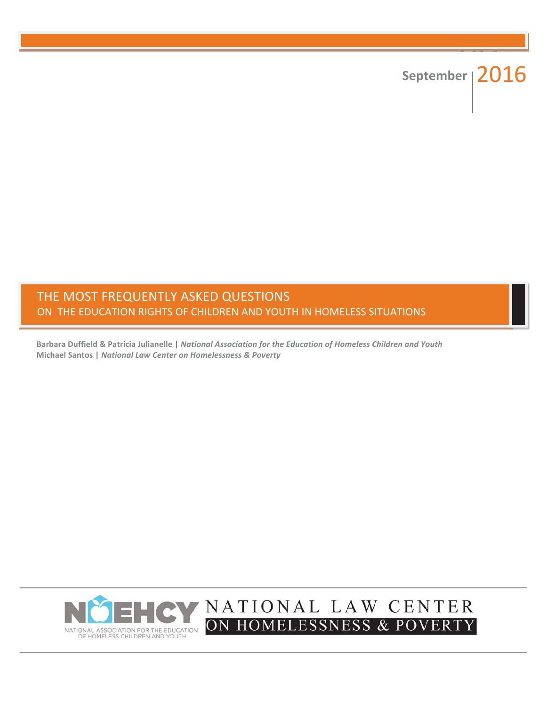# September | 2016

# THE MOST FREQUENTLY ASKED QUESTIONS ON THE EDUCATION RIGHTS OF CHILDREN AND YOUTH IN HOMELESS SITUATIONS

Barbara Duffield & Patricia Julianelle | National Association for the Education of Homeless Children and Youth Michael Santos | National Law Center on Homelessness & Poverty

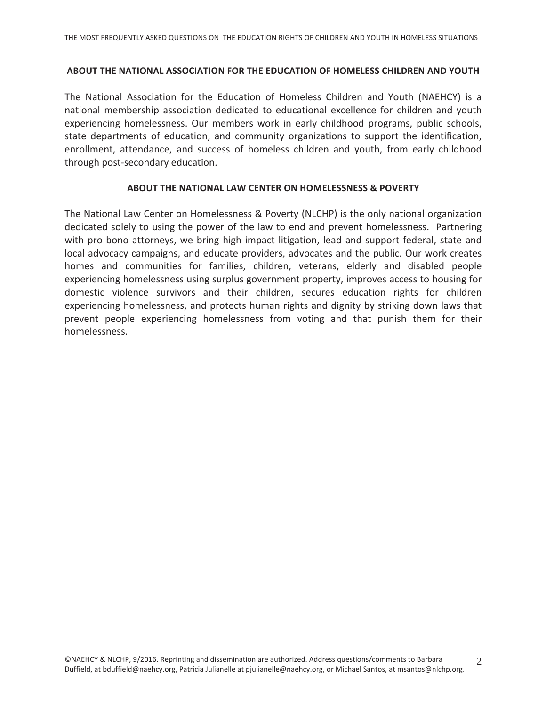#### ABOUT THE NATIONAL ASSOCIATION FOR THE EDUCATION OF HOMELESS CHILDREN AND YOUTH

The National Association for the Education of Homeless Children and Youth (NAEHCY) is a national membership association dedicated to educational excellence for children and youth experiencing homelessness. Our members work in early childhood programs, public schools, state departments of education, and community organizations to support the identification, enrollment, attendance, and success of homeless children and youth, from early childhood through post-secondary education.

#### **ABOUT THE NATIONAL LAW CENTER ON HOMELESSNESS & POVERTY**

The National Law Center on Homelessness & Poverty (NLCHP) is the only national organization dedicated solely to using the power of the law to end and prevent homelessness. Partnering with pro bono attorneys, we bring high impact litigation, lead and support federal, state and local advocacy campaigns, and educate providers, advocates and the public. Our work creates homes and communities for families, children, veterans, elderly and disabled people experiencing homelessness using surplus government property, improves access to housing for domestic violence survivors and their children, secures education rights for children experiencing homelessness, and protects human rights and dignity by striking down laws that prevent people experiencing homelessness from voting and that punish them for their homelessness.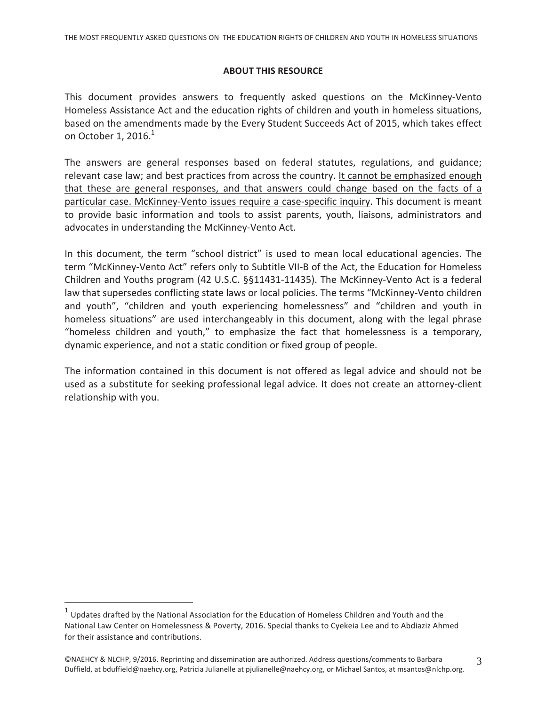#### **ABOUT THIS RESOURCE**

This document provides answers to frequently asked questions on the McKinney-Vento Homeless Assistance Act and the education rights of children and youth in homeless situations, based on the amendments made by the Every Student Succeeds Act of 2015, which takes effect on October 1, 2016. $1$ 

The answers are general responses based on federal statutes, regulations, and guidance; relevant case law; and best practices from across the country. It cannot be emphasized enough that these are general responses, and that answers could change based on the facts of a particular case. McKinney-Vento issues require a case-specific inquiry. This document is meant to provide basic information and tools to assist parents, youth, liaisons, administrators and advocates in understanding the McKinney-Vento Act.

In this document, the term "school district" is used to mean local educational agencies. The term "McKinney-Vento Act" refers only to Subtitle VII-B of the Act, the Education for Homeless Children and Youths program (42 U.S.C. §§11431-11435). The McKinney-Vento Act is a federal law that supersedes conflicting state laws or local policies. The terms "McKinney-Vento children" and youth", "children and youth experiencing homelessness" and "children and youth in homeless situations" are used interchangeably in this document, along with the legal phrase "homeless children and youth," to emphasize the fact that homelessness is a temporary, dynamic experience, and not a static condition or fixed group of people.

The information contained in this document is not offered as legal advice and should not be used as a substitute for seeking professional legal advice. It does not create an attorney-client relationship with you.

Updates drafted by the National Association for the Education of Homeless Children and Youth and the National Law Center on Homelessness & Poverty, 2016. Special thanks to Cyekeia Lee and to Abdiaziz Ahmed for their assistance and contributions.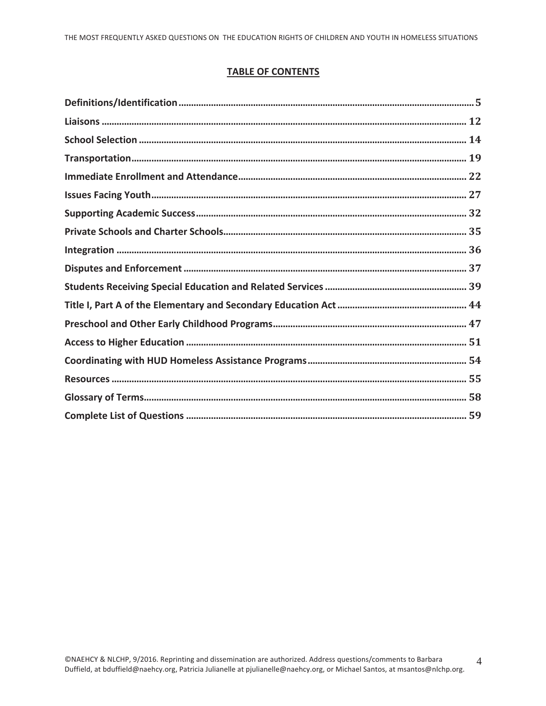#### **TABLE OF CONTENTS**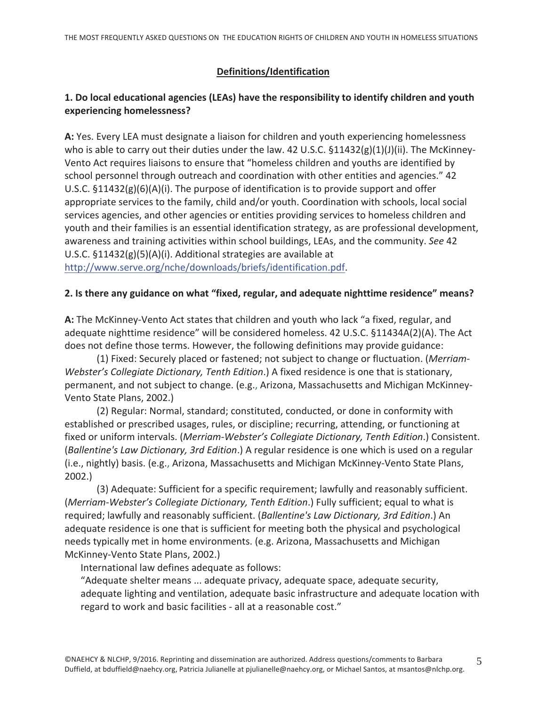# Definitions/Identification

# 1. Do local educational agencies (LEAs) have the responsibility to identify children and youth experiencing homelessness?

A: Yes. Every LEA must designate a liaison for children and youth experiencing homelessness who is able to carry out their duties under the law. 42 U.S.C.  $$11432(g)(1)(J)(ii)$ . The McKinney-Vento Act requires liaisons to ensure that "homeless children and youths are identified by school personnel through outreach and coordination with other entities and agencies." 42 U.S.C.  $\S 11432(g)(6)(A)(i)$ . The purpose of identification is to provide support and offer appropriate services to the family, child and/or youth. Coordination with schools, local social services agencies, and other agencies or entities providing services to homeless children and youth and their families is an essential identification strategy, as are professional development, awareness and training activities within school buildings, LEAs, and the community. See 42 U.S.C.  $$11432(g)(5)(A)(i)$ . Additional strategies are available at http://www.serve.org/nche/downloads/briefs/identification.pdf.

#### 2. Is there any guidance on what "fixed, regular, and adequate nighttime residence" means?

A: The McKinney-Vento Act states that children and youth who lack "a fixed, regular, and adequate nighttime residence" will be considered homeless. 42 U.S.C. §11434A(2)(A). The Act does not define those terms. However, the following definitions may provide guidance:

(1) Fixed: Securely placed or fastened; not subject to change or fluctuation. (Merriam-Webster's Collegiate Dictionary, Tenth Edition.) A fixed residence is one that is stationary, permanent, and not subject to change. (e.g., Arizona, Massachusetts and Michigan McKinney-Vento State Plans, 2002.)

(2) Regular: Normal, standard; constituted, conducted, or done in conformity with established or prescribed usages, rules, or discipline; recurring, attending, or functioning at fixed or uniform intervals. (Merriam-Webster's Collegiate Dictionary, Tenth Edition.) Consistent. (Ballentine's Law Dictionary, 3rd Edition.) A regular residence is one which is used on a regular (i.e., nightly) basis. (e.g., Arizona, Massachusetts and Michigan McKinney-Vento State Plans,  $2002.$ 

(3) Adequate: Sufficient for a specific requirement; lawfully and reasonably sufficient. (Merriam-Webster's Collegiate Dictionary, Tenth Edition.) Fully sufficient; equal to what is required; lawfully and reasonably sufficient. (Ballentine's Law Dictionary, 3rd Edition.) An adequate residence is one that is sufficient for meeting both the physical and psychological needs typically met in home environments. (e.g. Arizona, Massachusetts and Michigan McKinney-Vento State Plans, 2002.)

International law defines adequate as follows:

"Adequate shelter means ... adequate privacy, adequate space, adequate security, adequate lighting and ventilation, adequate basic infrastructure and adequate location with regard to work and basic facilities - all at a reasonable cost."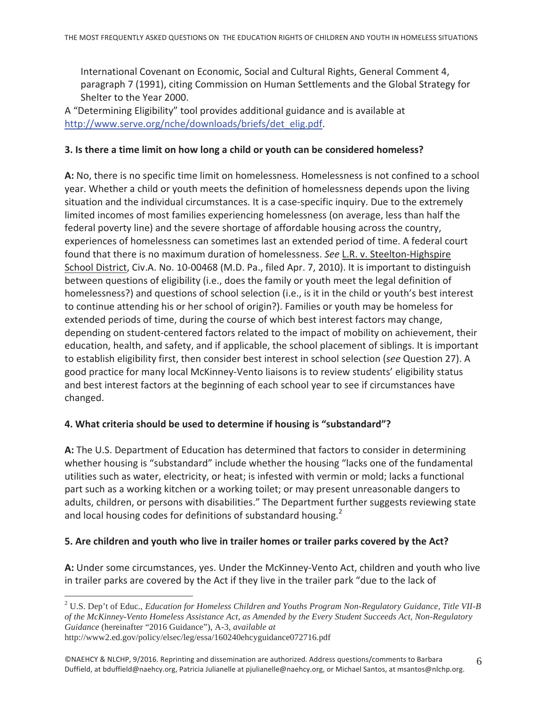International Covenant on Economic, Social and Cultural Rights, General Comment 4, paragraph 7 (1991), citing Commission on Human Settlements and the Global Strategy for Shelter to the Year 2000.

A "Determining Eligibility" tool provides additional guidance and is available at http://www.serve.org/nche/downloads/briefs/det\_elig.pdf.

#### 3. Is there a time limit on how long a child or youth can be considered homeless?

A: No, there is no specific time limit on homelessness. Homelessness is not confined to a school year. Whether a child or youth meets the definition of homelessness depends upon the living situation and the individual circumstances. It is a case-specific inquiry. Due to the extremely limited incomes of most families experiencing homelessness (on average, less than half the federal poverty line) and the severe shortage of affordable housing across the country, experiences of homelessness can sometimes last an extended period of time. A federal court found that there is no maximum duration of homelessness. See L.R. v. Steelton-Highspire School District, Civ.A. No. 10-00468 (M.D. Pa., filed Apr. 7, 2010). It is important to distinguish between questions of eligibility (i.e., does the family or youth meet the legal definition of homelessness?) and questions of school selection (i.e., is it in the child or youth's best interest to continue attending his or her school of origin?). Families or youth may be homeless for extended periods of time, during the course of which best interest factors may change, depending on student-centered factors related to the impact of mobility on achievement, their education, health, and safety, and if applicable, the school placement of siblings. It is important to establish eligibility first, then consider best interest in school selection (see Question 27). A good practice for many local McKinney-Vento liaisons is to review students' eligibility status and best interest factors at the beginning of each school year to see if circumstances have changed.

#### 4. What criteria should be used to determine if housing is "substandard"?

A: The U.S. Department of Education has determined that factors to consider in determining whether housing is "substandard" include whether the housing "lacks one of the fundamental utilities such as water, electricity, or heat; is infested with vermin or mold; lacks a functional part such as a working kitchen or a working toilet; or may present unreasonable dangers to adults, children, or persons with disabilities." The Department further suggests reviewing state and local housing codes for definitions of substandard housing.<sup>2</sup>

#### 5. Are children and youth who live in trailer homes or trailer parks covered by the Act?

A: Under some circumstances, yes. Under the McKinney-Vento Act, children and youth who live in trailer parks are covered by the Act if they live in the trailer park "due to the lack of

 $2$  U.S. Dep't of Educ., Education for Homeless Children and Youths Program Non-Regulatory Guidance, Title VII-B of the McKinney-Vento Homeless Assistance Act, as Amended by the Every Student Succeeds Act, Non-Regulatory Guidance (hereinafter "2016 Guidance"), A-3, available at http://www2.ed.gov/policy/elsec/leg/essa/160240ehcyguidance072716.pdf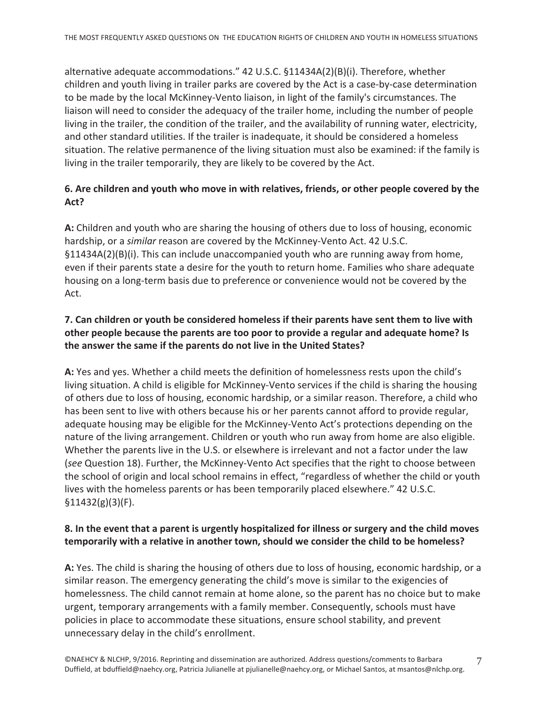alternative adequate accommodations." 42 U.S.C. §11434A(2)(B)(i). Therefore, whether children and youth living in trailer parks are covered by the Act is a case-by-case determination to be made by the local McKinney-Vento liaison, in light of the family's circumstances. The liaison will need to consider the adequacy of the trailer home, including the number of people living in the trailer, the condition of the trailer, and the availability of running water, electricity, and other standard utilities. If the trailer is inadequate, it should be considered a homeless situation. The relative permanence of the living situation must also be examined: if the family is living in the trailer temporarily, they are likely to be covered by the Act.

# 6. Are children and youth who move in with relatives, friends, or other people covered by the Act?

A: Children and youth who are sharing the housing of others due to loss of housing, economic hardship, or a similar reason are covered by the McKinney-Vento Act. 42 U.S.C.  $\S11434A(2)(B)(i)$ . This can include unaccompanied youth who are running away from home, even if their parents state a desire for the youth to return home. Families who share adequate housing on a long-term basis due to preference or convenience would not be covered by the Act.

# 7. Can children or youth be considered homeless if their parents have sent them to live with other people because the parents are too poor to provide a regular and adequate home? Is the answer the same if the parents do not live in the United States?

A: Yes and yes. Whether a child meets the definition of homelessness rests upon the child's living situation. A child is eligible for McKinney-Vento services if the child is sharing the housing of others due to loss of housing, economic hardship, or a similar reason. Therefore, a child who has been sent to live with others because his or her parents cannot afford to provide regular, adequate housing may be eligible for the McKinney-Vento Act's protections depending on the nature of the living arrangement. Children or youth who run away from home are also eligible. Whether the parents live in the U.S. or elsewhere is irrelevant and not a factor under the law (see Question 18). Further, the McKinney-Vento Act specifies that the right to choose between the school of origin and local school remains in effect, "regardless of whether the child or youth lives with the homeless parents or has been temporarily placed elsewhere." 42 U.S.C.  $$11432(g)(3)(F).$ 

# 8. In the event that a parent is urgently hospitalized for illness or surgery and the child moves temporarily with a relative in another town, should we consider the child to be homeless?

A: Yes. The child is sharing the housing of others due to loss of housing, economic hardship, or a similar reason. The emergency generating the child's move is similar to the exigencies of homelessness. The child cannot remain at home alone, so the parent has no choice but to make urgent, temporary arrangements with a family member. Consequently, schools must have policies in place to accommodate these situations, ensure school stability, and prevent unnecessary delay in the child's enrollment.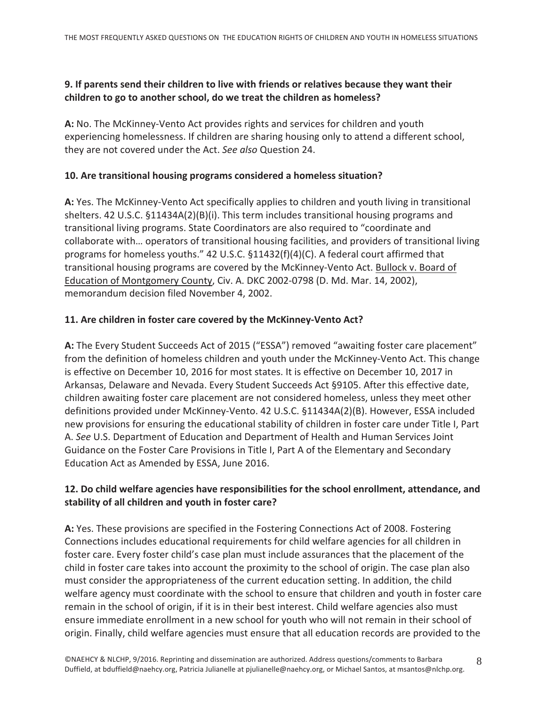#### 9. If parents send their children to live with friends or relatives because they want their children to go to another school, do we treat the children as homeless?

A: No. The McKinney-Vento Act provides rights and services for children and youth experiencing homelessness. If children are sharing housing only to attend a different school, they are not covered under the Act. See also Question 24.

# 10. Are transitional housing programs considered a homeless situation?

A: Yes. The McKinney-Vento Act specifically applies to children and youth living in transitional shelters. 42 U.S.C. §11434A(2)(B)(i). This term includes transitional housing programs and transitional living programs. State Coordinators are also required to "coordinate and collaborate with... operators of transitional housing facilities, and providers of transitional living programs for homeless youths." 42 U.S.C. §11432(f)(4)(C). A federal court affirmed that transitional housing programs are covered by the McKinney-Vento Act. Bullock v. Board of Education of Montgomery County, Civ. A. DKC 2002-0798 (D. Md. Mar. 14, 2002), memorandum decision filed November 4, 2002.

# 11. Are children in foster care covered by the McKinney-Vento Act?

A: The Every Student Succeeds Act of 2015 ("ESSA") removed "awaiting foster care placement" from the definition of homeless children and youth under the McKinney-Vento Act. This change is effective on December 10, 2016 for most states. It is effective on December 10, 2017 in Arkansas, Delaware and Nevada. Every Student Succeeds Act §9105. After this effective date, children awaiting foster care placement are not considered homeless, unless they meet other definitions provided under McKinney-Vento. 42 U.S.C. §11434A(2)(B). However, ESSA included new provisions for ensuring the educational stability of children in foster care under Title I, Part A. See U.S. Department of Education and Department of Health and Human Services Joint Guidance on the Foster Care Provisions in Title I, Part A of the Elementary and Secondary Education Act as Amended by ESSA, June 2016.

# 12. Do child welfare agencies have responsibilities for the school enrollment, attendance, and stability of all children and youth in foster care?

A: Yes. These provisions are specified in the Fostering Connections Act of 2008. Fostering Connections includes educational requirements for child welfare agencies for all children in foster care. Every foster child's case plan must include assurances that the placement of the child in foster care takes into account the proximity to the school of origin. The case plan also must consider the appropriateness of the current education setting. In addition, the child welfare agency must coordinate with the school to ensure that children and youth in foster care remain in the school of origin, if it is in their best interest. Child welfare agencies also must ensure immediate enrollment in a new school for youth who will not remain in their school of origin. Finally, child welfare agencies must ensure that all education records are provided to the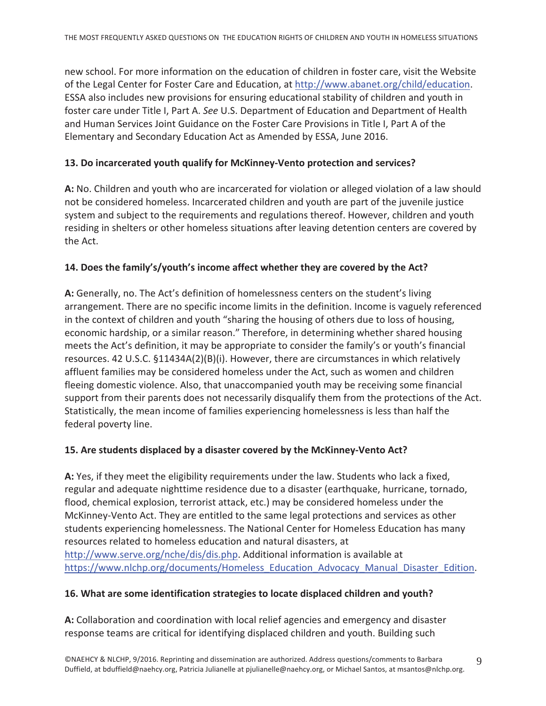new school. For more information on the education of children in foster care, visit the Website of the Legal Center for Foster Care and Education, at http://www.abanet.org/child/education. ESSA also includes new provisions for ensuring educational stability of children and youth in foster care under Title I, Part A. See U.S. Department of Education and Department of Health and Human Services Joint Guidance on the Foster Care Provisions in Title I, Part A of the Elementary and Secondary Education Act as Amended by ESSA, June 2016.

# 13. Do incarcerated youth qualify for McKinney-Vento protection and services?

A: No. Children and youth who are incarcerated for violation or alleged violation of a law should not be considered homeless. Incarcerated children and youth are part of the juvenile justice system and subject to the requirements and regulations thereof. However, children and youth residing in shelters or other homeless situations after leaving detention centers are covered by the Act.

# 14. Does the family's/youth's income affect whether they are covered by the Act?

A: Generally, no. The Act's definition of homelessness centers on the student's living arrangement. There are no specific income limits in the definition. Income is vaguely referenced in the context of children and youth "sharing the housing of others due to loss of housing, economic hardship, or a similar reason." Therefore, in determining whether shared housing meets the Act's definition, it may be appropriate to consider the family's or youth's financial resources. 42 U.S.C. §11434A(2)(B)(i). However, there are circumstances in which relatively affluent families may be considered homeless under the Act, such as women and children fleeing domestic violence. Also, that unaccompanied youth may be receiving some financial support from their parents does not necessarily disqualify them from the protections of the Act. Statistically, the mean income of families experiencing homelessness is less than half the federal poverty line.

#### 15. Are students displaced by a disaster covered by the McKinney-Vento Act?

A: Yes, if they meet the eligibility requirements under the law. Students who lack a fixed, regular and adequate nighttime residence due to a disaster (earthquake, hurricane, tornado, flood, chemical explosion, terrorist attack, etc.) may be considered homeless under the McKinney-Vento Act. They are entitled to the same legal protections and services as other students experiencing homelessness. The National Center for Homeless Education has many resources related to homeless education and natural disasters, at http://www.serve.org/nche/dis/dis.php. Additional information is available at https://www.nlchp.org/documents/Homeless\_Education\_Advocacy\_Manual\_Disaster\_Edition.

#### 16. What are some identification strategies to locate displaced children and youth?

A: Collaboration and coordination with local relief agencies and emergency and disaster response teams are critical for identifying displaced children and youth. Building such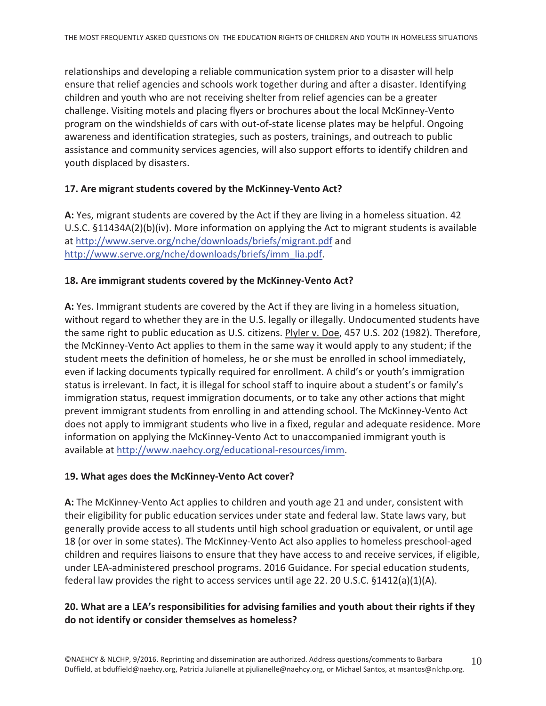relationships and developing a reliable communication system prior to a disaster will help ensure that relief agencies and schools work together during and after a disaster. Identifying children and youth who are not receiving shelter from relief agencies can be a greater challenge. Visiting motels and placing flyers or brochures about the local McKinney-Vento program on the windshields of cars with out-of-state license plates may be helpful. Ongoing awareness and identification strategies, such as posters, trainings, and outreach to public assistance and community services agencies, will also support efforts to identify children and youth displaced by disasters.

#### 17. Are migrant students covered by the McKinney-Vento Act?

A: Yes, migrant students are covered by the Act if they are living in a homeless situation. 42 U.S.C.  $\S 11434A(2)(b)(iv)$ . More information on applying the Act to migrant students is available at http://www.serve.org/nche/downloads/briefs/migrant.pdf and http://www.serve.org/nche/downloads/briefs/imm lia.pdf.

#### 18. Are immigrant students covered by the McKinney-Vento Act?

A: Yes. Immigrant students are covered by the Act if they are living in a homeless situation, without regard to whether they are in the U.S. legally or illegally. Undocumented students have the same right to public education as U.S. citizens. Plyler v. Doe, 457 U.S. 202 (1982). Therefore, the McKinney-Vento Act applies to them in the same way it would apply to any student; if the student meets the definition of homeless, he or she must be enrolled in school immediately, even if lacking documents typically required for enrollment. A child's or youth's immigration status is irrelevant. In fact, it is illegal for school staff to inquire about a student's or family's immigration status, request immigration documents, or to take any other actions that might prevent immigrant students from enrolling in and attending school. The McKinney-Vento Act does not apply to immigrant students who live in a fixed, regular and adequate residence. More information on applying the McKinney-Vento Act to unaccompanied immigrant youth is available at http://www.naehcy.org/educational-resources/imm.

#### 19. What ages does the McKinney-Vento Act cover?

A: The McKinney-Vento Act applies to children and youth age 21 and under, consistent with their eligibility for public education services under state and federal law. State laws vary, but generally provide access to all students until high school graduation or equivalent, or until age 18 (or over in some states). The McKinney-Vento Act also applies to homeless preschool-aged children and requires liaisons to ensure that they have access to and receive services, if eligible, under LEA-administered preschool programs. 2016 Guidance. For special education students, federal law provides the right to access services until age 22. 20 U.S.C.  $\S 1412(a)(1)(A)$ .

#### 20. What are a LEA's responsibilities for advising families and youth about their rights if they do not identify or consider themselves as homeless?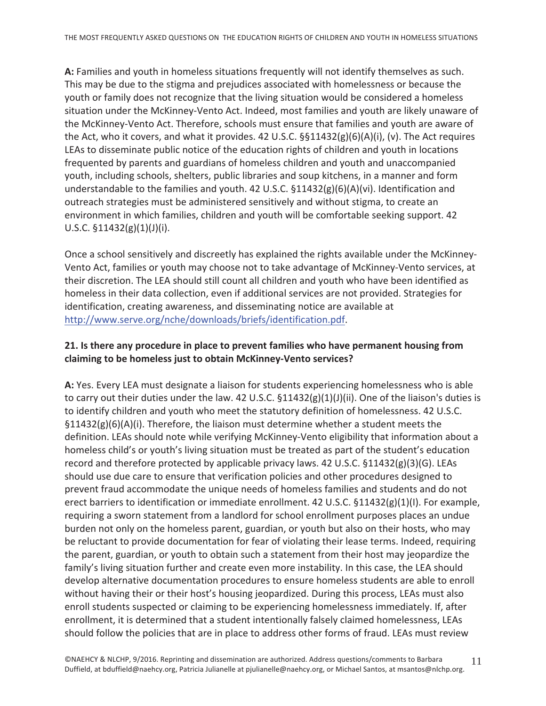A: Families and youth in homeless situations frequently will not identify themselves as such. This may be due to the stigma and prejudices associated with homelessness or because the youth or family does not recognize that the living situation would be considered a homeless situation under the McKinney-Vento Act. Indeed, most families and youth are likely unaware of the McKinney-Vento Act. Therefore, schools must ensure that families and youth are aware of the Act, who it covers, and what it provides. 42 U.S.C. §§11432(g)(6)(A)(i), (v). The Act requires LEAs to disseminate public notice of the education rights of children and youth in locations frequented by parents and guardians of homeless children and youth and unaccompanied youth, including schools, shelters, public libraries and soup kitchens, in a manner and form understandable to the families and youth. 42 U.S.C.  $\S 11432(g)(6)(A)(vi)$ . Identification and outreach strategies must be administered sensitively and without stigma, to create an environment in which families, children and youth will be comfortable seeking support. 42 U.S.C.  $$11432(g)(1)(J)(i)$ .

Once a school sensitively and discreetly has explained the rights available under the McKinney-Vento Act, families or youth may choose not to take advantage of McKinney-Vento services, at their discretion. The LEA should still count all children and youth who have been identified as homeless in their data collection, even if additional services are not provided. Strategies for identification, creating awareness, and disseminating notice are available at http://www.serve.org/nche/downloads/briefs/identification.pdf.

#### 21. Is there any procedure in place to prevent families who have permanent housing from claiming to be homeless just to obtain McKinney-Vento services?

A: Yes. Every LEA must designate a liaison for students experiencing homelessness who is able to carry out their duties under the law. 42 U.S.C.  $\S 11432(g)(1)(J)(ii)$ . One of the liaison's duties is to identify children and youth who meet the statutory definition of homelessness. 42 U.S.C.  $\S11432(g)(6)(A)(i)$ . Therefore, the liaison must determine whether a student meets the definition. LEAs should note while verifying McKinney-Vento eligibility that information about a homeless child's or youth's living situation must be treated as part of the student's education record and therefore protected by applicable privacy laws. 42 U.S.C.  $\S 11432(g)(3)(G)$ . LEAs should use due care to ensure that verification policies and other procedures designed to prevent fraud accommodate the unique needs of homeless families and students and do not erect barriers to identification or immediate enrollment. 42 U.S.C.  $\S 11432(g)(1)(I)$ . For example, requiring a sworn statement from a landlord for school enrollment purposes places an undue burden not only on the homeless parent, guardian, or youth but also on their hosts, who may be reluctant to provide documentation for fear of violating their lease terms. Indeed, requiring the parent, guardian, or youth to obtain such a statement from their host may jeopardize the family's living situation further and create even more instability. In this case, the LEA should develop alternative documentation procedures to ensure homeless students are able to enroll without having their or their host's housing jeopardized. During this process, LEAs must also enroll students suspected or claiming to be experiencing homelessness immediately. If, after enrollment, it is determined that a student intentionally falsely claimed homelessness, LEAs should follow the policies that are in place to address other forms of fraud. LEAs must review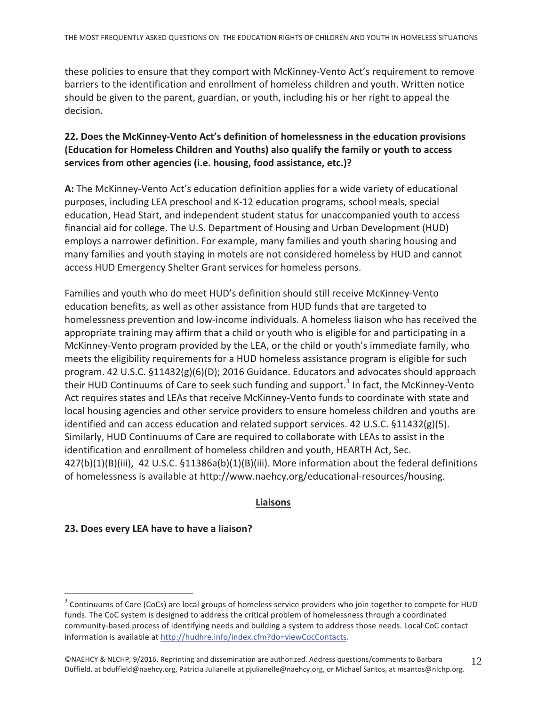these policies to ensure that they comport with McKinney-Vento Act's requirement to remove barriers to the identification and enrollment of homeless children and youth. Written notice should be given to the parent, guardian, or youth, including his or her right to appeal the decision.

#### 22. Does the McKinney-Vento Act's definition of homelessness in the education provisions (Education for Homeless Children and Youths) also qualify the family or youth to access services from other agencies (i.e. housing, food assistance, etc.)?

A: The McKinney-Vento Act's education definition applies for a wide variety of educational purposes, including LEA preschool and K-12 education programs, school meals, special education, Head Start, and independent student status for unaccompanied youth to access financial aid for college. The U.S. Department of Housing and Urban Development (HUD) employs a narrower definition. For example, many families and youth sharing housing and many families and youth staying in motels are not considered homeless by HUD and cannot access HUD Emergency Shelter Grant services for homeless persons.

Families and youth who do meet HUD's definition should still receive McKinney-Vento education benefits, as well as other assistance from HUD funds that are targeted to homelessness prevention and low-income individuals. A homeless liaison who has received the appropriate training may affirm that a child or youth who is eligible for and participating in a McKinney-Vento program provided by the LEA, or the child or youth's immediate family, who meets the eligibility requirements for a HUD homeless assistance program is eligible for such program. 42 U.S.C. §11432(g)(6)(D); 2016 Guidance. Educators and advocates should approach their HUD Continuums of Care to seek such funding and support.<sup>3</sup> In fact, the McKinney-Vento Act requires states and LEAs that receive McKinney-Vento funds to coordinate with state and local housing agencies and other service providers to ensure homeless children and youths are identified and can access education and related support services. 42 U.S.C.  $\S 11432(g)(5)$ . Similarly, HUD Continuums of Care are required to collaborate with LEAs to assist in the identification and enrollment of homeless children and youth, HEARTH Act, Sec.  $427(b)(1)(B)(iii)$ , 42 U.S.C.  $\S 11386a(b)(1)(B)(iii)$ . More information about the federal definitions of homelessness is available at http://www.naehcy.org/educational-resources/housing.

#### **Liaisons**

#### 23. Does every LEA have to have a liaison?

<sup>&</sup>lt;sup>3</sup> Continuums of Care (CoCs) are local groups of homeless service providers who join together to compete for HUD funds. The CoC system is designed to address the critical problem of homelessness through a coordinated community-based process of identifying needs and building a system to address those needs. Local CoC contact information is available at http://hudhre.info/index.cfm?do=viewCocContacts.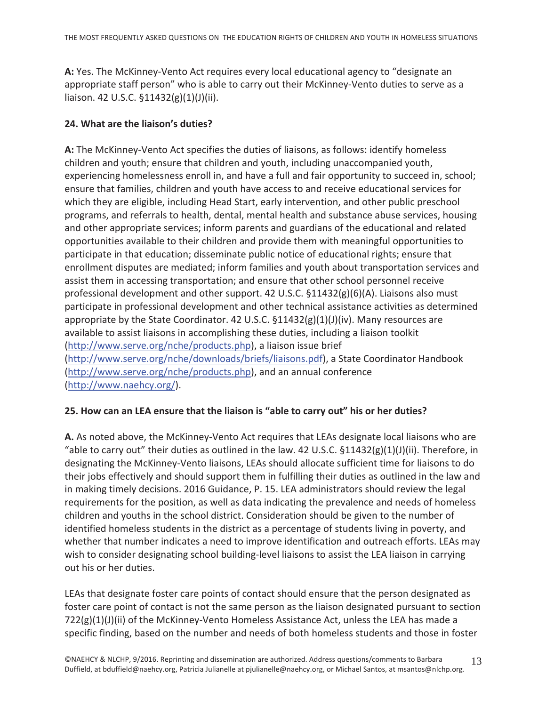A: Yes. The McKinney-Vento Act requires every local educational agency to "designate an appropriate staff person" who is able to carry out their McKinney-Vento duties to serve as a liaison. 42 U.S.C. §11432(g)(1)(J)(ii).

#### 24. What are the liaison's duties?

A: The McKinney-Vento Act specifies the duties of liaisons, as follows: identify homeless children and youth; ensure that children and youth, including unaccompanied youth, experiencing homelessness enroll in, and have a full and fair opportunity to succeed in, school; ensure that families, children and youth have access to and receive educational services for which they are eligible, including Head Start, early intervention, and other public preschool programs, and referrals to health, dental, mental health and substance abuse services, housing and other appropriate services; inform parents and guardians of the educational and related opportunities available to their children and provide them with meaningful opportunities to participate in that education; disseminate public notice of educational rights; ensure that enrollment disputes are mediated; inform families and youth about transportation services and assist them in accessing transportation; and ensure that other school personnel receive professional development and other support. 42 U.S.C. §11432(g)(6)(A). Liaisons also must participate in professional development and other technical assistance activities as determined appropriate by the State Coordinator. 42 U.S.C.  $\S 11432(g)(1)(J)(iv)$ . Many resources are available to assist liaisons in accomplishing these duties, including a liaison toolkit (http://www.serve.org/nche/products.php), a liaison issue brief (http://www.serve.org/nche/downloads/briefs/liaisons.pdf), a State Coordinator Handbook (http://www.serve.org/nche/products.php), and an annual conference (http://www.naehcy.org/).

#### 25. How can an LEA ensure that the liaison is "able to carry out" his or her duties?

A. As noted above, the McKinney-Vento Act requires that LEAs designate local liaisons who are "able to carry out" their duties as outlined in the law. 42 U.S.C.  $\S 11432(g)(1)(J)(ii)$ . Therefore, in designating the McKinney-Vento liaisons, LEAs should allocate sufficient time for liaisons to do their jobs effectively and should support them in fulfilling their duties as outlined in the law and in making timely decisions. 2016 Guidance, P. 15. LEA administrators should review the legal requirements for the position, as well as data indicating the prevalence and needs of homeless children and youths in the school district. Consideration should be given to the number of identified homeless students in the district as a percentage of students living in poverty, and whether that number indicates a need to improve identification and outreach efforts. LEAs may wish to consider designating school building-level liaisons to assist the LEA liaison in carrying out his or her duties.

LEAs that designate foster care points of contact should ensure that the person designated as foster care point of contact is not the same person as the liaison designated pursuant to section  $722(g)(1)(J)(ii)$  of the McKinney-Vento Homeless Assistance Act, unless the LEA has made a specific finding, based on the number and needs of both homeless students and those in foster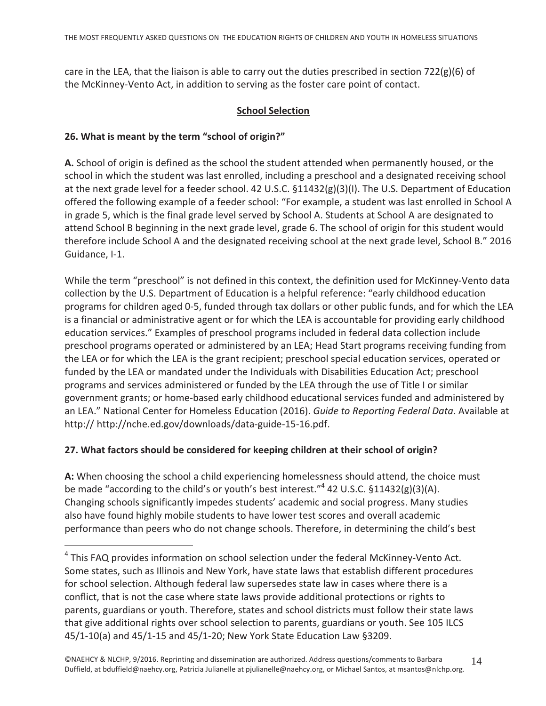care in the LEA, that the liaison is able to carry out the duties prescribed in section  $722(g)(6)$  of the McKinney-Vento Act, in addition to serving as the foster care point of contact.

#### **School Selection**

#### 26. What is meant by the term "school of origin?"

A. School of origin is defined as the school the student attended when permanently housed, or the school in which the student was last enrolled, including a preschool and a designated receiving school at the next grade level for a feeder school. 42 U.S.C.  $\S 11432(g)(3)(I)$ . The U.S. Department of Education offered the following example of a feeder school: "For example, a student was last enrolled in School A in grade 5, which is the final grade level served by School A. Students at School A are designated to attend School B beginning in the next grade level, grade 6. The school of origin for this student would therefore include School A and the designated receiving school at the next grade level, School B." 2016 Guidance, I-1.

While the term "preschool" is not defined in this context, the definition used for McKinney-Vento data collection by the U.S. Department of Education is a helpful reference: "early childhood education programs for children aged 0-5, funded through tax dollars or other public funds, and for which the LEA is a financial or administrative agent or for which the LEA is accountable for providing early childhood education services." Examples of preschool programs included in federal data collection include preschool programs operated or administered by an LEA; Head Start programs receiving funding from the LEA or for which the LEA is the grant recipient; preschool special education services, operated or funded by the LEA or mandated under the Individuals with Disabilities Education Act; preschool programs and services administered or funded by the LEA through the use of Title I or similar government grants; or home-based early childhood educational services funded and administered by an LEA." National Center for Homeless Education (2016). Guide to Reporting Federal Data. Available at http:// http://nche.ed.gov/downloads/data-guide-15-16.pdf.

#### 27. What factors should be considered for keeping children at their school of origin?

A: When choosing the school a child experiencing homelessness should attend, the choice must be made "according to the child's or youth's best interest."<sup>4</sup> 42 U.S.C.  $\S 11432(g)(3)(A)$ . Changing schools significantly impedes students' academic and social progress. Many studies also have found highly mobile students to have lower test scores and overall academic performance than peers who do not change schools. Therefore, in determining the child's best

<sup>&</sup>lt;sup>4</sup> This FAQ provides information on school selection under the federal McKinney-Vento Act. Some states, such as Illinois and New York, have state laws that establish different procedures for school selection. Although federal law supersedes state law in cases where there is a conflict, that is not the case where state laws provide additional protections or rights to parents, guardians or youth. Therefore, states and school districts must follow their state laws that give additional rights over school selection to parents, guardians or youth. See 105 ILCS 45/1-10(a) and 45/1-15 and 45/1-20; New York State Education Law §3209.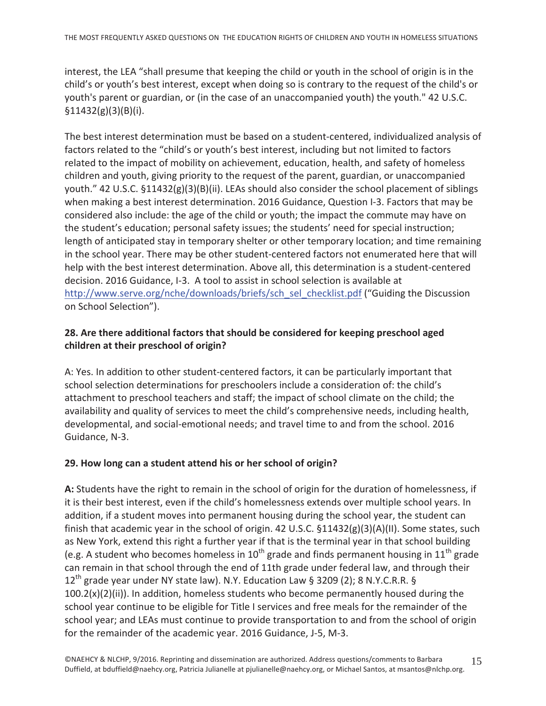interest, the LEA "shall presume that keeping the child or youth in the school of origin is in the child's or youth's best interest, except when doing so is contrary to the request of the child's or youth's parent or guardian, or (in the case of an unaccompanied youth) the youth." 42 U.S.C.  $$11432(g)(3)(B)(i).$ 

The best interest determination must be based on a student-centered, individualized analysis of factors related to the "child's or youth's best interest, including but not limited to factors related to the impact of mobility on achievement, education, health, and safety of homeless children and youth, giving priority to the request of the parent, guardian, or unaccompanied youth." 42 U.S.C.  $\S11432(g)(3)(B)(ii)$ . LEAs should also consider the school placement of siblings when making a best interest determination. 2016 Guidance, Question I-3. Factors that may be considered also include: the age of the child or youth; the impact the commute may have on the student's education; personal safety issues; the students' need for special instruction; length of anticipated stay in temporary shelter or other temporary location; and time remaining in the school year. There may be other student-centered factors not enumerated here that will help with the best interest determination. Above all, this determination is a student-centered decision. 2016 Guidance, I-3. A tool to assist in school selection is available at http://www.serve.org/nche/downloads/briefs/sch\_sel\_checklist.pdf ("Guiding the Discussion on School Selection").

#### 28. Are there additional factors that should be considered for keeping preschool aged children at their preschool of origin?

A: Yes. In addition to other student-centered factors, it can be particularly important that school selection determinations for preschoolers include a consideration of: the child's attachment to preschool teachers and staff; the impact of school climate on the child; the availability and quality of services to meet the child's comprehensive needs, including health, developmental, and social-emotional needs; and travel time to and from the school. 2016 Guidance, N-3.

#### 29. How long can a student attend his or her school of origin?

A: Students have the right to remain in the school of origin for the duration of homelessness, if it is their best interest, even if the child's homelessness extends over multiple school years. In addition, if a student moves into permanent housing during the school year, the student can finish that academic year in the school of origin. 42 U.S.C.  $\S 11432(g)(3)(A)(II)$ . Some states, such as New York, extend this right a further year if that is the terminal year in that school building (e.g. A student who becomes homeless in  $10^{th}$  grade and finds permanent housing in  $11^{th}$  grade can remain in that school through the end of 11th grade under federal law, and through their 12<sup>th</sup> grade year under NY state law). N.Y. Education Law § 3209 (2); 8 N.Y.C.R.R. § 100.2(x)(2)(ii)). In addition, homeless students who become permanently housed during the school year continue to be eligible for Title I services and free meals for the remainder of the school year; and LEAs must continue to provide transportation to and from the school of origin for the remainder of the academic year. 2016 Guidance, J-5, M-3.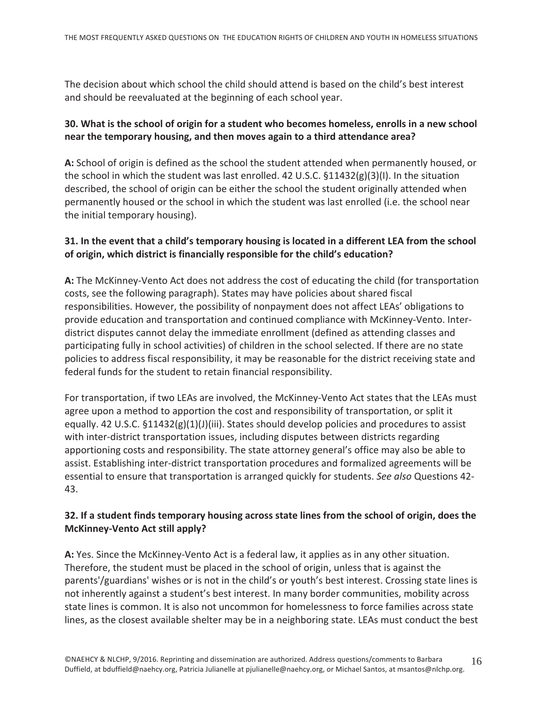The decision about which school the child should attend is based on the child's best interest and should be reevaluated at the beginning of each school year.

# 30. What is the school of origin for a student who becomes homeless, enrolls in a new school near the temporary housing, and then moves again to a third attendance area?

A: School of origin is defined as the school the student attended when permanently housed, or the school in which the student was last enrolled. 42 U.S.C. §11432(g)(3)(I). In the situation described, the school of origin can be either the school the student originally attended when permanently housed or the school in which the student was last enrolled (i.e. the school near the initial temporary housing).

#### 31. In the event that a child's temporary housing is located in a different LEA from the school of origin, which district is financially responsible for the child's education?

A: The McKinney-Vento Act does not address the cost of educating the child (for transportation costs, see the following paragraph). States may have policies about shared fiscal responsibilities. However, the possibility of nonpayment does not affect LEAs' obligations to provide education and transportation and continued compliance with McKinney-Vento. Interdistrict disputes cannot delay the immediate enrollment (defined as attending classes and participating fully in school activities) of children in the school selected. If there are no state policies to address fiscal responsibility, it may be reasonable for the district receiving state and federal funds for the student to retain financial responsibility.

For transportation, if two LEAs are involved, the McKinney-Vento Act states that the LEAs must agree upon a method to apportion the cost and responsibility of transportation, or split it equally. 42 U.S.C.  $\S 11432(g)(1)(J)(iii)$ . States should develop policies and procedures to assist with inter-district transportation issues, including disputes between districts regarding apportioning costs and responsibility. The state attorney general's office may also be able to assist. Establishing inter-district transportation procedures and formalized agreements will be essential to ensure that transportation is arranged quickly for students. See also Questions 42-43.

# 32. If a student finds temporary housing across state lines from the school of origin, does the **McKinney-Vento Act still apply?**

A: Yes. Since the McKinney-Vento Act is a federal law, it applies as in any other situation. Therefore, the student must be placed in the school of origin, unless that is against the parents'/guardians' wishes or is not in the child's or youth's best interest. Crossing state lines is not inherently against a student's best interest. In many border communities, mobility across state lines is common. It is also not uncommon for homelessness to force families across state lines, as the closest available shelter may be in a neighboring state. LEAs must conduct the best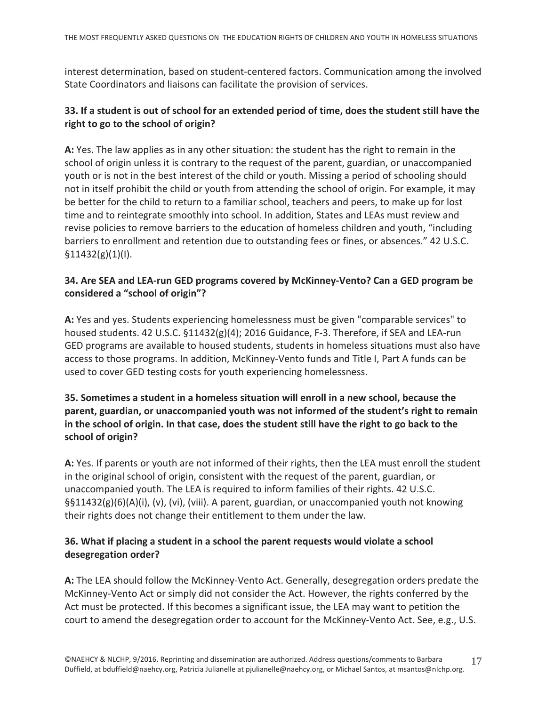interest determination, based on student-centered factors. Communication among the involved State Coordinators and liaisons can facilitate the provision of services.

#### 33. If a student is out of school for an extended period of time, does the student still have the right to go to the school of origin?

A: Yes. The law applies as in any other situation: the student has the right to remain in the school of origin unless it is contrary to the request of the parent, guardian, or unaccompanied youth or is not in the best interest of the child or youth. Missing a period of schooling should not in itself prohibit the child or youth from attending the school of origin. For example, it may be better for the child to return to a familiar school, teachers and peers, to make up for lost time and to reintegrate smoothly into school. In addition, States and LEAs must review and revise policies to remove barriers to the education of homeless children and youth, "including barriers to enrollment and retention due to outstanding fees or fines, or absences." 42 U.S.C.  $$11432(g)(1)(I).$ 

#### 34. Are SEA and LEA-run GED programs covered by McKinney-Vento? Can a GED program be considered a "school of origin"?

A: Yes and yes. Students experiencing homelessness must be given "comparable services" to housed students. 42 U.S.C. §11432(g)(4); 2016 Guidance, F-3. Therefore, if SEA and LEA-run GED programs are available to housed students, students in homeless situations must also have access to those programs. In addition, McKinney-Vento funds and Title I, Part A funds can be used to cover GED testing costs for youth experiencing homelessness.

# 35. Sometimes a student in a homeless situation will enroll in a new school, because the parent, guardian, or unaccompanied youth was not informed of the student's right to remain in the school of origin. In that case, does the student still have the right to go back to the school of origin?

A: Yes. If parents or youth are not informed of their rights, then the LEA must enroll the student in the original school of origin, consistent with the request of the parent, guardian, or unaccompanied youth. The LEA is required to inform families of their rights. 42 U.S.C.  $\S511432(g)(6)(A)(i)$ , (v), (vi), (viii). A parent, guardian, or unaccompanied youth not knowing their rights does not change their entitlement to them under the law.

# 36. What if placing a student in a school the parent requests would violate a school desegregation order?

A: The LEA should follow the McKinney-Vento Act. Generally, desegregation orders predate the McKinney-Vento Act or simply did not consider the Act. However, the rights conferred by the Act must be protected. If this becomes a significant issue, the LEA may want to petition the court to amend the desegregation order to account for the McKinney-Vento Act. See, e.g., U.S.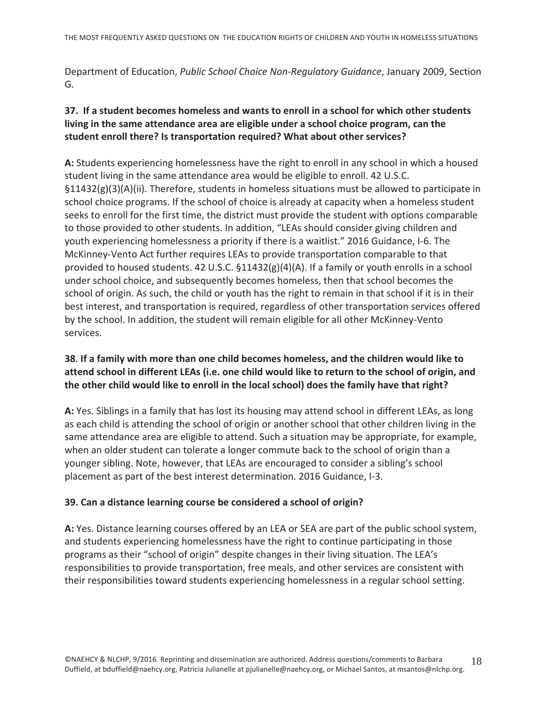Department of Education, Public School Choice Non-Regulatory Guidance, January 2009, Section G.

# 37. If a student becomes homeless and wants to enroll in a school for which other students living in the same attendance area are eligible under a school choice program, can the student enroll there? Is transportation required? What about other services?

A: Students experiencing homelessness have the right to enroll in any school in which a housed student living in the same attendance area would be eligible to enroll. 42 U.S.C.  $\S11432(g)(3)(A)(ii)$ . Therefore, students in homeless situations must be allowed to participate in school choice programs. If the school of choice is already at capacity when a homeless student seeks to enroll for the first time, the district must provide the student with options comparable to those provided to other students. In addition, "LEAs should consider giving children and youth experiencing homelessness a priority if there is a waitlist." 2016 Guidance, I-6. The McKinney-Vento Act further requires LEAs to provide transportation comparable to that provided to housed students. 42 U.S.C.  $\S11432(g)(4)(A)$ . If a family or youth enrolls in a school under school choice, and subsequently becomes homeless, then that school becomes the school of origin. As such, the child or youth has the right to remain in that school if it is in their best interest, and transportation is required, regardless of other transportation services offered by the school. In addition, the student will remain eligible for all other McKinney-Vento services.

# 38. If a family with more than one child becomes homeless, and the children would like to attend school in different LEAs (i.e. one child would like to return to the school of origin, and the other child would like to enroll in the local school) does the family have that right?

A: Yes. Siblings in a family that has lost its housing may attend school in different LEAs, as long as each child is attending the school of origin or another school that other children living in the same attendance area are eligible to attend. Such a situation may be appropriate, for example, when an older student can tolerate a longer commute back to the school of origin than a younger sibling. Note, however, that LEAs are encouraged to consider a sibling's school placement as part of the best interest determination. 2016 Guidance, I-3.

#### 39. Can a distance learning course be considered a school of origin?

A: Yes. Distance learning courses offered by an LEA or SEA are part of the public school system, and students experiencing homelessness have the right to continue participating in those programs as their "school of origin" despite changes in their living situation. The LEA's responsibilities to provide transportation, free meals, and other services are consistent with their responsibilities toward students experiencing homelessness in a regular school setting.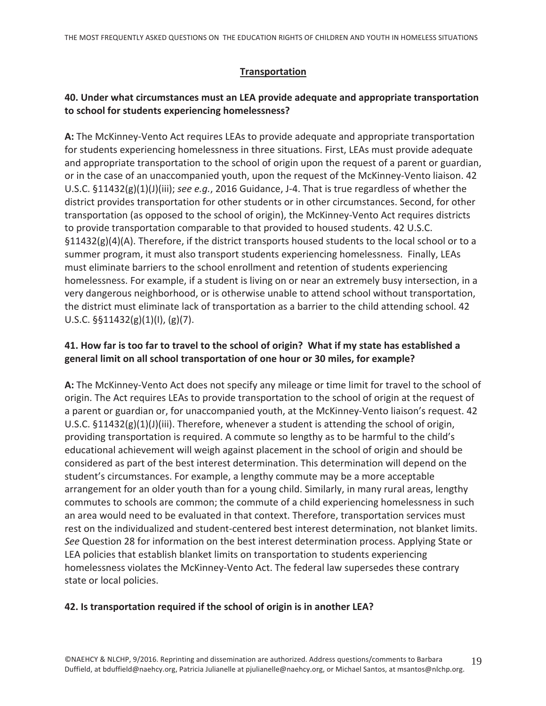#### **Transportation**

#### 40. Under what circumstances must an LEA provide adequate and appropriate transportation to school for students experiencing homelessness?

A: The McKinney-Vento Act requires LEAs to provide adequate and appropriate transportation for students experiencing homelessness in three situations. First, LEAs must provide adequate and appropriate transportation to the school of origin upon the request of a parent or guardian, or in the case of an unaccompanied youth, upon the request of the McKinney-Vento liaison. 42 U.S.C.  $\S 11432(g)(1)(J(iii))$ ; see e.g., 2016 Guidance, J-4. That is true regardless of whether the district provides transportation for other students or in other circumstances. Second, for other transportation (as opposed to the school of origin), the McKinney-Vento Act requires districts to provide transportation comparable to that provided to housed students. 42 U.S.C.  $\S11432(g)(4)(A)$ . Therefore, if the district transports housed students to the local school or to a summer program, it must also transport students experiencing homelessness. Finally, LEAs must eliminate barriers to the school enrollment and retention of students experiencing homelessness. For example, if a student is living on or near an extremely busy intersection, in a very dangerous neighborhood, or is otherwise unable to attend school without transportation, the district must eliminate lack of transportation as a barrier to the child attending school. 42 U.S.C.  $\S$ §11432(g)(1)(l), (g)(7).

#### 41. How far is too far to travel to the school of origin? What if my state has established a general limit on all school transportation of one hour or 30 miles, for example?

A: The McKinney-Vento Act does not specify any mileage or time limit for travel to the school of origin. The Act requires LEAs to provide transportation to the school of origin at the request of a parent or guardian or, for unaccompanied youth, at the McKinney-Vento liaison's request. 42 U.S.C.  $\S 11432(g)(1)(J)(iii)$ . Therefore, whenever a student is attending the school of origin, providing transportation is required. A commute so lengthy as to be harmful to the child's educational achievement will weigh against placement in the school of origin and should be considered as part of the best interest determination. This determination will depend on the student's circumstances. For example, a lengthy commute may be a more acceptable arrangement for an older youth than for a young child. Similarly, in many rural areas, lengthy commutes to schools are common; the commute of a child experiencing homelessness in such an area would need to be evaluated in that context. Therefore, transportation services must rest on the individualized and student-centered best interest determination, not blanket limits. See Question 28 for information on the best interest determination process. Applying State or LEA policies that establish blanket limits on transportation to students experiencing homelessness violates the McKinney-Vento Act. The federal law supersedes these contrary state or local policies.

#### 42. Is transportation required if the school of origin is in another LEA?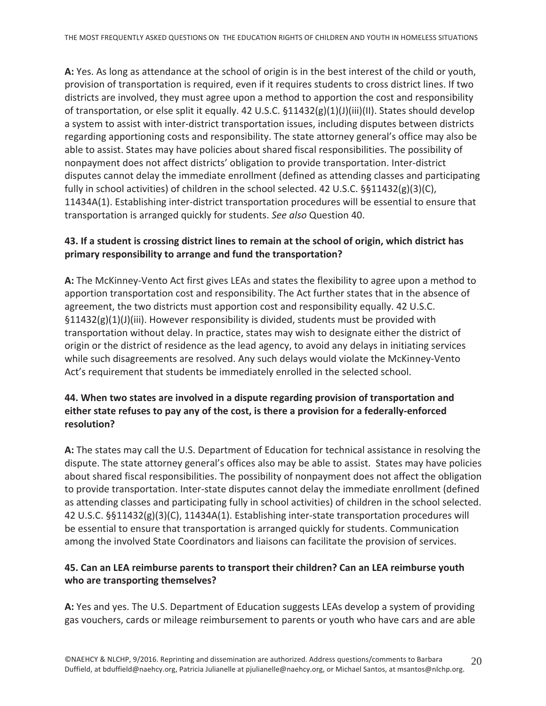A: Yes. As long as attendance at the school of origin is in the best interest of the child or youth, provision of transportation is required, even if it requires students to cross district lines. If two districts are involved, they must agree upon a method to apportion the cost and responsibility of transportation, or else split it equally. 42 U.S.C.  $$11432(g)(1)(J)(iii)(II)$ . States should develop a system to assist with inter-district transportation issues, including disputes between districts regarding apportioning costs and responsibility. The state attorney general's office may also be able to assist. States may have policies about shared fiscal responsibilities. The possibility of nonpayment does not affect districts' obligation to provide transportation. Inter-district disputes cannot delay the immediate enrollment (defined as attending classes and participating fully in school activities) of children in the school selected. 42 U.S.C.  $\S$ §11432(g)(3)(C), 11434A(1). Establishing inter-district transportation procedures will be essential to ensure that transportation is arranged quickly for students. See also Question 40.

#### 43. If a student is crossing district lines to remain at the school of origin, which district has primary responsibility to arrange and fund the transportation?

A: The McKinney-Vento Act first gives LEAs and states the flexibility to agree upon a method to apportion transportation cost and responsibility. The Act further states that in the absence of agreement, the two districts must apportion cost and responsibility equally. 42 U.S.C.  $\S11432(g)(1)(J)(iii)$ . However responsibility is divided, students must be provided with transportation without delay. In practice, states may wish to designate either the district of origin or the district of residence as the lead agency, to avoid any delays in initiating services while such disagreements are resolved. Any such delays would violate the McKinney-Vento Act's requirement that students be immediately enrolled in the selected school.

# 44. When two states are involved in a dispute regarding provision of transportation and either state refuses to pay any of the cost, is there a provision for a federally-enforced resolution?

A: The states may call the U.S. Department of Education for technical assistance in resolving the dispute. The state attorney general's offices also may be able to assist. States may have policies about shared fiscal responsibilities. The possibility of nonpayment does not affect the obligation to provide transportation. Inter-state disputes cannot delay the immediate enrollment (defined as attending classes and participating fully in school activities) of children in the school selected. 42 U.S.C. §§11432(g)(3)(C), 11434A(1). Establishing inter-state transportation procedures will be essential to ensure that transportation is arranged quickly for students. Communication among the involved State Coordinators and liaisons can facilitate the provision of services.

# 45. Can an LEA reimburse parents to transport their children? Can an LEA reimburse youth who are transporting themselves?

A: Yes and yes. The U.S. Department of Education suggests LEAs develop a system of providing gas vouchers, cards or mileage reimbursement to parents or youth who have cars and are able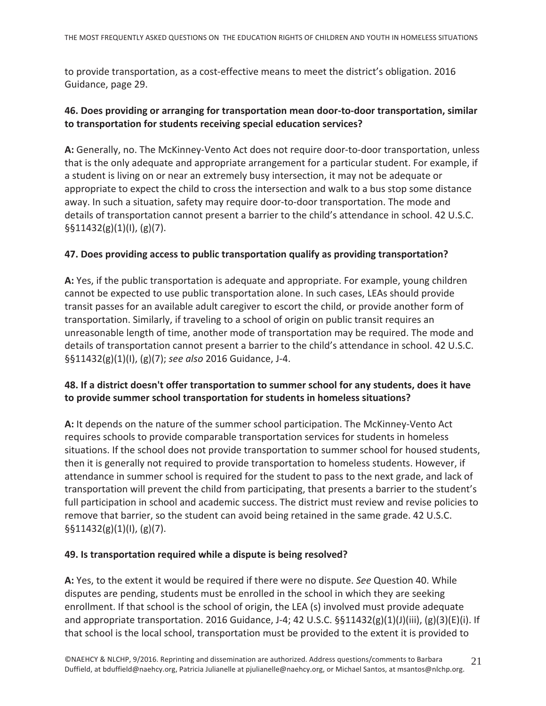to provide transportation, as a cost-effective means to meet the district's obligation. 2016 Guidance, page 29.

#### 46. Does providing or arranging for transportation mean door-to-door transportation, similar to transportation for students receiving special education services?

A: Generally, no. The McKinney-Vento Act does not require door-to-door transportation, unless that is the only adequate and appropriate arrangement for a particular student. For example, if a student is living on or near an extremely busy intersection, it may not be adequate or appropriate to expect the child to cross the intersection and walk to a bus stop some distance away. In such a situation, safety may require door-to-door transportation. The mode and details of transportation cannot present a barrier to the child's attendance in school. 42 U.S.C.  $\S511432(g)(1)(1), (g)(7).$ 

#### 47. Does providing access to public transportation qualify as providing transportation?

A: Yes, if the public transportation is adequate and appropriate. For example, young children cannot be expected to use public transportation alone. In such cases, LEAs should provide transit passes for an available adult caregiver to escort the child, or provide another form of transportation. Similarly, if traveling to a school of origin on public transit requires an unreasonable length of time, another mode of transportation may be required. The mode and details of transportation cannot present a barrier to the child's attendance in school. 42 U.S.C. §§11432(g)(1)(l), (g)(7); see also 2016 Guidance, J-4.

#### 48. If a district doesn't offer transportation to summer school for any students, does it have to provide summer school transportation for students in homeless situations?

A: It depends on the nature of the summer school participation. The McKinney-Vento Act requires schools to provide comparable transportation services for students in homeless situations. If the school does not provide transportation to summer school for housed students, then it is generally not required to provide transportation to homeless students. However, if attendance in summer school is required for the student to pass to the next grade, and lack of transportation will prevent the child from participating, that presents a barrier to the student's full participation in school and academic success. The district must review and revise policies to remove that barrier, so the student can avoid being retained in the same grade. 42 U.S.C.  $\S511432(g)(1)(I), (g)(7).$ 

#### 49. Is transportation required while a dispute is being resolved?

A: Yes, to the extent it would be required if there were no dispute. See Question 40. While disputes are pending, students must be enrolled in the school in which they are seeking enrollment. If that school is the school of origin, the LEA (s) involved must provide adequate and appropriate transportation. 2016 Guidance, J-4; 42 U.S.C.  $\S$11432(g)(1)(J)(iii), (g)(3)(E)(i)$ . If that school is the local school, transportation must be provided to the extent it is provided to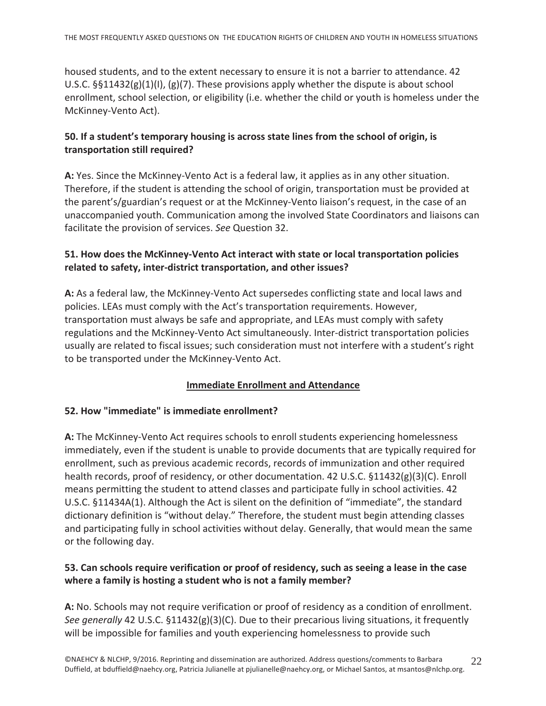housed students, and to the extent necessary to ensure it is not a barrier to attendance. 42 U.S.C.  $\S$ §11432(g)(1)(l), (g)(7). These provisions apply whether the dispute is about school enrollment, school selection, or eligibility (i.e. whether the child or youth is homeless under the McKinney-Vento Act).

#### 50. If a student's temporary housing is across state lines from the school of origin, is transportation still required?

A: Yes. Since the McKinney-Vento Act is a federal law, it applies as in any other situation. Therefore, if the student is attending the school of origin, transportation must be provided at the parent's/guardian's request or at the McKinney-Vento liaison's request, in the case of an unaccompanied youth. Communication among the involved State Coordinators and liaisons can facilitate the provision of services. See Question 32.

#### 51. How does the McKinney-Vento Act interact with state or local transportation policies related to safety, inter-district transportation, and other issues?

A: As a federal law, the McKinney-Vento Act supersedes conflicting state and local laws and policies. LEAs must comply with the Act's transportation requirements. However, transportation must always be safe and appropriate, and LEAs must comply with safety regulations and the McKinney-Vento Act simultaneously. Inter-district transportation policies usually are related to fiscal issues; such consideration must not interfere with a student's right to be transported under the McKinney-Vento Act.

#### **Immediate Enrollment and Attendance**

#### 52. How "immediate" is immediate enrollment?

A: The McKinney-Vento Act requires schools to enroll students experiencing homelessness immediately, even if the student is unable to provide documents that are typically required for enrollment, such as previous academic records, records of immunization and other required health records, proof of residency, or other documentation. 42 U.S.C. §11432(g)(3)(C). Enroll means permitting the student to attend classes and participate fully in school activities. 42 U.S.C. §11434A(1). Although the Act is silent on the definition of "immediate", the standard dictionary definition is "without delay." Therefore, the student must begin attending classes and participating fully in school activities without delay. Generally, that would mean the same or the following day.

# 53. Can schools require verification or proof of residency, such as seeing a lease in the case where a family is hosting a student who is not a family member?

A: No. Schools may not require verification or proof of residency as a condition of enrollment. See generally 42 U.S.C.  $\S 11432(g)(3)(C)$ . Due to their precarious living situations, it frequently will be impossible for families and youth experiencing homelessness to provide such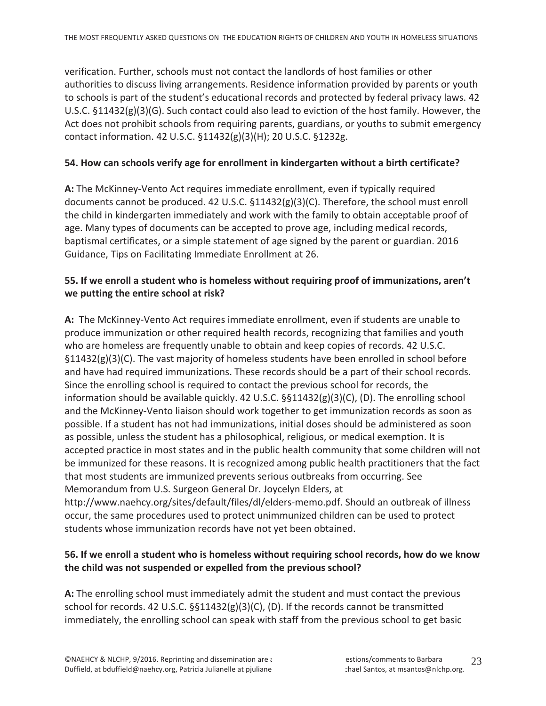verification. Further, schools must not contact the landlords of host families or other authorities to discuss living arrangements. Residence information provided by parents or youth to schools is part of the student's educational records and protected by federal privacy laws. 42 U.S.C.  $\S 11432(g)(3)(G)$ . Such contact could also lead to eviction of the host family. However, the Act does not prohibit schools from requiring parents, guardians, or youths to submit emergency contact information. 42 U.S.C. §11432(g)(3)(H); 20 U.S.C. §1232g.

#### 54. How can schools verify age for enrollment in kindergarten without a birth certificate?

A: The McKinney-Vento Act requires immediate enrollment, even if typically required documents cannot be produced. 42 U.S.C.  $$11432(g)(3)(C)$ . Therefore, the school must enroll the child in kindergarten immediately and work with the family to obtain acceptable proof of age. Many types of documents can be accepted to prove age, including medical records, baptismal certificates, or a simple statement of age signed by the parent or guardian. 2016 Guidance, Tips on Facilitating Immediate Enrollment at 26.

#### 55. If we enroll a student who is homeless without requiring proof of immunizations, aren't we putting the entire school at risk?

A: The McKinney-Vento Act requires immediate enrollment, even if students are unable to produce immunization or other required health records, recognizing that families and youth who are homeless are frequently unable to obtain and keep copies of records. 42 U.S.C.  $\S11432(g)(3)(C)$ . The vast majority of homeless students have been enrolled in school before and have had required immunizations. These records should be a part of their school records. Since the enrolling school is required to contact the previous school for records, the information should be available quickly. 42 U.S.C.  $\S$ §11432(g)(3)(C), (D). The enrolling school and the McKinney-Vento liaison should work together to get immunization records as soon as possible. If a student has not had immunizations, initial doses should be administered as soon as possible, unless the student has a philosophical, religious, or medical exemption. It is accepted practice in most states and in the public health community that some children will not be immunized for these reasons. It is recognized among public health practitioners that the fact that most students are immunized prevents serious outbreaks from occurring. See Memorandum from U.S. Surgeon General Dr. Joycelyn Elders, at http://www.naehcy.org/sites/default/files/dl/elders-memo.pdf. Should an outbreak of illness occur, the same procedures used to protect unimmunized children can be used to protect students whose immunization records have not yet been obtained.

#### 56. If we enroll a student who is homeless without requiring school records, how do we know the child was not suspended or expelled from the previous school?

A: The enrolling school must immediately admit the student and must contact the previous school for records. 42 U.S.C.  $\S$ §11432(g)(3)(C), (D). If the records cannot be transmitted immediately, the enrolling school can speak with staff from the previous school to get basic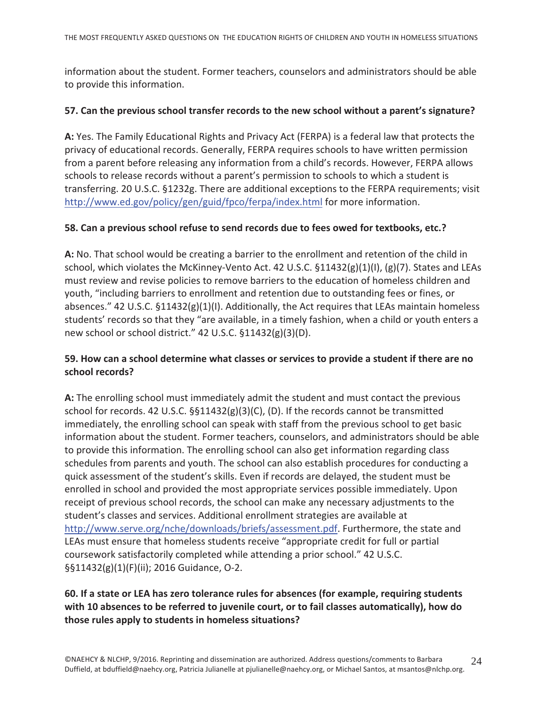information about the student. Former teachers, counselors and administrators should be able to provide this information.

#### 57. Can the previous school transfer records to the new school without a parent's signature?

A: Yes. The Family Educational Rights and Privacy Act (FERPA) is a federal law that protects the privacy of educational records. Generally, FERPA requires schools to have written permission from a parent before releasing any information from a child's records. However, FERPA allows schools to release records without a parent's permission to schools to which a student is transferring. 20 U.S.C. §1232g. There are additional exceptions to the FERPA requirements; visit http://www.ed.gov/policy/gen/guid/fpco/ferpa/index.html for more information.

#### 58. Can a previous school refuse to send records due to fees owed for textbooks, etc.?

A: No. That school would be creating a barrier to the enrollment and retention of the child in school, which violates the McKinney-Vento Act. 42 U.S.C.  $\S 11432(g)(1)(1)$ ,  $(g)(7)$ . States and LEAs must review and revise policies to remove barriers to the education of homeless children and youth, "including barriers to enrollment and retention due to outstanding fees or fines, or absences." 42 U.S.C. §11432(g)(1)(I). Additionally, the Act requires that LEAs maintain homeless students' records so that they "are available, in a timely fashion, when a child or youth enters a new school or school district." 42 U.S.C. §11432(g)(3)(D).

#### 59. How can a school determine what classes or services to provide a student if there are no school records?

A: The enrolling school must immediately admit the student and must contact the previous school for records. 42 U.S.C.  $\S$ §11432(g)(3)(C), (D). If the records cannot be transmitted immediately, the enrolling school can speak with staff from the previous school to get basic information about the student. Former teachers, counselors, and administrators should be able to provide this information. The enrolling school can also get information regarding class schedules from parents and youth. The school can also establish procedures for conducting a quick assessment of the student's skills. Even if records are delayed, the student must be enrolled in school and provided the most appropriate services possible immediately. Upon receipt of previous school records, the school can make any necessary adjustments to the student's classes and services. Additional enrollment strategies are available at http://www.serve.org/nche/downloads/briefs/assessment.pdf. Furthermore, the state and LEAs must ensure that homeless students receive "appropriate credit for full or partial coursework satisfactorily completed while attending a prior school." 42 U.S.C. §§11432(g)(1)(F)(ii); 2016 Guidance, O-2.

# 60. If a state or LEA has zero tolerance rules for absences (for example, requiring students with 10 absences to be referred to juvenile court, or to fail classes automatically), how do those rules apply to students in homeless situations?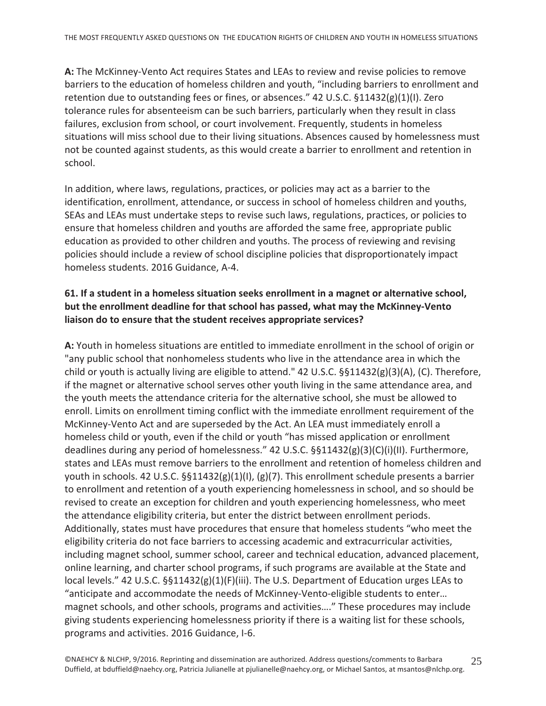A: The McKinney-Vento Act requires States and LEAs to review and revise policies to remove barriers to the education of homeless children and youth, "including barriers to enrollment and retention due to outstanding fees or fines, or absences." 42 U.S.C. §11432(g)(1)(I). Zero tolerance rules for absenteeism can be such barriers, particularly when they result in class failures, exclusion from school, or court involvement. Frequently, students in homeless situations will miss school due to their living situations. Absences caused by homelessness must not be counted against students, as this would create a barrier to enrollment and retention in school.

In addition, where laws, regulations, practices, or policies may act as a barrier to the identification, enrollment, attendance, or success in school of homeless children and youths, SEAs and LEAs must undertake steps to revise such laws, regulations, practices, or policies to ensure that homeless children and youths are afforded the same free, appropriate public education as provided to other children and youths. The process of reviewing and revising policies should include a review of school discipline policies that disproportionately impact homeless students. 2016 Guidance, A-4.

#### 61. If a student in a homeless situation seeks enrollment in a magnet or alternative school, but the enrollment deadline for that school has passed, what may the McKinney-Vento liaison do to ensure that the student receives appropriate services?

A: Youth in homeless situations are entitled to immediate enrollment in the school of origin or "any public school that nonhomeless students who live in the attendance area in which the child or youth is actually living are eligible to attend." 42 U.S.C. §§11432(g)(3)(A), (C). Therefore, if the magnet or alternative school serves other youth living in the same attendance area, and the youth meets the attendance criteria for the alternative school, she must be allowed to enroll. Limits on enrollment timing conflict with the immediate enrollment requirement of the McKinney-Vento Act and are superseded by the Act. An LEA must immediately enroll a homeless child or youth, even if the child or youth "has missed application or enrollment deadlines during any period of homelessness." 42 U.S.C.  $\S$ 511432(g)(3)(C)(i)(II). Furthermore, states and LEAs must remove barriers to the enrollment and retention of homeless children and youth in schools. 42 U.S.C. §§11432(g)(1)(l), (g)(7). This enrollment schedule presents a barrier to enrollment and retention of a youth experiencing homelessness in school, and so should be revised to create an exception for children and youth experiencing homelessness, who meet the attendance eligibility criteria, but enter the district between enrollment periods. Additionally, states must have procedures that ensure that homeless students "who meet the eligibility criteria do not face barriers to accessing academic and extracurricular activities, including magnet school, summer school, career and technical education, advanced placement, online learning, and charter school programs, if such programs are available at the State and local levels." 42 U.S.C.  $\S$ §11432(g)(1)(F)(iii). The U.S. Department of Education urges LEAs to "anticipate and accommodate the needs of McKinney-Vento-eligible students to enter... magnet schools, and other schools, programs and activities...." These procedures may include giving students experiencing homelessness priority if there is a waiting list for these schools, programs and activities. 2016 Guidance, I-6.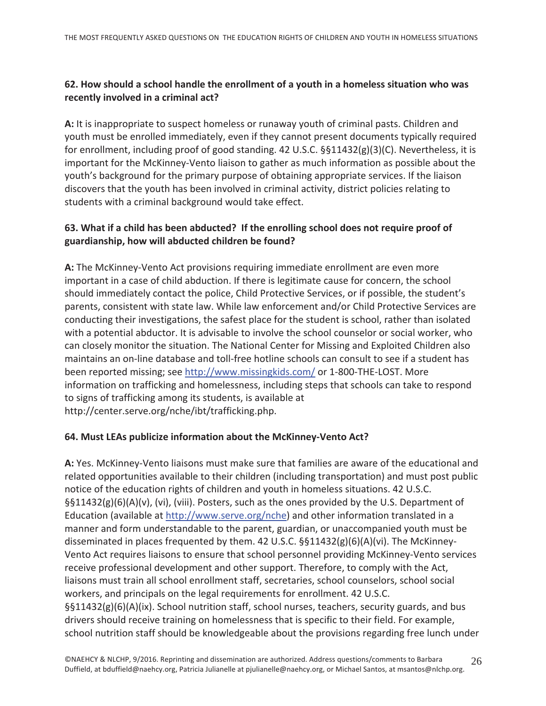# 62. How should a school handle the enrollment of a youth in a homeless situation who was recently involved in a criminal act?

A: It is inappropriate to suspect homeless or runaway youth of criminal pasts. Children and youth must be enrolled immediately, even if they cannot present documents typically required for enrollment, including proof of good standing. 42 U.S.C.  $\S$ 511432(g)(3)(C). Nevertheless, it is important for the McKinney-Vento liaison to gather as much information as possible about the youth's background for the primary purpose of obtaining appropriate services. If the liaison discovers that the youth has been involved in criminal activity, district policies relating to students with a criminal background would take effect.

# 63. What if a child has been abducted? If the enrolling school does not require proof of guardianship, how will abducted children be found?

A: The McKinney-Vento Act provisions requiring immediate enrollment are even more important in a case of child abduction. If there is legitimate cause for concern, the school should immediately contact the police, Child Protective Services, or if possible, the student's parents, consistent with state law. While law enforcement and/or Child Protective Services are conducting their investigations, the safest place for the student is school, rather than isolated with a potential abductor. It is advisable to involve the school counselor or social worker, who can closely monitor the situation. The National Center for Missing and Exploited Children also maintains an on-line database and toll-free hotline schools can consult to see if a student has been reported missing; see http://www.missingkids.com/ or 1-800-THE-LOST. More information on trafficking and homelessness, including steps that schools can take to respond to signs of trafficking among its students, is available at http://center.serve.org/nche/ibt/trafficking.php.

#### 64. Must LEAs publicize information about the McKinney-Vento Act?

A: Yes. McKinney-Vento liaisons must make sure that families are aware of the educational and related opportunities available to their children (including transportation) and must post public notice of the education rights of children and youth in homeless situations. 42 U.S.C.  $\S511432(g)(6)(A)(v)$ , (vi), (viii). Posters, such as the ones provided by the U.S. Department of Education (available at http://www.serve.org/nche) and other information translated in a manner and form understandable to the parent, guardian, or unaccompanied youth must be disseminated in places frequented by them. 42 U.S.C.  $\S$ §11432(g)(6)(A)(vi). The McKinney-Vento Act requires liaisons to ensure that school personnel providing McKinney-Vento services receive professional development and other support. Therefore, to comply with the Act, liaisons must train all school enrollment staff, secretaries, school counselors, school social workers, and principals on the legal requirements for enrollment. 42 U.S.C.  $\S41432(g)(6)(A)(ix)$ . School nutrition staff, school nurses, teachers, security guards, and bus drivers should receive training on homelessness that is specific to their field. For example, school nutrition staff should be knowledgeable about the provisions regarding free lunch under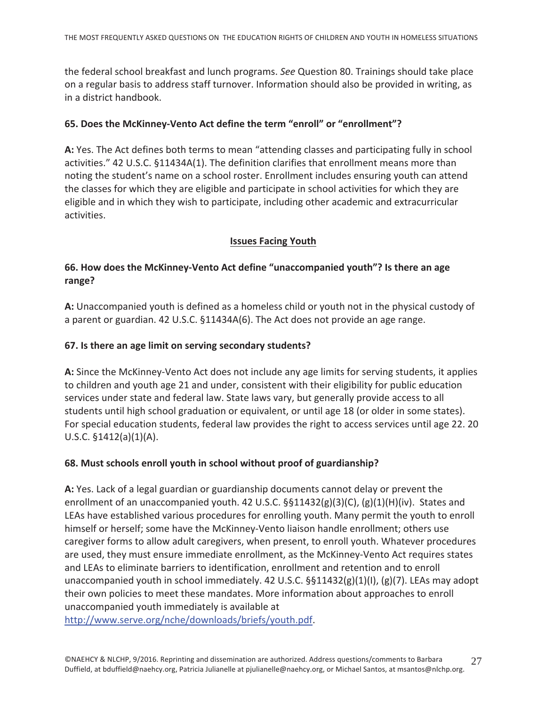the federal school breakfast and lunch programs. See Question 80. Trainings should take place on a regular basis to address staff turnover. Information should also be provided in writing, as in a district handbook.

# 65. Does the McKinney-Vento Act define the term "enroll" or "enrollment"?

A: Yes. The Act defines both terms to mean "attending classes and participating fully in school activities." 42 U.S.C. §11434A(1). The definition clarifies that enrollment means more than noting the student's name on a school roster. Enrollment includes ensuring youth can attend the classes for which they are eligible and participate in school activities for which they are eligible and in which they wish to participate, including other academic and extracurricular activities.

# **Issues Facing Youth**

# 66. How does the McKinney-Vento Act define "unaccompanied youth"? Is there an age range?

A: Unaccompanied youth is defined as a homeless child or youth not in the physical custody of a parent or guardian. 42 U.S.C. §11434A(6). The Act does not provide an age range.

# 67. Is there an age limit on serving secondary students?

A: Since the McKinney-Vento Act does not include any age limits for serving students, it applies to children and youth age 21 and under, consistent with their eligibility for public education services under state and federal law. State laws vary, but generally provide access to all students until high school graduation or equivalent, or until age 18 (or older in some states). For special education students, federal law provides the right to access services until age 22.20 U.S.C.  $$1412(a)(1)(A)$ .

#### 68. Must schools enroll youth in school without proof of guardianship?

A: Yes. Lack of a legal guardian or guardianship documents cannot delay or prevent the enrollment of an unaccompanied youth. 42 U.S.C.  $\S$ §11432(g)(3)(C), (g)(1)(H)(iv). States and LEAs have established various procedures for enrolling youth. Many permit the youth to enroll himself or herself; some have the McKinney-Vento liaison handle enrollment; others use caregiver forms to allow adult caregivers, when present, to enroll youth. Whatever procedures are used, they must ensure immediate enrollment, as the McKinney-Vento Act requires states and LEAs to eliminate barriers to identification, enrollment and retention and to enroll unaccompanied youth in school immediately. 42 U.S.C.  $\S$ §11432(g)(1)(I), (g)(7). LEAs may adopt their own policies to meet these mandates. More information about approaches to enroll unaccompanied youth immediately is available at

http://www.serve.org/nche/downloads/briefs/youth.pdf.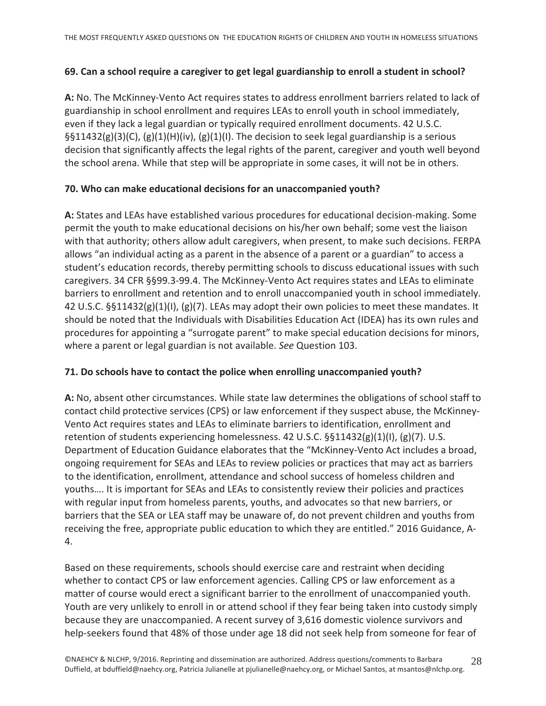#### 69. Can a school require a caregiver to get legal guardianship to enroll a student in school?

A: No. The McKinney-Vento Act requires states to address enrollment barriers related to lack of guardianship in school enrollment and requires LEAs to enroll youth in school immediately, even if they lack a legal guardian or typically required enrollment documents. 42 U.S.C.  $\S511432(g)(3)(C)$ , (g)(1)(H)(iv), (g)(1)(I). The decision to seek legal guardianship is a serious decision that significantly affects the legal rights of the parent, caregiver and youth well beyond the school arena. While that step will be appropriate in some cases, it will not be in others.

# 70. Who can make educational decisions for an unaccompanied youth?

A: States and LEAs have established various procedures for educational decision-making. Some permit the youth to make educational decisions on his/her own behalf; some vest the liaison with that authority; others allow adult caregivers, when present, to make such decisions. FERPA allows "an individual acting as a parent in the absence of a parent or a guardian" to access a student's education records, thereby permitting schools to discuss educational issues with such caregivers. 34 CFR §§99.3-99.4. The McKinney-Vento Act requires states and LEAs to eliminate barriers to enrollment and retention and to enroll unaccompanied youth in school immediately. 42 U.S.C.  $\S$ §11432(g)(1)(l), (g)(7). LEAs may adopt their own policies to meet these mandates. It should be noted that the Individuals with Disabilities Education Act (IDEA) has its own rules and procedures for appointing a "surrogate parent" to make special education decisions for minors, where a parent or legal guardian is not available. See Question 103.

#### 71. Do schools have to contact the police when enrolling unaccompanied youth?

A: No, absent other circumstances. While state law determines the obligations of school staff to contact child protective services (CPS) or law enforcement if they suspect abuse, the McKinney-Vento Act requires states and LEAs to eliminate barriers to identification, enrollment and retention of students experiencing homelessness. 42 U.S.C.  $\S$ §11432(g)(1)(l), (g)(7). U.S. Department of Education Guidance elaborates that the "McKinney-Vento Act includes a broad, ongoing requirement for SEAs and LEAs to review policies or practices that may act as barriers to the identification, enrollment, attendance and school success of homeless children and youths.... It is important for SEAs and LEAs to consistently review their policies and practices with regular input from homeless parents, youths, and advocates so that new barriers, or barriers that the SEA or LEA staff may be unaware of, do not prevent children and youths from receiving the free, appropriate public education to which they are entitled." 2016 Guidance, A- $\mathbf{4}$ .

Based on these requirements, schools should exercise care and restraint when deciding whether to contact CPS or law enforcement agencies. Calling CPS or law enforcement as a matter of course would erect a significant barrier to the enrollment of unaccompanied youth. Youth are very unlikely to enroll in or attend school if they fear being taken into custody simply because they are unaccompanied. A recent survey of 3,616 domestic violence survivors and help-seekers found that 48% of those under age 18 did not seek help from someone for fear of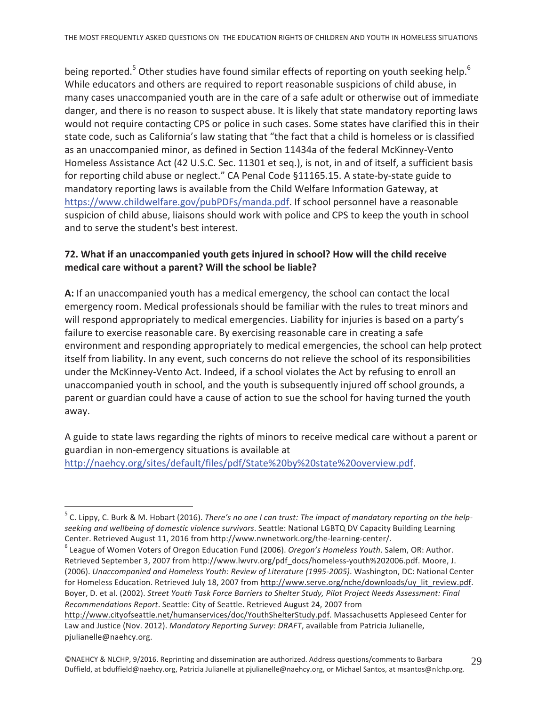being reported.<sup>5</sup> Other studies have found similar effects of reporting on youth seeking help.<sup>6</sup> While educators and others are required to report reasonable suspicions of child abuse, in many cases unaccompanied youth are in the care of a safe adult or otherwise out of immediate danger, and there is no reason to suspect abuse. It is likely that state mandatory reporting laws would not require contacting CPS or police in such cases. Some states have clarified this in their state code, such as California's law stating that "the fact that a child is homeless or is classified as an unaccompanied minor, as defined in Section 11434a of the federal McKinney-Vento Homeless Assistance Act (42 U.S.C. Sec. 11301 et seq.), is not, in and of itself, a sufficient basis for reporting child abuse or neglect." CA Penal Code §11165.15. A state-by-state guide to mandatory reporting laws is available from the Child Welfare Information Gateway, at https://www.childwelfare.gov/pubPDFs/manda.pdf. If school personnel have a reasonable suspicion of child abuse, liaisons should work with police and CPS to keep the youth in school and to serve the student's best interest.

#### 72. What if an unaccompanied youth gets injured in school? How will the child receive medical care without a parent? Will the school be liable?

A: If an unaccompanied youth has a medical emergency, the school can contact the local emergency room. Medical professionals should be familiar with the rules to treat minors and will respond appropriately to medical emergencies. Liability for injuries is based on a party's failure to exercise reasonable care. By exercising reasonable care in creating a safe environment and responding appropriately to medical emergencies, the school can help protect itself from liability. In any event, such concerns do not relieve the school of its responsibilities under the McKinney-Vento Act. Indeed, if a school violates the Act by refusing to enroll an unaccompanied youth in school, and the youth is subsequently injured off school grounds, a parent or guardian could have a cause of action to sue the school for having turned the youth away.

A guide to state laws regarding the rights of minors to receive medical care without a parent or guardian in non-emergency situations is available at http://naehcy.org/sites/default/files/pdf/State%20by%20state%20overview.pdf.

 $5$  C. Lippy, C. Burk & M. Hobart (2016). There's no one I can trust: The impact of mandatory reporting on the helpseeking and wellbeing of domestic violence survivors. Seattle: National LGBTQ DV Capacity Building Learning Center. Retrieved August 11, 2016 from http://www.nwnetwork.org/the-learning-center/.

 $6$  League of Women Voters of Oregon Education Fund (2006). Oregon's Homeless Youth. Salem, OR: Author. Retrieved September 3, 2007 from http://www.lwvrv.org/pdf docs/homeless-youth%202006.pdf. Moore, J. (2006). Unaccompanied and Homeless Youth: Review of Literature (1995-2005). Washington, DC: National Center for Homeless Education. Retrieved July 18, 2007 from http://www.serve.org/nche/downloads/uy\_lit\_review.pdf. Boyer, D. et al. (2002). Street Youth Task Force Barriers to Shelter Study, Pilot Project Needs Assessment: Final Recommendations Report. Seattle: City of Seattle. Retrieved August 24, 2007 from

http://www.cityofseattle.net/humanservices/doc/YouthShelterStudy.pdf. Massachusetts Appleseed Center for Law and Justice (Nov. 2012). Mandatory Reporting Survey: DRAFT, available from Patricia Julianelle, pjulianelle@naehcy.org.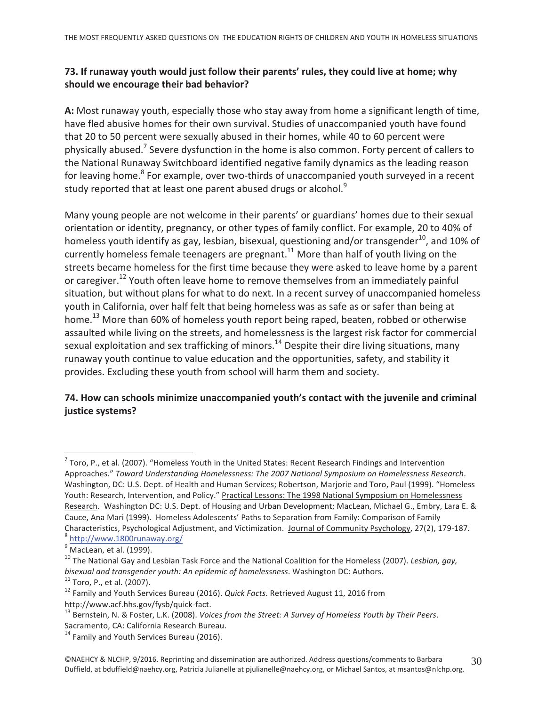# 73. If runaway youth would just follow their parents' rules, they could live at home; why should we encourage their bad behavior?

A: Most runaway youth, especially those who stay away from home a significant length of time, have fled abusive homes for their own survival. Studies of unaccompanied youth have found that 20 to 50 percent were sexually abused in their homes, while 40 to 60 percent were physically abused.<sup>7</sup> Severe dysfunction in the home is also common. Forty percent of callers to the National Runaway Switchboard identified negative family dynamics as the leading reason for leaving home.<sup>8</sup> For example, over two-thirds of unaccompanied youth surveyed in a recent study reported that at least one parent abused drugs or alcohol.<sup>9</sup>

Many young people are not welcome in their parents' or guardians' homes due to their sexual orientation or identity, pregnancy, or other types of family conflict. For example, 20 to 40% of homeless youth identify as gay, lesbian, bisexual, questioning and/or transgender<sup>10</sup>, and 10% of currently homeless female teenagers are pregnant.<sup>11</sup> More than half of youth living on the streets became homeless for the first time because they were asked to leave home by a parent or caregiver.<sup>12</sup> Youth often leave home to remove themselves from an immediately painful situation, but without plans for what to do next. In a recent survey of unaccompanied homeless youth in California, over half felt that being homeless was as safe as or safer than being at home.<sup>13</sup> More than 60% of homeless youth report being raped, beaten, robbed or otherwise assaulted while living on the streets, and homelessness is the largest risk factor for commercial sexual exploitation and sex trafficking of minors.<sup>14</sup> Despite their dire living situations, many runaway youth continue to value education and the opportunities, safety, and stability it provides. Excluding these youth from school will harm them and society.

# 74. How can schools minimize unaccompanied youth's contact with the juvenile and criminal justice systems?

 $^7$  Toro, P., et al. (2007). "Homeless Youth in the United States: Recent Research Findings and Intervention Approaches." Toward Understanding Homelessness: The 2007 National Symposium on Homelessness Research. Washington, DC: U.S. Dept. of Health and Human Services; Robertson, Marjorie and Toro, Paul (1999). "Homeless Youth: Research, Intervention, and Policy." Practical Lessons: The 1998 National Symposium on Homelessness Research. Washington DC: U.S. Dept. of Housing and Urban Development; MacLean, Michael G., Embry, Lara E. & Cauce, Ana Mari (1999). Homeless Adolescents' Paths to Separation from Family: Comparison of Family Characteristics, Psychological Adjustment, and Victimization. Journal of Community Psychology, 27(2), 179-187. <sup>8</sup> http://www.1800runaway.org/

 $9$  MacLean, et al. (1999).

<sup>&</sup>lt;sup>10</sup> The National Gay and Lesbian Task Force and the National Coalition for the Homeless (2007). Lesbian, gay, bisexual and transgender youth: An epidemic of homelessness. Washington DC: Authors.

 $11$  Toro, P., et al. (2007).

<sup>&</sup>lt;sup>12</sup> Family and Youth Services Bureau (2016). Quick Facts. Retrieved August 11, 2016 from http://www.acf.hhs.gov/fysb/quick-fact.

<sup>&</sup>lt;sup>13</sup> Bernstein, N. & Foster, L.K. (2008). Voices from the Street: A Survey of Homeless Youth by Their Peers. Sacramento, CA: California Research Bureau.

<sup>&</sup>lt;sup>14</sup> Family and Youth Services Bureau (2016).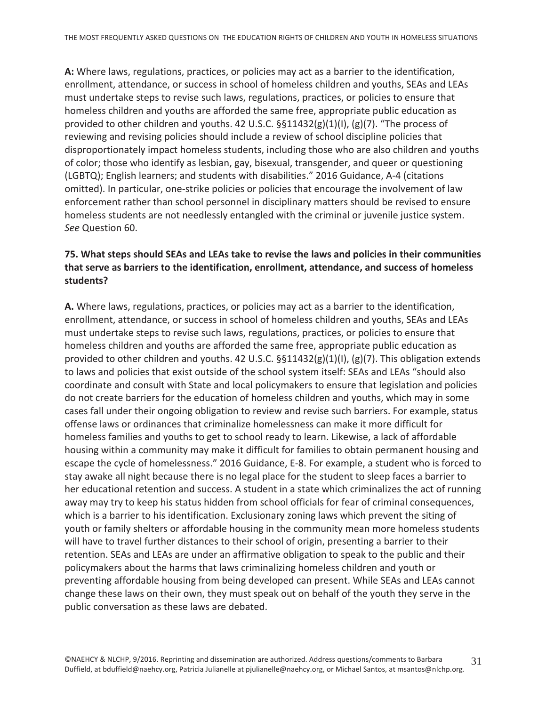A: Where laws, regulations, practices, or policies may act as a barrier to the identification, enrollment, attendance, or success in school of homeless children and youths, SEAs and LEAs must undertake steps to revise such laws, regulations, practices, or policies to ensure that homeless children and youths are afforded the same free, appropriate public education as provided to other children and youths. 42 U.S.C. §§11432(g)(1)(I), (g)(7). "The process of reviewing and revising policies should include a review of school discipline policies that disproportionately impact homeless students, including those who are also children and youths of color; those who identify as lesbian, gay, bisexual, transgender, and queer or questioning (LGBTQ); English learners; and students with disabilities." 2016 Guidance, A-4 (citations omitted). In particular, one-strike policies or policies that encourage the involvement of law enforcement rather than school personnel in disciplinary matters should be revised to ensure homeless students are not needlessly entangled with the criminal or juvenile justice system. See Question 60.

# 75. What steps should SEAs and LEAs take to revise the laws and policies in their communities that serve as barriers to the identification, enrollment, attendance, and success of homeless students?

A. Where laws, regulations, practices, or policies may act as a barrier to the identification, enrollment, attendance, or success in school of homeless children and youths, SEAs and LEAs must undertake steps to revise such laws, regulations, practices, or policies to ensure that homeless children and youths are afforded the same free, appropriate public education as provided to other children and youths. 42 U.S.C.  $\S$ §11432(g)(1)(l), (g)(7). This obligation extends to laws and policies that exist outside of the school system itself: SEAs and LEAs "should also coordinate and consult with State and local policymakers to ensure that legislation and policies do not create barriers for the education of homeless children and youths, which may in some cases fall under their ongoing obligation to review and revise such barriers. For example, status offense laws or ordinances that criminalize homelessness can make it more difficult for homeless families and youths to get to school ready to learn. Likewise, a lack of affordable housing within a community may make it difficult for families to obtain permanent housing and escape the cycle of homelessness." 2016 Guidance, E-8. For example, a student who is forced to stay awake all night because there is no legal place for the student to sleep faces a barrier to her educational retention and success. A student in a state which criminalizes the act of running away may try to keep his status hidden from school officials for fear of criminal consequences, which is a barrier to his identification. Exclusionary zoning laws which prevent the siting of youth or family shelters or affordable housing in the community mean more homeless students will have to travel further distances to their school of origin, presenting a barrier to their retention. SEAs and LEAs are under an affirmative obligation to speak to the public and their policymakers about the harms that laws criminalizing homeless children and youth or preventing affordable housing from being developed can present. While SEAs and LEAs cannot change these laws on their own, they must speak out on behalf of the youth they serve in the public conversation as these laws are debated.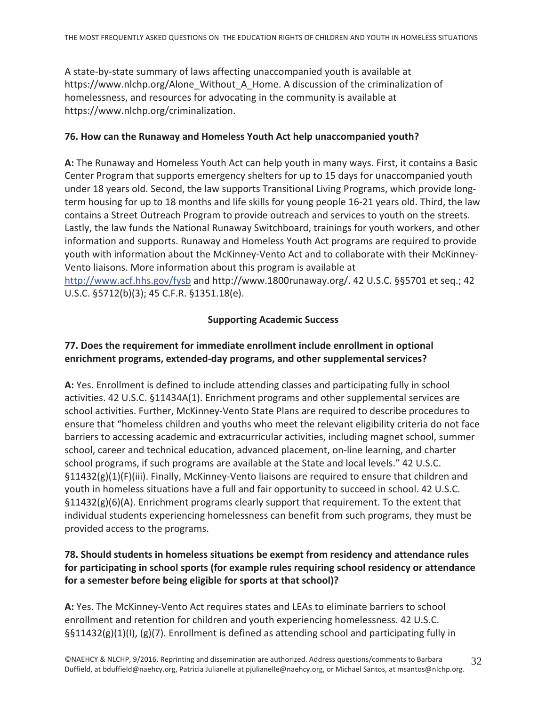A state-by-state summary of laws affecting unaccompanied youth is available at https://www.nlchp.org/Alone\_Without\_A\_Home. A discussion of the criminalization of homelessness, and resources for advocating in the community is available at https://www.nlchp.org/criminalization.

#### 76. How can the Runaway and Homeless Youth Act help unaccompanied youth?

A: The Runaway and Homeless Youth Act can help youth in many ways. First, it contains a Basic Center Program that supports emergency shelters for up to 15 days for unaccompanied youth under 18 years old. Second, the law supports Transitional Living Programs, which provide longterm housing for up to 18 months and life skills for young people 16-21 years old. Third, the law contains a Street Outreach Program to provide outreach and services to youth on the streets. Lastly, the law funds the National Runaway Switchboard, trainings for youth workers, and other information and supports. Runaway and Homeless Youth Act programs are required to provide youth with information about the McKinney-Vento Act and to collaborate with their McKinney-Vento liaisons. More information about this program is available at http://www.acf.hhs.gov/fysb and http://www.1800runaway.org/. 42 U.S.C. §§5701 et seq.; 42

U.S.C. §5712(b)(3); 45 C.F.R. §1351.18(e).

#### **Supporting Academic Success**

# 77. Does the requirement for immediate enrollment include enrollment in optional enrichment programs, extended-day programs, and other supplemental services?

A: Yes. Enrollment is defined to include attending classes and participating fully in school activities. 42 U.S.C. §11434A(1). Enrichment programs and other supplemental services are school activities. Further, McKinney-Vento State Plans are required to describe procedures to ensure that "homeless children and youths who meet the relevant eligibility criteria do not face barriers to accessing academic and extracurricular activities, including magnet school, summer school, career and technical education, advanced placement, on-line learning, and charter school programs, if such programs are available at the State and local levels." 42 U.S.C.  $\S11432(g)(1)(F)(iii)$ . Finally, McKinney-Vento liaisons are required to ensure that children and youth in homeless situations have a full and fair opportunity to succeed in school. 42 U.S.C.  $\S11432(g)(6)(A)$ . Enrichment programs clearly support that requirement. To the extent that individual students experiencing homelessness can benefit from such programs, they must be provided access to the programs.

# 78. Should students in homeless situations be exempt from residency and attendance rules for participating in school sports (for example rules requiring school residency or attendance for a semester before being eligible for sports at that school)?

A: Yes. The McKinney-Vento Act requires states and LEAs to eliminate barriers to school enrollment and retention for children and youth experiencing homelessness. 42 U.S.C.  $\S511432(g)(1)(1)$ , (g)(7). Enrollment is defined as attending school and participating fully in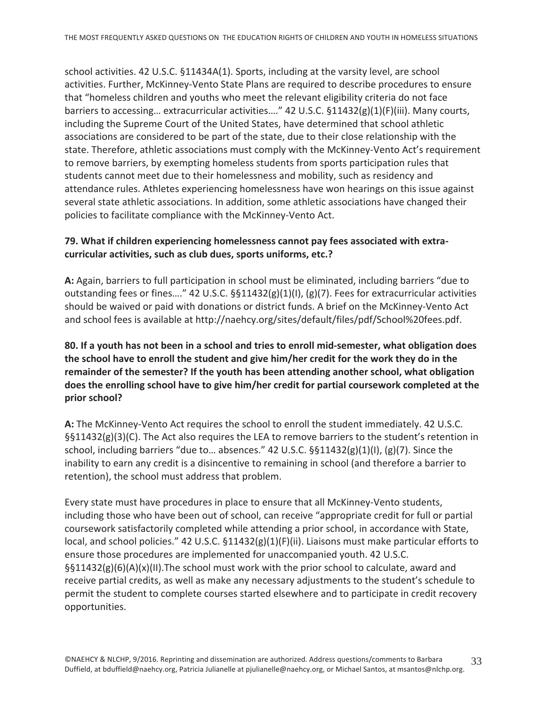school activities. 42 U.S.C. §11434A(1). Sports, including at the varsity level, are school activities. Further, McKinney-Vento State Plans are required to describe procedures to ensure that "homeless children and youths who meet the relevant eligibility criteria do not face barriers to accessing... extracurricular activities...." 42 U.S.C.  $\S 11432(g)(1)(F)(iii)$ . Many courts, including the Supreme Court of the United States, have determined that school athletic associations are considered to be part of the state, due to their close relationship with the state. Therefore, athletic associations must comply with the McKinney-Vento Act's requirement to remove barriers, by exempting homeless students from sports participation rules that students cannot meet due to their homelessness and mobility, such as residency and attendance rules. Athletes experiencing homelessness have won hearings on this issue against several state athletic associations. In addition, some athletic associations have changed their policies to facilitate compliance with the McKinney-Vento Act.

#### 79. What if children experiencing homelessness cannot pay fees associated with extracurricular activities, such as club dues, sports uniforms, etc.?

A: Again, barriers to full participation in school must be eliminated, including barriers "due to outstanding fees or fines...." 42 U.S.C. §§11432(g)(1)(I), (g)(7). Fees for extracurricular activities should be waived or paid with donations or district funds. A brief on the McKinney-Vento Act and school fees is available at http://naehcy.org/sites/default/files/pdf/School%20fees.pdf.

# 80. If a youth has not been in a school and tries to enroll mid-semester, what obligation does the school have to enroll the student and give him/her credit for the work they do in the remainder of the semester? If the youth has been attending another school, what obligation does the enrolling school have to give him/her credit for partial coursework completed at the prior school?

A: The McKinney-Vento Act requires the school to enroll the student immediately. 42 U.S.C. §§11432(g)(3)(C). The Act also requires the LEA to remove barriers to the student's retention in school, including barriers "due to... absences." 42 U.S.C.  $\S$  11432(g)(1)(l), (g)(7). Since the inability to earn any credit is a disincentive to remaining in school (and therefore a barrier to retention), the school must address that problem.

Every state must have procedures in place to ensure that all McKinney-Vento students, including those who have been out of school, can receive "appropriate credit for full or partial coursework satisfactorily completed while attending a prior school, in accordance with State, local, and school policies." 42 U.S.C.  $\S 11432(g)(1)(F)(ii)$ . Liaisons must make particular efforts to ensure those procedures are implemented for unaccompanied youth. 42 U.S.C.  $\S511432(g)(6)(A)(x)(II)$ . The school must work with the prior school to calculate, award and receive partial credits, as well as make any necessary adjustments to the student's schedule to permit the student to complete courses started elsewhere and to participate in credit recovery opportunities.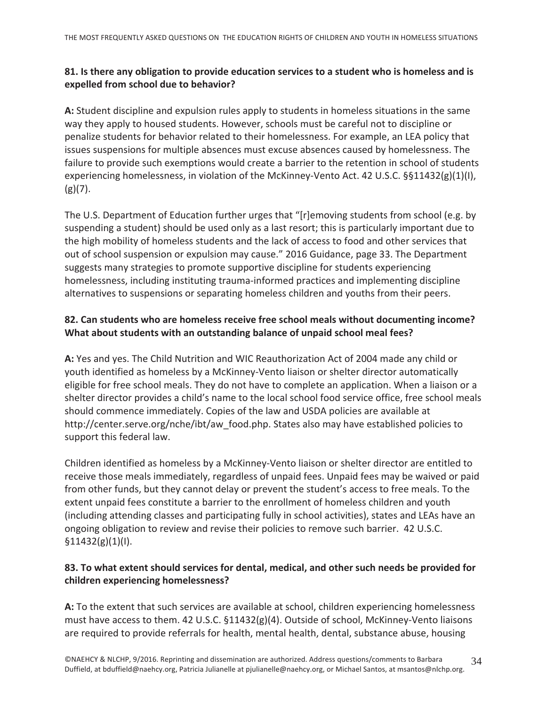# 81. Is there any obligation to provide education services to a student who is homeless and is expelled from school due to behavior?

A: Student discipline and expulsion rules apply to students in homeless situations in the same way they apply to housed students. However, schools must be careful not to discipline or penalize students for behavior related to their homelessness. For example, an LEA policy that issues suspensions for multiple absences must excuse absences caused by homelessness. The failure to provide such exemptions would create a barrier to the retention in school of students experiencing homelessness, in violation of the McKinney-Vento Act. 42 U.S.C.  $\S$ §11432(g)(1)(l),  $(g)(7)$ .

The U.S. Department of Education further urges that "[r]emoving students from school (e.g. by suspending a student) should be used only as a last resort; this is particularly important due to the high mobility of homeless students and the lack of access to food and other services that out of school suspension or expulsion may cause." 2016 Guidance, page 33. The Department suggests many strategies to promote supportive discipline for students experiencing homelessness, including instituting trauma-informed practices and implementing discipline alternatives to suspensions or separating homeless children and youths from their peers.

# 82. Can students who are homeless receive free school meals without documenting income? What about students with an outstanding balance of unpaid school meal fees?

A: Yes and yes. The Child Nutrition and WIC Reauthorization Act of 2004 made any child or youth identified as homeless by a McKinney-Vento liaison or shelter director automatically eligible for free school meals. They do not have to complete an application. When a liaison or a shelter director provides a child's name to the local school food service office, free school meals should commence immediately. Copies of the law and USDA policies are available at http://center.serve.org/nche/ibt/aw food.php. States also may have established policies to support this federal law.

Children identified as homeless by a McKinney-Vento liaison or shelter director are entitled to receive those meals immediately, regardless of unpaid fees. Unpaid fees may be waived or paid from other funds, but they cannot delay or prevent the student's access to free meals. To the extent unpaid fees constitute a barrier to the enrollment of homeless children and youth (including attending classes and participating fully in school activities), states and LEAs have an ongoing obligation to review and revise their policies to remove such barrier. 42 U.S.C.  $$11432(g)(1)(I).$ 

# 83. To what extent should services for dental, medical, and other such needs be provided for children experiencing homelessness?

A: To the extent that such services are available at school, children experiencing homelessness must have access to them. 42 U.S.C. §11432(g)(4). Outside of school, McKinney-Vento liaisons are required to provide referrals for health, mental health, dental, substance abuse, housing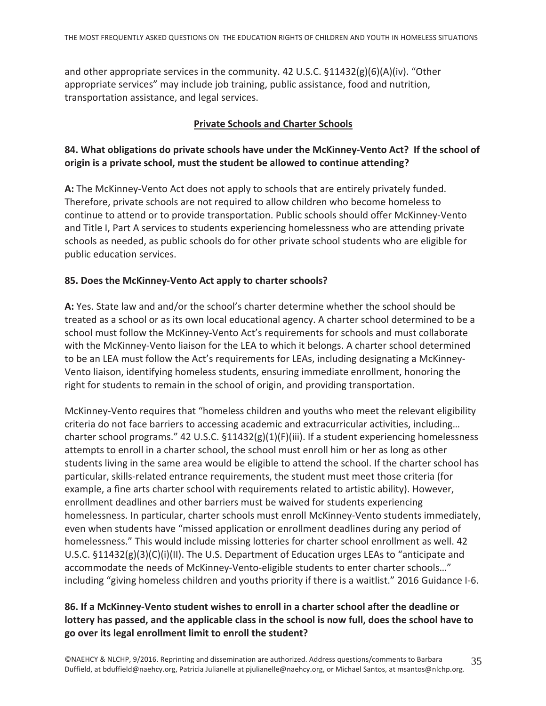and other appropriate services in the community. 42 U.S.C.  $$11432(g)(6)(A)(iv)$ . "Other appropriate services" may include job training, public assistance, food and nutrition, transportation assistance, and legal services.

#### **Private Schools and Charter Schools**

# 84. What obligations do private schools have under the McKinney-Vento Act? If the school of origin is a private school, must the student be allowed to continue attending?

A: The McKinney-Vento Act does not apply to schools that are entirely privately funded. Therefore, private schools are not required to allow children who become homeless to continue to attend or to provide transportation. Public schools should offer McKinney-Vento and Title I, Part A services to students experiencing homelessness who are attending private schools as needed, as public schools do for other private school students who are eligible for public education services.

#### 85. Does the McKinney-Vento Act apply to charter schools?

A: Yes. State law and and/or the school's charter determine whether the school should be treated as a school or as its own local educational agency. A charter school determined to be a school must follow the McKinney-Vento Act's requirements for schools and must collaborate with the McKinney-Vento liaison for the LEA to which it belongs. A charter school determined to be an LEA must follow the Act's requirements for LEAs, including designating a McKinney-Vento liaison, identifying homeless students, ensuring immediate enrollment, honoring the right for students to remain in the school of origin, and providing transportation.

McKinney-Vento requires that "homeless children and youths who meet the relevant eligibility criteria do not face barriers to accessing academic and extracurricular activities, including... charter school programs." 42 U.S.C.  $\S 11432(g)(1)(F)(iii)$ . If a student experiencing homelessness attempts to enroll in a charter school, the school must enroll him or her as long as other students living in the same area would be eligible to attend the school. If the charter school has particular, skills-related entrance requirements, the student must meet those criteria (for example, a fine arts charter school with requirements related to artistic ability). However, enrollment deadlines and other barriers must be waived for students experiencing homelessness. In particular, charter schools must enroll McKinney-Vento students immediately, even when students have "missed application or enrollment deadlines during any period of homelessness." This would include missing lotteries for charter school enrollment as well. 42 U.S.C.  $\S 11432(g)(3)(C)(i)(II)$ . The U.S. Department of Education urges LEAs to "anticipate and accommodate the needs of McKinney-Vento-eligible students to enter charter schools..." including "giving homeless children and youths priority if there is a waitlist." 2016 Guidance I-6.

# 86. If a McKinney-Vento student wishes to enroll in a charter school after the deadline or lottery has passed, and the applicable class in the school is now full, does the school have to go over its legal enrollment limit to enroll the student?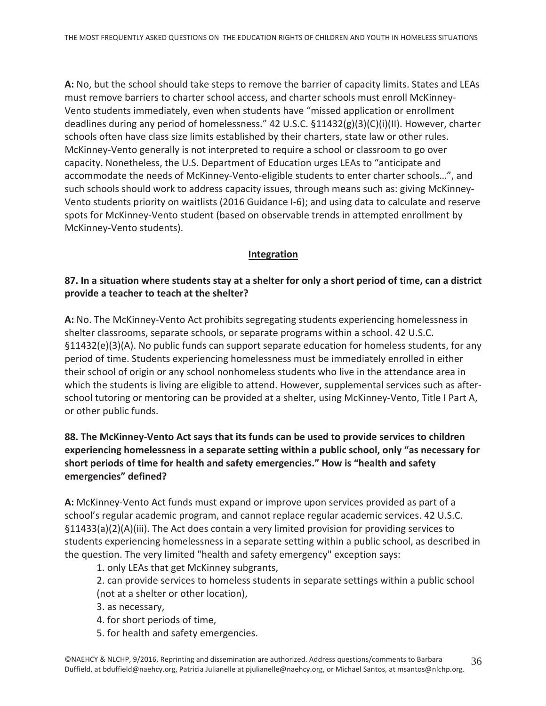A: No, but the school should take steps to remove the barrier of capacity limits. States and LEAs must remove barriers to charter school access, and charter schools must enroll McKinney-Vento students immediately, even when students have "missed application or enrollment" deadlines during any period of homelessness." 42 U.S.C.  $\S 11432(g)(3)(C)(i)(1)$ . However, charter schools often have class size limits established by their charters, state law or other rules. McKinney-Vento generally is not interpreted to require a school or classroom to go over capacity. Nonetheless, the U.S. Department of Education urges LEAs to "anticipate and accommodate the needs of McKinney-Vento-eligible students to enter charter schools...", and such schools should work to address capacity issues, through means such as: giving McKinney-Vento students priority on waitlists (2016 Guidance I-6); and using data to calculate and reserve spots for McKinney-Vento student (based on observable trends in attempted enrollment by McKinney-Vento students).

#### Integration

#### 87. In a situation where students stay at a shelter for only a short period of time, can a district provide a teacher to teach at the shelter?

A: No. The McKinney-Vento Act prohibits segregating students experiencing homelessness in shelter classrooms, separate schools, or separate programs within a school. 42 U.S.C.  $§11432(e)(3)(A)$ . No public funds can support separate education for homeless students, for any period of time. Students experiencing homelessness must be immediately enrolled in either their school of origin or any school nonhomeless students who live in the attendance area in which the students is living are eligible to attend. However, supplemental services such as afterschool tutoring or mentoring can be provided at a shelter, using McKinney-Vento, Title I Part A, or other public funds.

#### 88. The McKinney-Vento Act says that its funds can be used to provide services to children experiencing homelessness in a separate setting within a public school, only "as necessary for short periods of time for health and safety emergencies." How is "health and safety emergencies" defined?

A: McKinney-Vento Act funds must expand or improve upon services provided as part of a school's regular academic program, and cannot replace regular academic services. 42 U.S.C.  $\S11433(a)(2)(A)(iii)$ . The Act does contain a very limited provision for providing services to students experiencing homelessness in a separate setting within a public school, as described in the question. The very limited "health and safety emergency" exception says:

1. only LEAs that get McKinney subgrants,

- 2. can provide services to homeless students in separate settings within a public school (not at a shelter or other location),
- 3. as necessary,
- 4. for short periods of time,
- 5. for health and safety emergencies.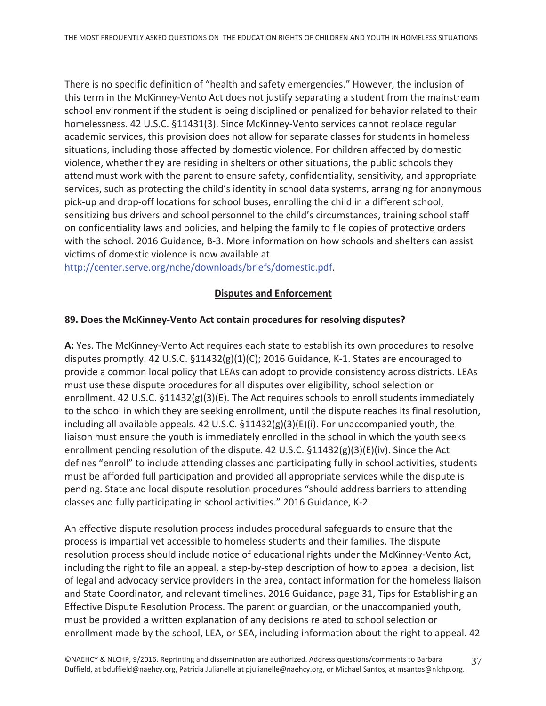There is no specific definition of "health and safety emergencies." However, the inclusion of this term in the McKinney-Vento Act does not justify separating a student from the mainstream school environment if the student is being disciplined or penalized for behavior related to their homelessness. 42 U.S.C. §11431(3). Since McKinney-Vento services cannot replace regular academic services, this provision does not allow for separate classes for students in homeless situations, including those affected by domestic violence. For children affected by domestic violence, whether they are residing in shelters or other situations, the public schools they attend must work with the parent to ensure safety, confidentiality, sensitivity, and appropriate services, such as protecting the child's identity in school data systems, arranging for anonymous pick-up and drop-off locations for school buses, enrolling the child in a different school, sensitizing bus drivers and school personnel to the child's circumstances, training school staff on confidentiality laws and policies, and helping the family to file copies of protective orders with the school. 2016 Guidance, B-3. More information on how schools and shelters can assist victims of domestic violence is now available at

http://center.serve.org/nche/downloads/briefs/domestic.pdf.

# **Disputes and Enforcement**

#### 89. Does the McKinney-Vento Act contain procedures for resolving disputes?

A: Yes. The McKinney-Vento Act requires each state to establish its own procedures to resolve disputes promptly. 42 U.S.C.  $\S11432(g)(1)(C)$ ; 2016 Guidance, K-1. States are encouraged to provide a common local policy that LEAs can adopt to provide consistency across districts. LEAs must use these dispute procedures for all disputes over eligibility, school selection or enrollment. 42 U.S.C.  $\S11432(g)(3)(E)$ . The Act requires schools to enroll students immediately to the school in which they are seeking enrollment, until the dispute reaches its final resolution, including all available appeals. 42 U.S.C.  $\S 11432(g)(3)(E)(i)$ . For unaccompanied youth, the liaison must ensure the youth is immediately enrolled in the school in which the youth seeks enrollment pending resolution of the dispute. 42 U.S.C.  $\S 11432(g)(3)(E)(iv)$ . Since the Act defines "enroll" to include attending classes and participating fully in school activities, students must be afforded full participation and provided all appropriate services while the dispute is pending. State and local dispute resolution procedures "should address barriers to attending classes and fully participating in school activities." 2016 Guidance, K-2.

An effective dispute resolution process includes procedural safeguards to ensure that the process is impartial yet accessible to homeless students and their families. The dispute resolution process should include notice of educational rights under the McKinney-Vento Act, including the right to file an appeal, a step-by-step description of how to appeal a decision, list of legal and advocacy service providers in the area, contact information for the homeless liaison and State Coordinator, and relevant timelines. 2016 Guidance, page 31, Tips for Establishing an Effective Dispute Resolution Process. The parent or guardian, or the unaccompanied youth, must be provided a written explanation of any decisions related to school selection or enrollment made by the school, LEA, or SEA, including information about the right to appeal. 42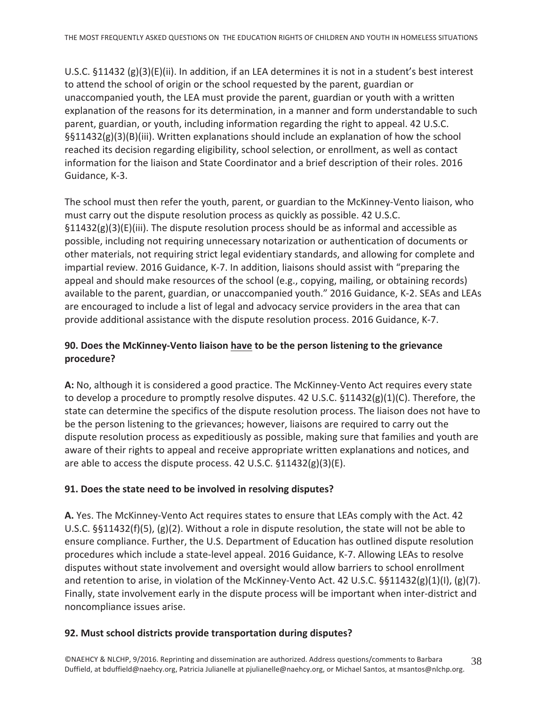U.S.C.  $\S 11432$  (g)(3)(E)(ii). In addition, if an LEA determines it is not in a student's best interest to attend the school of origin or the school requested by the parent, guardian or unaccompanied youth, the LEA must provide the parent, guardian or youth with a written explanation of the reasons for its determination, in a manner and form understandable to such parent, guardian, or youth, including information regarding the right to appeal. 42 U.S.C. §§11432(g)(3)(B)(iii). Written explanations should include an explanation of how the school reached its decision regarding eligibility, school selection, or enrollment, as well as contact information for the liaison and State Coordinator and a brief description of their roles. 2016 Guidance, K-3.

The school must then refer the youth, parent, or guardian to the McKinney-Vento liaison, who must carry out the dispute resolution process as quickly as possible. 42 U.S.C.  $\S11432(g)(3)(E)(iii)$ . The dispute resolution process should be as informal and accessible as possible, including not requiring unnecessary notarization or authentication of documents or other materials, not requiring strict legal evidentiary standards, and allowing for complete and impartial review. 2016 Guidance, K-7. In addition, liaisons should assist with "preparing the appeal and should make resources of the school (e.g., copying, mailing, or obtaining records) available to the parent, guardian, or unaccompanied youth." 2016 Guidance, K-2. SEAs and LEAs are encouraged to include a list of legal and advocacy service providers in the area that can provide additional assistance with the dispute resolution process. 2016 Guidance, K-7.

# 90. Does the McKinney-Vento liaison have to be the person listening to the grievance procedure?

A: No, although it is considered a good practice. The McKinney-Vento Act requires every state to develop a procedure to promptly resolve disputes. 42 U.S.C.  $\S 11432(g)(1)(C)$ . Therefore, the state can determine the specifics of the dispute resolution process. The liaison does not have to be the person listening to the grievances; however, liaisons are required to carry out the dispute resolution process as expeditiously as possible, making sure that families and youth are aware of their rights to appeal and receive appropriate written explanations and notices, and are able to access the dispute process. 42 U.S.C.  $\S 11432(g)(3)(E)$ .

#### 91. Does the state need to be involved in resolving disputes?

A. Yes. The McKinney-Vento Act requires states to ensure that LEAs comply with the Act. 42 U.S.C. §§11432(f)(5), (g)(2). Without a role in dispute resolution, the state will not be able to ensure compliance. Further, the U.S. Department of Education has outlined dispute resolution procedures which include a state-level appeal. 2016 Guidance, K-7. Allowing LEAs to resolve disputes without state involvement and oversight would allow barriers to school enrollment and retention to arise, in violation of the McKinney-Vento Act. 42 U.S.C.  $\S$ §11432(g)(1)(l), (g)(7). Finally, state involvement early in the dispute process will be important when inter-district and noncompliance issues arise.

#### 92. Must school districts provide transportation during disputes?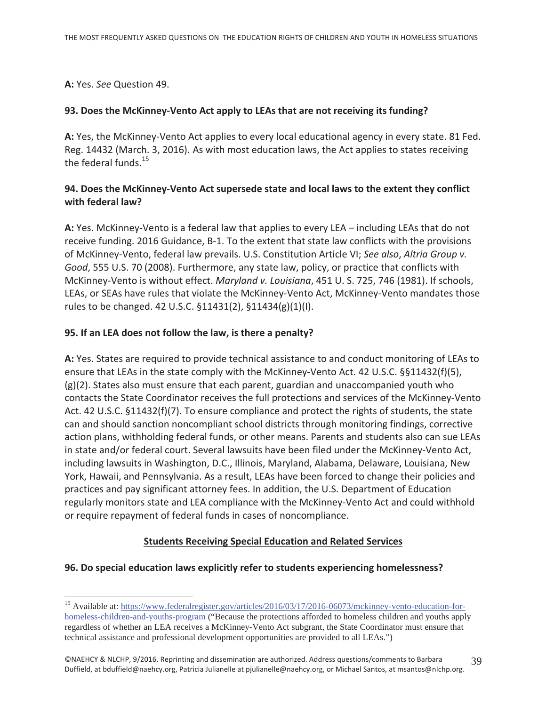A: Yes. See Question 49.

#### 93. Does the McKinney-Vento Act apply to LEAs that are not receiving its funding?

A: Yes, the McKinney-Vento Act applies to every local educational agency in every state. 81 Fed. Reg. 14432 (March. 3, 2016). As with most education laws, the Act applies to states receiving the federal funds.  $15$ 

#### 94. Does the McKinney-Vento Act supersede state and local laws to the extent they conflict with federal law?

A: Yes. McKinney-Vento is a federal law that applies to every LEA – including LEAs that do not receive funding. 2016 Guidance, B-1. To the extent that state law conflicts with the provisions of McKinney-Vento, federal law prevails. U.S. Constitution Article VI; See also, Altria Group v. *Good*, 555 U.S. 70 (2008). Furthermore, any state law, policy, or practice that conflicts with McKinney-Vento is without effect. Maryland v. Louisiana, 451 U. S. 725, 746 (1981). If schools, LEAs, or SEAs have rules that violate the McKinney-Vento Act, McKinney-Vento mandates those rules to be changed. 42 U.S.C. §11431(2), §11434(g)(1)(I).

# **95. If an LEA does not follow the law, is there a penalty?**

A: Yes. States are required to provide technical assistance to and conduct monitoring of LEAs to ensure that LEAs in the state comply with the McKinney-Vento Act. 42 U.S.C. §§11432(f)(5),  $(g)(2)$ . States also must ensure that each parent, guardian and unaccompanied youth who contacts the State Coordinator receives the full protections and services of the McKinney-Vento Act. 42 U.S.C. §11432(f)(7). To ensure compliance and protect the rights of students, the state can and should sanction noncompliant school districts through monitoring findings, corrective action plans, withholding federal funds, or other means. Parents and students also can sue LEAs in state and/or federal court. Several lawsuits have been filed under the McKinney-Vento Act, including lawsuits in Washington, D.C., Illinois, Maryland, Alabama, Delaware, Louisiana, New York, Hawaii, and Pennsylvania. As a result, LEAs have been forced to change their policies and practices and pay significant attorney fees. In addition, the U.S. Department of Education regularly monitors state and LEA compliance with the McKinney-Vento Act and could withhold or require repayment of federal funds in cases of noncompliance.

#### **Students Receiving Special Education and Related Services**

#### **96. Do special education laws explicitly refer to students experiencing homelessness?**

 $\overline{a}$ <sup>15</sup> Available at: https://www.federalregister.gov/articles/2016/03/17/2016-06073/mckinney-vento-education-forhomeless-children-and-youths-program ("Because the protections afforded to homeless children and youths apply regardless of whether an LEA receives a McKinney-Vento Act subgrant, the State Coordinator must ensure that technical assistance and professional development opportunities are provided to all LEAs.")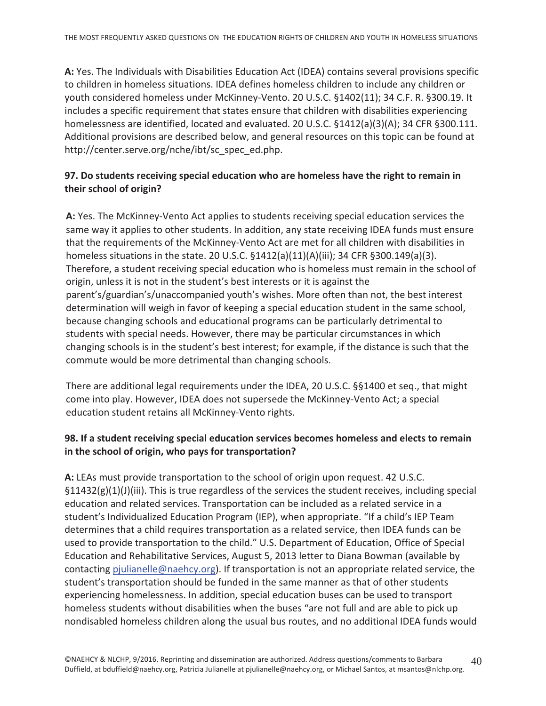A: Yes. The Individuals with Disabilities Education Act (IDEA) contains several provisions specific to children in homeless situations. IDEA defines homeless children to include any children or youth considered homeless under McKinney-Vento. 20 U.S.C. §1402(11); 34 C.F. R. §300.19. It includes a specific requirement that states ensure that children with disabilities experiencing homelessness are identified, located and evaluated. 20 U.S.C. §1412(a)(3)(A); 34 CFR §300.111. Additional provisions are described below, and general resources on this topic can be found at http://center.serve.org/nche/ibt/sc\_spec\_ed.php.

# 97. Do students receiving special education who are homeless have the right to remain in their school of origin?

A: Yes. The McKinney-Vento Act applies to students receiving special education services the same way it applies to other students. In addition, any state receiving IDEA funds must ensure that the requirements of the McKinney-Vento Act are met for all children with disabilities in homeless situations in the state. 20 U.S.C.  $\S 1412(a)(11)(A)(iii)$ ; 34 CFR  $\S 300.149(a)(3)$ . Therefore, a student receiving special education who is homeless must remain in the school of origin, unless it is not in the student's best interests or it is against the parent's/guardian's/unaccompanied youth's wishes. More often than not, the best interest determination will weigh in favor of keeping a special education student in the same school, because changing schools and educational programs can be particularly detrimental to students with special needs. However, there may be particular circumstances in which changing schools is in the student's best interest; for example, if the distance is such that the commute would be more detrimental than changing schools.

There are additional legal requirements under the IDEA, 20 U.S.C. §§1400 et seq., that might come into play. However, IDEA does not supersede the McKinney-Vento Act; a special education student retains all McKinney-Vento rights.

#### 98. If a student receiving special education services becomes homeless and elects to remain in the school of origin, who pays for transportation?

A: LEAs must provide transportation to the school of origin upon request. 42 U.S.C.  $\S11432(g)(1)(J)(iii)$ . This is true regardless of the services the student receives, including special education and related services. Transportation can be included as a related service in a student's Individualized Education Program (IEP), when appropriate. "If a child's IEP Team determines that a child requires transportation as a related service, then IDEA funds can be used to provide transportation to the child." U.S. Department of Education, Office of Special Education and Rehabilitative Services, August 5, 2013 letter to Diana Bowman (available by contacting pjulianelle@naehcy.org). If transportation is not an appropriate related service, the student's transportation should be funded in the same manner as that of other students experiencing homelessness. In addition, special education buses can be used to transport homeless students without disabilities when the buses "are not full and are able to pick up nondisabled homeless children along the usual bus routes, and no additional IDEA funds would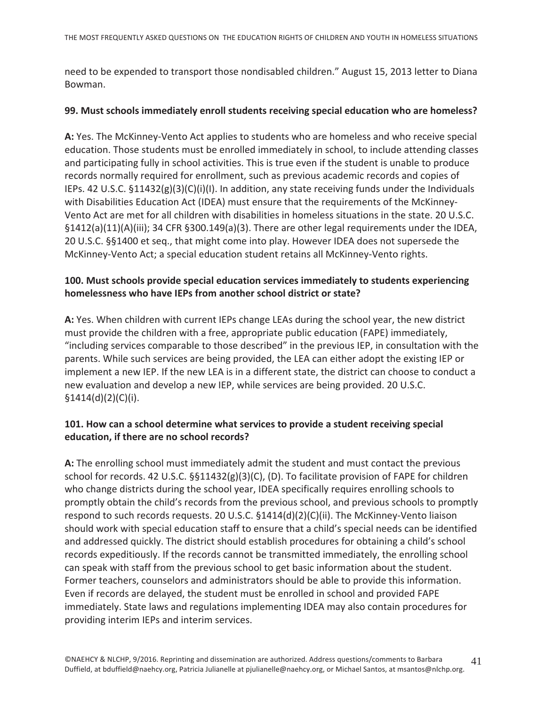need to be expended to transport those nondisabled children." August 15, 2013 letter to Diana Bowman.

#### 99. Must schools immediately enroll students receiving special education who are homeless?

A: Yes. The McKinney-Vento Act applies to students who are homeless and who receive special education. Those students must be enrolled immediately in school, to include attending classes and participating fully in school activities. This is true even if the student is unable to produce records normally required for enrollment, such as previous academic records and copies of IEPs. 42 U.S.C.  $\S 11432(g)(3)(C)(i)(l)$ . In addition, any state receiving funds under the Individuals with Disabilities Education Act (IDEA) must ensure that the requirements of the McKinney-Vento Act are met for all children with disabilities in homeless situations in the state. 20 U.S.C.  $\S1412(a)(11)(A)(iii)$ ; 34 CFR  $\S300.149(a)(3)$ . There are other legal requirements under the IDEA, 20 U.S.C. §§1400 et seq., that might come into play. However IDEA does not supersede the McKinney-Vento Act; a special education student retains all McKinney-Vento rights.

#### 100. Must schools provide special education services immediately to students experiencing homelessness who have IEPs from another school district or state?

A: Yes. When children with current IEPs change LEAs during the school year, the new district must provide the children with a free, appropriate public education (FAPE) immediately, "including services comparable to those described" in the previous IEP, in consultation with the parents. While such services are being provided, the LEA can either adopt the existing IEP or implement a new IEP. If the new LEA is in a different state, the district can choose to conduct a new evaluation and develop a new IEP, while services are being provided. 20 U.S.C.  $$1414(d)(2)(C)(i).$ 

# 101. How can a school determine what services to provide a student receiving special education, if there are no school records?

A: The enrolling school must immediately admit the student and must contact the previous school for records. 42 U.S.C.  $\S$ §11432(g)(3)(C), (D). To facilitate provision of FAPE for children who change districts during the school year, IDEA specifically requires enrolling schools to promptly obtain the child's records from the previous school, and previous schools to promptly respond to such records requests. 20 U.S.C. §1414(d)(2)(C)(ii). The McKinney-Vento liaison should work with special education staff to ensure that a child's special needs can be identified and addressed quickly. The district should establish procedures for obtaining a child's school records expeditiously. If the records cannot be transmitted immediately, the enrolling school can speak with staff from the previous school to get basic information about the student. Former teachers, counselors and administrators should be able to provide this information. Even if records are delayed, the student must be enrolled in school and provided FAPE immediately. State laws and regulations implementing IDEA may also contain procedures for providing interim IEPs and interim services.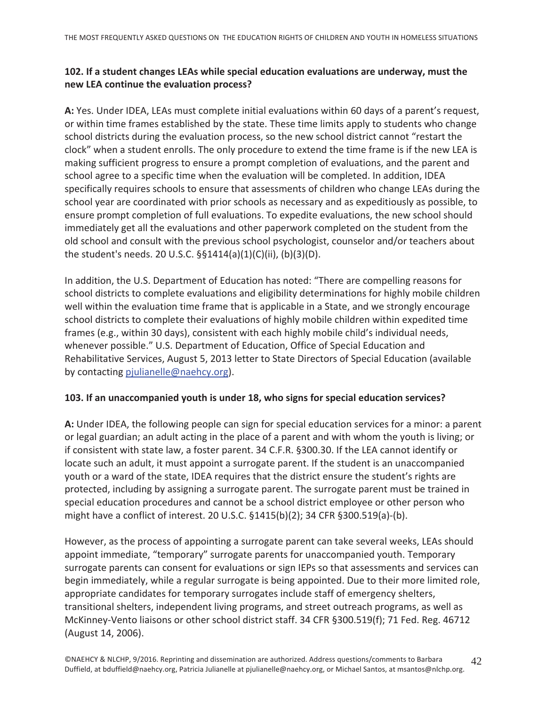# 102. If a student changes LEAs while special education evaluations are underway, must the new LEA continue the evaluation process?

A: Yes. Under IDEA, LEAs must complete initial evaluations within 60 days of a parent's request, or within time frames established by the state. These time limits apply to students who change school districts during the evaluation process, so the new school district cannot "restart the clock" when a student enrolls. The only procedure to extend the time frame is if the new LEA is making sufficient progress to ensure a prompt completion of evaluations, and the parent and school agree to a specific time when the evaluation will be completed. In addition, IDEA specifically requires schools to ensure that assessments of children who change LEAs during the school year are coordinated with prior schools as necessary and as expeditiously as possible, to ensure prompt completion of full evaluations. To expedite evaluations, the new school should immediately get all the evaluations and other paperwork completed on the student from the old school and consult with the previous school psychologist, counselor and/or teachers about the student's needs. 20 U.S.C. §§1414(a)(1)(C)(ii), (b)(3)(D).

In addition, the U.S. Department of Education has noted: "There are compelling reasons for school districts to complete evaluations and eligibility determinations for highly mobile children well within the evaluation time frame that is applicable in a State, and we strongly encourage school districts to complete their evaluations of highly mobile children within expedited time frames (e.g., within 30 days), consistent with each highly mobile child's individual needs, whenever possible." U.S. Department of Education, Office of Special Education and Rehabilitative Services, August 5, 2013 letter to State Directors of Special Education (available by contacting pjulianelle@naehcy.org).

#### 103. If an unaccompanied youth is under 18, who signs for special education services?

A: Under IDEA, the following people can sign for special education services for a minor: a parent or legal guardian; an adult acting in the place of a parent and with whom the youth is living; or if consistent with state law, a foster parent. 34 C.F.R. §300.30. If the LEA cannot identify or locate such an adult, it must appoint a surrogate parent. If the student is an unaccompanied youth or a ward of the state, IDEA requires that the district ensure the student's rights are protected, including by assigning a surrogate parent. The surrogate parent must be trained in special education procedures and cannot be a school district employee or other person who might have a conflict of interest. 20 U.S.C. §1415(b)(2); 34 CFR §300.519(a)-(b).

However, as the process of appointing a surrogate parent can take several weeks, LEAs should appoint immediate, "temporary" surrogate parents for unaccompanied youth. Temporary surrogate parents can consent for evaluations or sign IEPs so that assessments and services can begin immediately, while a regular surrogate is being appointed. Due to their more limited role, appropriate candidates for temporary surrogates include staff of emergency shelters, transitional shelters, independent living programs, and street outreach programs, as well as McKinney-Vento liaisons or other school district staff. 34 CFR §300.519(f); 71 Fed. Reg. 46712 (August 14, 2006).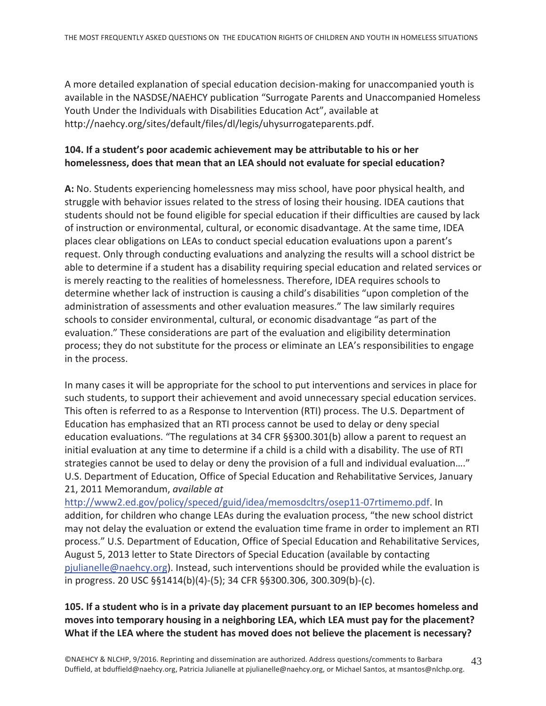A more detailed explanation of special education decision-making for unaccompanied youth is available in the NASDSE/NAEHCY publication "Surrogate Parents and Unaccompanied Homeless Youth Under the Individuals with Disabilities Education Act", available at http://naehcy.org/sites/default/files/dl/legis/uhysurrogateparents.pdf.

#### 104. If a student's poor academic achievement may be attributable to his or her homelessness, does that mean that an LEA should not evaluate for special education?

A: No. Students experiencing homelessness may miss school, have poor physical health, and struggle with behavior issues related to the stress of losing their housing. IDEA cautions that students should not be found eligible for special education if their difficulties are caused by lack of instruction or environmental, cultural, or economic disadvantage. At the same time, IDEA places clear obligations on LEAs to conduct special education evaluations upon a parent's request. Only through conducting evaluations and analyzing the results will a school district be able to determine if a student has a disability requiring special education and related services or is merely reacting to the realities of homelessness. Therefore, IDEA requires schools to determine whether lack of instruction is causing a child's disabilities "upon completion of the administration of assessments and other evaluation measures." The law similarly requires schools to consider environmental, cultural, or economic disadvantage "as part of the evaluation." These considerations are part of the evaluation and eligibility determination process; they do not substitute for the process or eliminate an LEA's responsibilities to engage in the process.

In many cases it will be appropriate for the school to put interventions and services in place for such students, to support their achievement and avoid unnecessary special education services. This often is referred to as a Response to Intervention (RTI) process. The U.S. Department of Education has emphasized that an RTI process cannot be used to delay or deny special education evaluations. "The regulations at 34 CFR  $\S$ §300.301(b) allow a parent to request an initial evaluation at any time to determine if a child is a child with a disability. The use of RTI strategies cannot be used to delay or deny the provision of a full and individual evaluation...." U.S. Department of Education, Office of Special Education and Rehabilitative Services, January 21, 2011 Memorandum, available at

http://www2.ed.gov/policy/speced/guid/idea/memosdcltrs/osep11-07rtimemo.pdf. In addition, for children who change LEAs during the evaluation process, "the new school district may not delay the evaluation or extend the evaluation time frame in order to implement an RTI process." U.S. Department of Education, Office of Special Education and Rehabilitative Services, August 5, 2013 letter to State Directors of Special Education (available by contacting pjulianelle@naehcy.org). Instead, such interventions should be provided while the evaluation is in progress. 20 USC §§1414(b)(4)-(5); 34 CFR §§300.306, 300.309(b)-(c).

# 105. If a student who is in a private day placement pursuant to an IEP becomes homeless and moves into temporary housing in a neighboring LEA, which LEA must pay for the placement? What if the LEA where the student has moved does not believe the placement is necessary?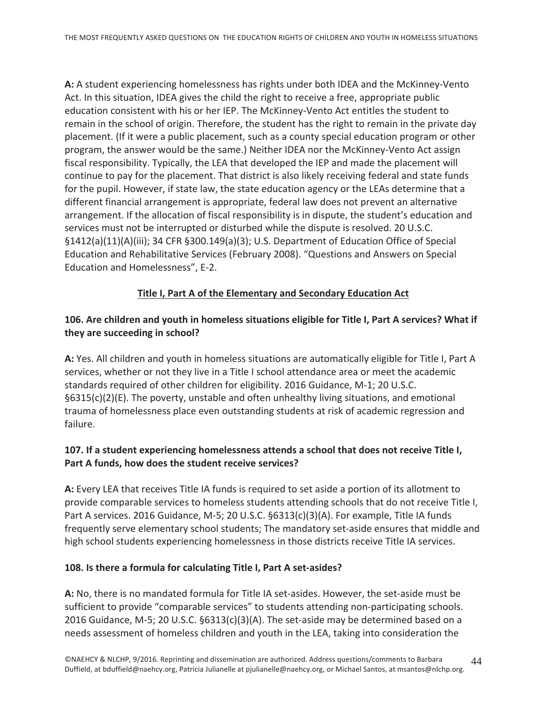A: A student experiencing homelessness has rights under both IDEA and the McKinney-Vento Act. In this situation, IDEA gives the child the right to receive a free, appropriate public education consistent with his or her IEP. The McKinney-Vento Act entitles the student to remain in the school of origin. Therefore, the student has the right to remain in the private day placement. (If it were a public placement, such as a county special education program or other program, the answer would be the same.) Neither IDEA nor the McKinney-Vento Act assign fiscal responsibility. Typically, the LEA that developed the IEP and made the placement will continue to pay for the placement. That district is also likely receiving federal and state funds for the pupil. However, if state law, the state education agency or the LEAs determine that a different financial arrangement is appropriate, federal law does not prevent an alternative arrangement. If the allocation of fiscal responsibility is in dispute, the student's education and services must not be interrupted or disturbed while the dispute is resolved. 20 U.S.C. §1412(a)(11)(A)(iii); 34 CFR §300.149(a)(3); U.S. Department of Education Office of Special Education and Rehabilitative Services (February 2008). "Questions and Answers on Special Education and Homelessness", E-2.

#### Title I, Part A of the Elementary and Secondary Education Act

# 106. Are children and youth in homeless situations eligible for Title I, Part A services? What if they are succeeding in school?

A: Yes. All children and youth in homeless situations are automatically eligible for Title I, Part A services, whether or not they live in a Title I school attendance area or meet the academic standards required of other children for eligibility. 2016 Guidance, M-1; 20 U.S.C.  $\S6315(c)(2)(E)$ . The poverty, unstable and often unhealthy living situations, and emotional trauma of homelessness place even outstanding students at risk of academic regression and failure.

# 107. If a student experiencing homelessness attends a school that does not receive Title I, Part A funds, how does the student receive services?

A: Every LEA that receives Title IA funds is required to set aside a portion of its allotment to provide comparable services to homeless students attending schools that do not receive Title I, Part A services. 2016 Guidance, M-5; 20 U.S.C. §6313(c)(3)(A). For example, Title IA funds frequently serve elementary school students; The mandatory set-aside ensures that middle and high school students experiencing homelessness in those districts receive Title IA services.

#### 108. Is there a formula for calculating Title I, Part A set-asides?

A: No, there is no mandated formula for Title IA set-asides. However, the set-aside must be sufficient to provide "comparable services" to students attending non-participating schools. 2016 Guidance, M-5; 20 U.S.C. §6313(c)(3)(A). The set-aside may be determined based on a needs assessment of homeless children and youth in the LEA, taking into consideration the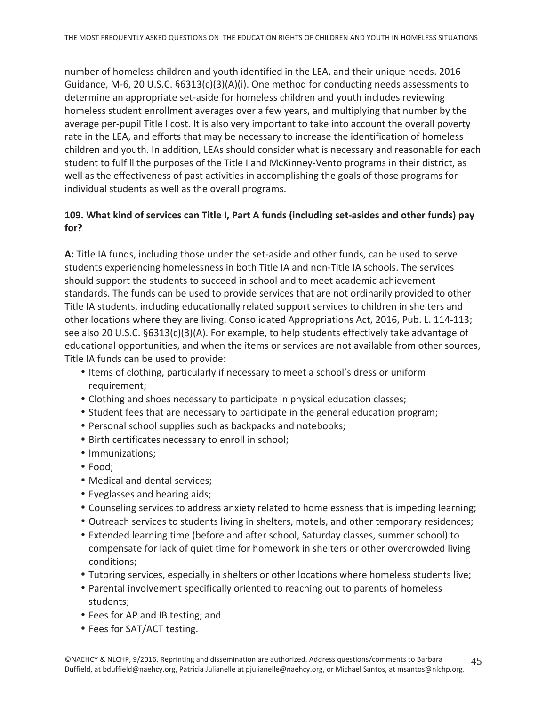number of homeless children and youth identified in the LEA, and their unique needs. 2016 Guidance, M-6, 20 U.S.C.  $\S6313(c)(3)(A)(i)$ . One method for conducting needs assessments to determine an appropriate set-aside for homeless children and youth includes reviewing homeless student enrollment averages over a few years, and multiplying that number by the average per-pupil Title I cost. It is also very important to take into account the overall poverty rate in the LEA, and efforts that may be necessary to increase the identification of homeless children and youth. In addition, LEAs should consider what is necessary and reasonable for each student to fulfill the purposes of the Title I and McKinney-Vento programs in their district, as well as the effectiveness of past activities in accomplishing the goals of those programs for individual students as well as the overall programs.

#### 109. What kind of services can Title I, Part A funds (including set-asides and other funds) pay  $for?$

A: Title IA funds, including those under the set-aside and other funds, can be used to serve students experiencing homelessness in both Title IA and non-Title IA schools. The services should support the students to succeed in school and to meet academic achievement standards. The funds can be used to provide services that are not ordinarily provided to other Title IA students, including educationally related support services to children in shelters and other locations where they are living. Consolidated Appropriations Act, 2016, Pub. L. 114-113; see also 20 U.S.C. §6313(c)(3)(A). For example, to help students effectively take advantage of educational opportunities, and when the items or services are not available from other sources, Title IA funds can be used to provide:

- Items of clothing, particularly if necessary to meet a school's dress or uniform requirement;
- Clothing and shoes necessary to participate in physical education classes;
- Student fees that are necessary to participate in the general education program;
- Personal school supplies such as backpacks and notebooks;
- Birth certificates necessary to enroll in school;
- Immunizations;
- $\bullet$  Food;
- Medical and dental services;
- Eyeglasses and hearing aids;
- Counseling services to address anxiety related to homelessness that is impeding learning;
- Outreach services to students living in shelters, motels, and other temporary residences;
- Extended learning time (before and after school, Saturday classes, summer school) to compensate for lack of quiet time for homework in shelters or other overcrowded living conditions:
- Tutoring services, especially in shelters or other locations where homeless students live;
- Parental involvement specifically oriented to reaching out to parents of homeless students;
- Fees for AP and IB testing; and
- Fees for SAT/ACT testing.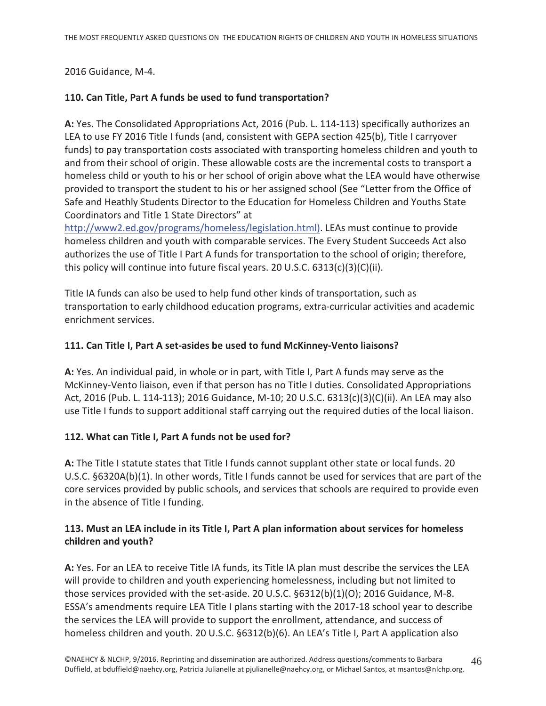2016 Guidance, M-4.

#### 110. Can Title, Part A funds be used to fund transportation?

A: Yes. The Consolidated Appropriations Act, 2016 (Pub. L. 114-113) specifically authorizes an LEA to use FY 2016 Title I funds (and, consistent with GEPA section 425(b), Title I carryover funds) to pay transportation costs associated with transporting homeless children and youth to and from their school of origin. These allowable costs are the incremental costs to transport a homeless child or youth to his or her school of origin above what the LEA would have otherwise provided to transport the student to his or her assigned school (See "Letter from the Office of Safe and Heathly Students Director to the Education for Homeless Children and Youths State Coordinators and Title 1 State Directors" at

http://www2.ed.gov/programs/homeless/legislation.html). LEAs must continue to provide homeless children and youth with comparable services. The Every Student Succeeds Act also authorizes the use of Title I Part A funds for transportation to the school of origin; therefore, this policy will continue into future fiscal years. 20 U.S.C.  $6313(c)(3)(C)(ii)$ .

Title IA funds can also be used to help fund other kinds of transportation, such as transportation to early childhood education programs, extra-curricular activities and academic enrichment services.

#### 111. Can Title I, Part A set-asides be used to fund McKinney-Vento liaisons?

A: Yes. An individual paid, in whole or in part, with Title I, Part A funds may serve as the McKinney-Vento liaison, even if that person has no Title I duties. Consolidated Appropriations Act, 2016 (Pub. L. 114-113); 2016 Guidance, M-10; 20 U.S.C. 6313(c)(3)(C)(ii). An LEA may also use Title I funds to support additional staff carrying out the required duties of the local liaison.

#### 112. What can Title I, Part A funds not be used for?

A: The Title I statute states that Title I funds cannot supplant other state or local funds. 20 U.S.C.  $\S6320A(b)(1)$ . In other words, Title I funds cannot be used for services that are part of the core services provided by public schools, and services that schools are required to provide even in the absence of Title I funding.

# 113. Must an LEA include in its Title I, Part A plan information about services for homeless children and youth?

A: Yes. For an LEA to receive Title IA funds, its Title IA plan must describe the services the LEA will provide to children and youth experiencing homelessness, including but not limited to those services provided with the set-aside. 20 U.S.C. §6312(b)(1)(O); 2016 Guidance, M-8. ESSA's amendments require LEA Title I plans starting with the 2017-18 school year to describe the services the LEA will provide to support the enrollment, attendance, and success of homeless children and youth. 20 U.S.C. §6312(b)(6). An LEA's Title I, Part A application also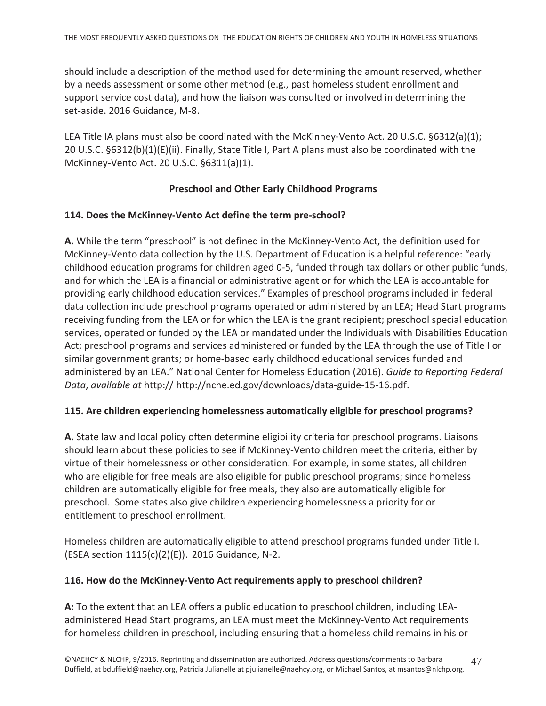should include a description of the method used for determining the amount reserved, whether by a needs assessment or some other method (e.g., past homeless student enrollment and support service cost data), and how the liaison was consulted or involved in determining the set-aside. 2016 Guidance, M-8.

LEA Title IA plans must also be coordinated with the McKinney-Vento Act. 20 U.S.C. §6312(a)(1); 20 U.S.C. §6312(b)(1)(E)(ii). Finally, State Title I, Part A plans must also be coordinated with the McKinney-Vento Act. 20 U.S.C. §6311(a)(1).

#### **Preschool and Other Early Childhood Programs**

#### 114. Does the McKinney-Vento Act define the term pre-school?

A. While the term "preschool" is not defined in the McKinney-Vento Act, the definition used for McKinney-Vento data collection by the U.S. Department of Education is a helpful reference: "early childhood education programs for children aged 0-5, funded through tax dollars or other public funds, and for which the LEA is a financial or administrative agent or for which the LEA is accountable for providing early childhood education services." Examples of preschool programs included in federal data collection include preschool programs operated or administered by an LEA; Head Start programs receiving funding from the LEA or for which the LEA is the grant recipient; preschool special education services, operated or funded by the LEA or mandated under the Individuals with Disabilities Education Act; preschool programs and services administered or funded by the LEA through the use of Title I or similar government grants; or home-based early childhood educational services funded and administered by an LEA." National Center for Homeless Education (2016). Guide to Reporting Federal Data, available at http:// http://nche.ed.gov/downloads/data-guide-15-16.pdf.

#### 115. Are children experiencing homelessness automatically eligible for preschool programs?

A. State law and local policy often determine eligibility criteria for preschool programs. Liaisons should learn about these policies to see if McKinney-Vento children meet the criteria, either by virtue of their homelessness or other consideration. For example, in some states, all children who are eligible for free meals are also eligible for public preschool programs; since homeless children are automatically eligible for free meals, they also are automatically eligible for preschool. Some states also give children experiencing homelessness a priority for or entitlement to preschool enrollment.

Homeless children are automatically eligible to attend preschool programs funded under Title I. (ESEA section 1115(c)(2)(E)). 2016 Guidance, N-2.

#### 116. How do the McKinney-Vento Act requirements apply to preschool children?

A: To the extent that an LEA offers a public education to preschool children, including LEAadministered Head Start programs, an LEA must meet the McKinney-Vento Act requirements for homeless children in preschool, including ensuring that a homeless child remains in his or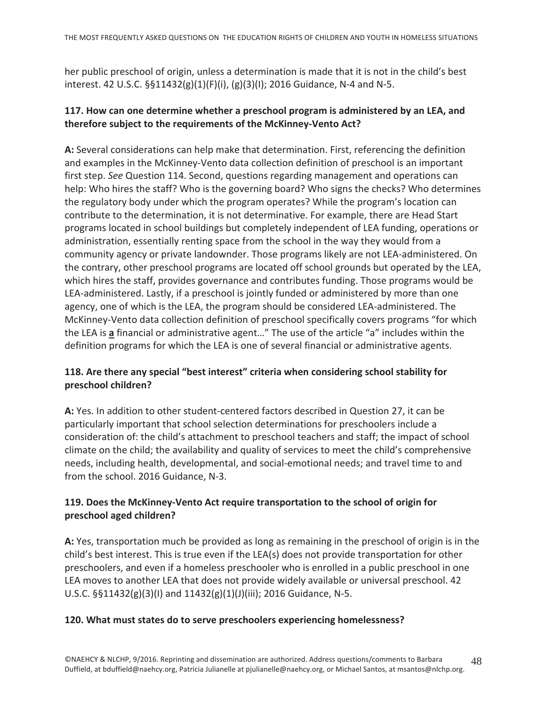her public preschool of origin, unless a determination is made that it is not in the child's best interest. 42 U.S.C. §§11432(g)(1)(F)(i), (g)(3)(I); 2016 Guidance, N-4 and N-5.

#### 117. How can one determine whether a preschool program is administered by an LEA, and therefore subject to the requirements of the McKinney-Vento Act?

A: Several considerations can help make that determination. First, referencing the definition and examples in the McKinney-Vento data collection definition of preschool is an important first step. See Question 114. Second, questions regarding management and operations can help: Who hires the staff? Who is the governing board? Who signs the checks? Who determines the regulatory body under which the program operates? While the program's location can contribute to the determination, it is not determinative. For example, there are Head Start programs located in school buildings but completely independent of LEA funding, operations or administration, essentially renting space from the school in the way they would from a community agency or private landownder. Those programs likely are not LEA-administered. On the contrary, other preschool programs are located off school grounds but operated by the LEA, which hires the staff, provides governance and contributes funding. Those programs would be LEA-administered. Lastly, if a preschool is jointly funded or administered by more than one agency, one of which is the LEA, the program should be considered LEA-administered. The McKinney-Vento data collection definition of preschool specifically covers programs "for which the LEA is a financial or administrative agent..." The use of the article "a" includes within the definition programs for which the LEA is one of several financial or administrative agents.

# 118. Are there any special "best interest" criteria when considering school stability for preschool children?

A: Yes. In addition to other student-centered factors described in Question 27, it can be particularly important that school selection determinations for preschoolers include a consideration of: the child's attachment to preschool teachers and staff; the impact of school climate on the child; the availability and quality of services to meet the child's comprehensive needs, including health, developmental, and social-emotional needs; and travel time to and from the school. 2016 Guidance, N-3.

# 119. Does the McKinney-Vento Act require transportation to the school of origin for preschool aged children?

A: Yes, transportation much be provided as long as remaining in the preschool of origin is in the child's best interest. This is true even if the LEA(s) does not provide transportation for other preschoolers, and even if a homeless preschooler who is enrolled in a public preschool in one LEA moves to another LEA that does not provide widely available or universal preschool. 42 U.S.C.  $\S$ §11432(g)(3)(I) and 11432(g)(1)(J)(iii); 2016 Guidance, N-5.

#### 120. What must states do to serve preschoolers experiencing homelessness?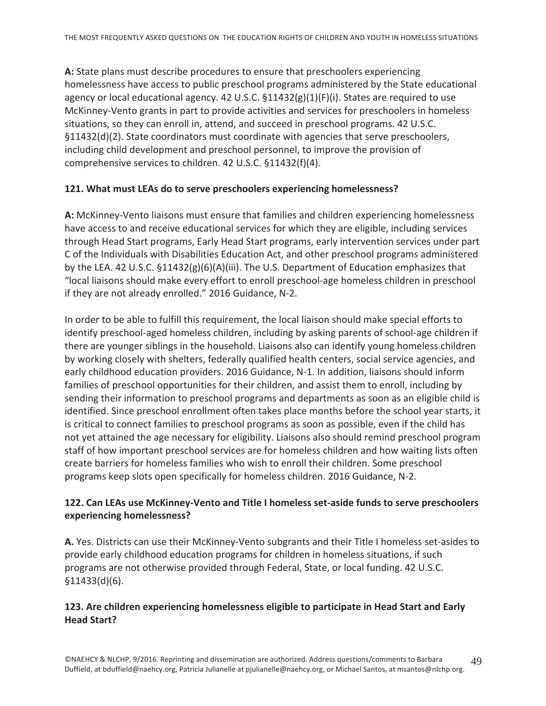A: State plans must describe procedures to ensure that preschoolers experiencing homelessness have access to public preschool programs administered by the State educational agency or local educational agency. 42 U.S.C. §11432(g)(1)(F)(i). States are required to use McKinney-Vento grants in part to provide activities and services for preschoolers in homeless situations, so they can enroll in, attend, and succeed in preschool programs. 42 U.S.C. §11432(d)(2). State coordinators must coordinate with agencies that serve preschoolers, including child development and preschool personnel, to improve the provision of comprehensive services to children. 42 U.S.C. §11432(f)(4).

#### 121. What must LEAs do to serve preschoolers experiencing homelessness?

A: McKinney-Vento liaisons must ensure that families and children experiencing homelessness have access to and receive educational services for which they are eligible, including services through Head Start programs, Early Head Start programs, early intervention services under part C of the Individuals with Disabilities Education Act, and other preschool programs administered by the LEA. 42 U.S.C.  $\S 11432(g)(6)(A)(iii)$ . The U.S. Department of Education emphasizes that "local liaisons should make every effort to enroll preschool-age homeless children in preschool if they are not already enrolled." 2016 Guidance, N-2.

In order to be able to fulfill this requirement, the local liaison should make special efforts to identify preschool-aged homeless children, including by asking parents of school-age children if there are younger siblings in the household. Liaisons also can identify young homeless children by working closely with shelters, federally qualified health centers, social service agencies, and early childhood education providers. 2016 Guidance, N-1. In addition, liaisons should inform families of preschool opportunities for their children, and assist them to enroll, including by sending their information to preschool programs and departments as soon as an eligible child is identified. Since preschool enrollment often takes place months before the school year starts, it is critical to connect families to preschool programs as soon as possible, even if the child has not yet attained the age necessary for eligibility. Liaisons also should remind preschool program staff of how important preschool services are for homeless children and how waiting lists often create barriers for homeless families who wish to enroll their children. Some preschool programs keep slots open specifically for homeless children. 2016 Guidance, N-2.

#### 122. Can LEAs use McKinney-Vento and Title I homeless set-aside funds to serve preschoolers experiencing homelessness?

A. Yes. Districts can use their McKinney-Vento subgrants and their Title I homeless set-asides to provide early childhood education programs for children in homeless situations, if such programs are not otherwise provided through Federal, State, or local funding. 42 U.S.C.  $$11433(d)(6).$ 

#### 123. Are children experiencing homelessness eligible to participate in Head Start and Early **Head Start?**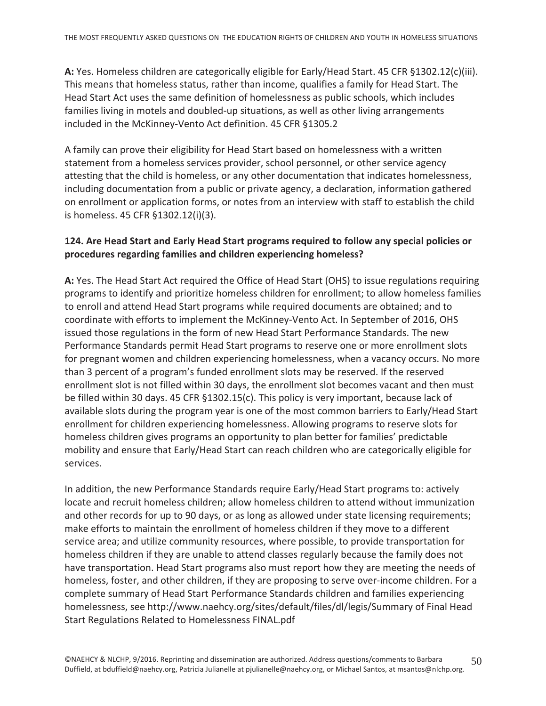A: Yes. Homeless children are categorically eligible for Early/Head Start. 45 CFR §1302.12(c)(iii). This means that homeless status, rather than income, qualifies a family for Head Start. The Head Start Act uses the same definition of homelessness as public schools, which includes families living in motels and doubled-up situations, as well as other living arrangements included in the McKinney-Vento Act definition. 45 CFR §1305.2

A family can prove their eligibility for Head Start based on homelessness with a written statement from a homeless services provider, school personnel, or other service agency attesting that the child is homeless, or any other documentation that indicates homelessness, including documentation from a public or private agency, a declaration, information gathered on enrollment or application forms, or notes from an interview with staff to establish the child is homeless. 45 CFR §1302.12(i)(3).

#### 124. Are Head Start and Early Head Start programs required to follow any special policies or procedures regarding families and children experiencing homeless?

A: Yes. The Head Start Act required the Office of Head Start (OHS) to issue regulations requiring programs to identify and prioritize homeless children for enrollment; to allow homeless families to enroll and attend Head Start programs while required documents are obtained; and to coordinate with efforts to implement the McKinney-Vento Act. In September of 2016, OHS issued those regulations in the form of new Head Start Performance Standards. The new Performance Standards permit Head Start programs to reserve one or more enrollment slots for pregnant women and children experiencing homelessness, when a vacancy occurs. No more than 3 percent of a program's funded enrollment slots may be reserved. If the reserved enrollment slot is not filled within 30 days, the enrollment slot becomes vacant and then must be filled within 30 days. 45 CFR §1302.15(c). This policy is very important, because lack of available slots during the program year is one of the most common barriers to Early/Head Start enrollment for children experiencing homelessness. Allowing programs to reserve slots for homeless children gives programs an opportunity to plan better for families' predictable mobility and ensure that Early/Head Start can reach children who are categorically eligible for services.

In addition, the new Performance Standards require Early/Head Start programs to: actively locate and recruit homeless children; allow homeless children to attend without immunization and other records for up to 90 days, or as long as allowed under state licensing requirements; make efforts to maintain the enrollment of homeless children if they move to a different service area; and utilize community resources, where possible, to provide transportation for homeless children if they are unable to attend classes regularly because the family does not have transportation. Head Start programs also must report how they are meeting the needs of homeless, foster, and other children, if they are proposing to serve over-income children. For a complete summary of Head Start Performance Standards children and families experiencing homelessness, see http://www.naehcy.org/sites/default/files/dl/legis/Summary of Final Head Start Regulations Related to Homelessness FINAL.pdf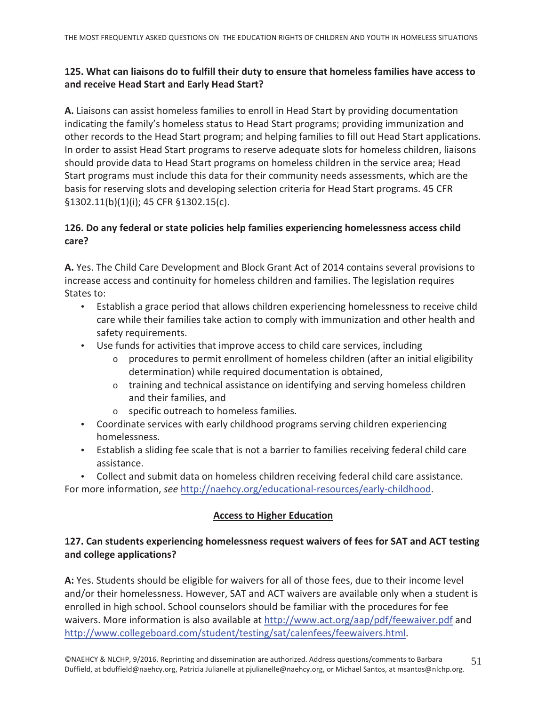# 125. What can liaisons do to fulfill their duty to ensure that homeless families have access to and receive Head Start and Early Head Start?

A. Liaisons can assist homeless families to enroll in Head Start by providing documentation indicating the family's homeless status to Head Start programs; providing immunization and other records to the Head Start program; and helping families to fill out Head Start applications. In order to assist Head Start programs to reserve adequate slots for homeless children, liaisons should provide data to Head Start programs on homeless children in the service area; Head Start programs must include this data for their community needs assessments, which are the basis for reserving slots and developing selection criteria for Head Start programs. 45 CFR  $\S 1302.11(b)(1)(i); 45 CFR \S 1302.15(c).$ 

# 126. Do any federal or state policies help families experiencing homelessness access child care?

A. Yes. The Child Care Development and Block Grant Act of 2014 contains several provisions to increase access and continuity for homeless children and families. The legislation requires States to:

- Establish a grace period that allows children experiencing homelessness to receive child care while their families take action to comply with immunization and other health and safety requirements.
- Use funds for activities that improve access to child care services, including
	- procedures to permit enrollment of homeless children (after an initial eligibility  $\circ$ determination) while required documentation is obtained,
	- $\circ$  training and technical assistance on identifying and serving homeless children and their families, and
	- o specific outreach to homeless families.
- Coordinate services with early childhood programs serving children experiencing homelessness.
- Establish a sliding fee scale that is not a barrier to families receiving federal child care assistance.
- Collect and submit data on homeless children receiving federal child care assistance.

For more information, see http://naehcy.org/educational-resources/early-childhood.

#### **Access to Higher Education**

# 127. Can students experiencing homelessness request waivers of fees for SAT and ACT testing and college applications?

A: Yes. Students should be eligible for waivers for all of those fees, due to their income level and/or their homelessness. However, SAT and ACT waivers are available only when a student is enrolled in high school. School counselors should be familiar with the procedures for fee waivers. More information is also available at http://www.act.org/aap/pdf/feewaiver.pdf and http://www.collegeboard.com/student/testing/sat/calenfees/feewaivers.html.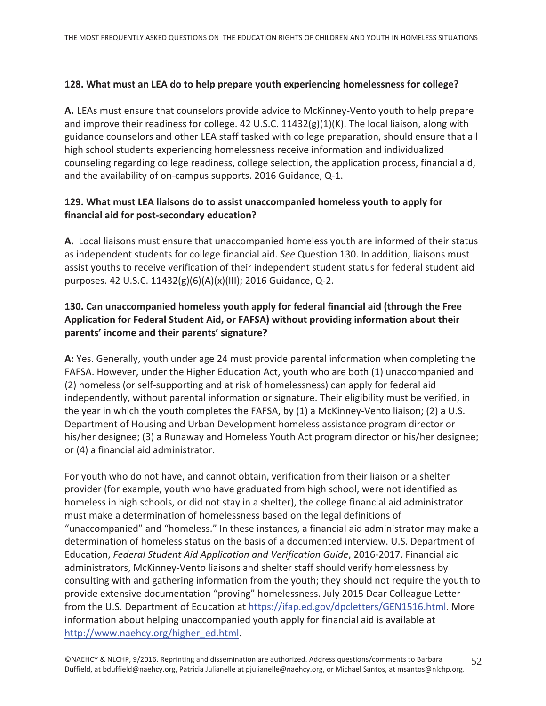#### 128. What must an LEA do to help prepare youth experiencing homelessness for college?

A. LEAs must ensure that counselors provide advice to McKinney-Vento youth to help prepare and improve their readiness for college. 42 U.S.C.  $11432(g)(1)(K)$ . The local liaison, along with guidance counselors and other LEA staff tasked with college preparation, should ensure that all high school students experiencing homelessness receive information and individualized counseling regarding college readiness, college selection, the application process, financial aid, and the availability of on-campus supports. 2016 Guidance, Q-1.

# 129. What must LEA liaisons do to assist unaccompanied homeless youth to apply for financial aid for post-secondary education?

A. Local liaisons must ensure that unaccompanied homeless youth are informed of their status as independent students for college financial aid. See Question 130. In addition, liaisons must assist youths to receive verification of their independent student status for federal student aid purposes. 42 U.S.C. 11432(g)(6)(A)(x)(III); 2016 Guidance, Q-2.

# 130. Can unaccompanied homeless youth apply for federal financial aid (through the Free Application for Federal Student Aid, or FAFSA) without providing information about their parents' income and their parents' signature?

A: Yes. Generally, youth under age 24 must provide parental information when completing the FAFSA. However, under the Higher Education Act, youth who are both (1) unaccompanied and (2) homeless (or self-supporting and at risk of homelessness) can apply for federal aid independently, without parental information or signature. Their eligibility must be verified, in the year in which the youth completes the FAFSA, by (1) a McKinney-Vento liaison; (2) a U.S. Department of Housing and Urban Development homeless assistance program director or his/her designee; (3) a Runaway and Homeless Youth Act program director or his/her designee; or (4) a financial aid administrator.

For youth who do not have, and cannot obtain, verification from their liaison or a shelter provider (for example, youth who have graduated from high school, were not identified as homeless in high schools, or did not stay in a shelter), the college financial aid administrator must make a determination of homelessness based on the legal definitions of "unaccompanied" and "homeless." In these instances, a financial aid administrator may make a determination of homeless status on the basis of a documented interview. U.S. Department of Education, Federal Student Aid Application and Verification Guide, 2016-2017. Financial aid administrators, McKinney-Vento liaisons and shelter staff should verify homelessness by consulting with and gathering information from the youth; they should not require the youth to provide extensive documentation "proving" homelessness. July 2015 Dear Colleague Letter from the U.S. Department of Education at https://ifap.ed.gov/dpcletters/GEN1516.html. More information about helping unaccompanied youth apply for financial aid is available at http://www.naehcy.org/higher\_ed.html.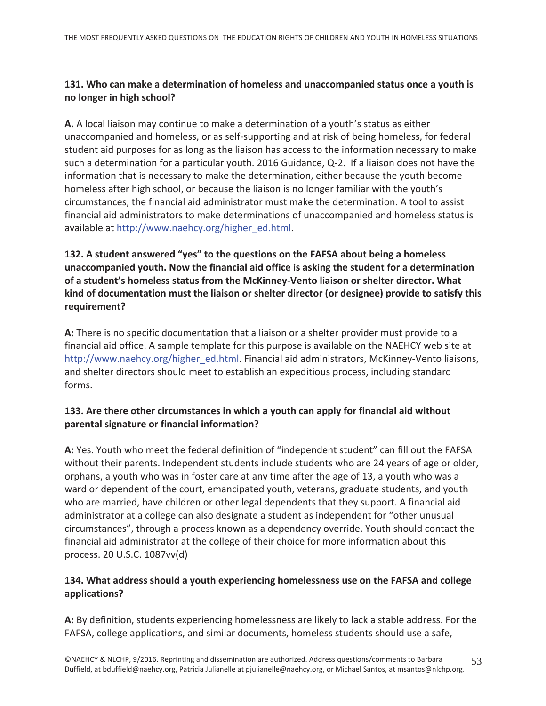# 131. Who can make a determination of homeless and unaccompanied status once a youth is no longer in high school?

A. A local liaison may continue to make a determination of a youth's status as either unaccompanied and homeless, or as self-supporting and at risk of being homeless, for federal student aid purposes for as long as the liaison has access to the information necessary to make such a determination for a particular youth. 2016 Guidance, Q-2. If a liaison does not have the information that is necessary to make the determination, either because the youth become homeless after high school, or because the liaison is no longer familiar with the youth's circumstances, the financial aid administrator must make the determination. A tool to assist financial aid administrators to make determinations of unaccompanied and homeless status is available at http://www.naehcy.org/higher\_ed.html.

# 132. A student answered "yes" to the questions on the FAFSA about being a homeless unaccompanied youth. Now the financial aid office is asking the student for a determination of a student's homeless status from the McKinney-Vento liaison or shelter director. What kind of documentation must the liaison or shelter director (or designee) provide to satisfy this requirement?

A: There is no specific documentation that a liaison or a shelter provider must provide to a financial aid office. A sample template for this purpose is available on the NAEHCY web site at http://www.naehcy.org/higher ed.html. Financial aid administrators, McKinney-Vento liaisons, and shelter directors should meet to establish an expeditious process, including standard forms.

# 133. Are there other circumstances in which a youth can apply for financial aid without parental signature or financial information?

A: Yes. Youth who meet the federal definition of "independent student" can fill out the FAFSA without their parents. Independent students include students who are 24 years of age or older, orphans, a youth who was in foster care at any time after the age of 13, a youth who was a ward or dependent of the court, emancipated youth, veterans, graduate students, and youth who are married, have children or other legal dependents that they support. A financial aid administrator at a college can also designate a student as independent for "other unusual circumstances", through a process known as a dependency override. Youth should contact the financial aid administrator at the college of their choice for more information about this process. 20 U.S.C. 1087vv(d)

# 134. What address should a youth experiencing homelessness use on the FAFSA and college applications?

A: By definition, students experiencing homelessness are likely to lack a stable address. For the FAFSA, college applications, and similar documents, homeless students should use a safe,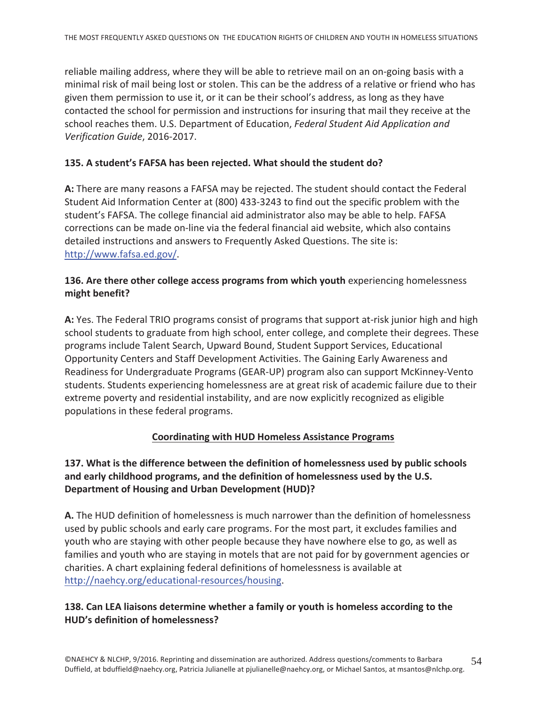reliable mailing address, where they will be able to retrieve mail on an on-going basis with a minimal risk of mail being lost or stolen. This can be the address of a relative or friend who has given them permission to use it, or it can be their school's address, as long as they have contacted the school for permission and instructions for insuring that mail they receive at the school reaches them. U.S. Department of Education, Federal Student Aid Application and Verification Guide, 2016-2017.

#### 135. A student's FAFSA has been rejected. What should the student do?

A: There are many reasons a FAFSA may be rejected. The student should contact the Federal Student Aid Information Center at (800) 433-3243 to find out the specific problem with the student's FAFSA. The college financial aid administrator also may be able to help. FAFSA corrections can be made on-line via the federal financial aid website, which also contains detailed instructions and answers to Frequently Asked Questions. The site is: http://www.fafsa.ed.gov/.

#### 136. Are there other college access programs from which youth experiencing homelessness might benefit?

A: Yes. The Federal TRIO programs consist of programs that support at-risk junior high and high school students to graduate from high school, enter college, and complete their degrees. These programs include Talent Search, Upward Bound, Student Support Services, Educational Opportunity Centers and Staff Development Activities. The Gaining Early Awareness and Readiness for Undergraduate Programs (GEAR-UP) program also can support McKinney-Vento students. Students experiencing homelessness are at great risk of academic failure due to their extreme poverty and residential instability, and are now explicitly recognized as eligible populations in these federal programs.

#### **Coordinating with HUD Homeless Assistance Programs**

#### 137. What is the difference between the definition of homelessness used by public schools and early childhood programs, and the definition of homelessness used by the U.S. **Department of Housing and Urban Development (HUD)?**

A. The HUD definition of homelessness is much narrower than the definition of homelessness used by public schools and early care programs. For the most part, it excludes families and youth who are staying with other people because they have nowhere else to go, as well as families and youth who are staying in motels that are not paid for by government agencies or charities. A chart explaining federal definitions of homelessness is available at http://naehcy.org/educational-resources/housing.

#### 138. Can LEA liaisons determine whether a family or youth is homeless according to the HUD's definition of homelessness?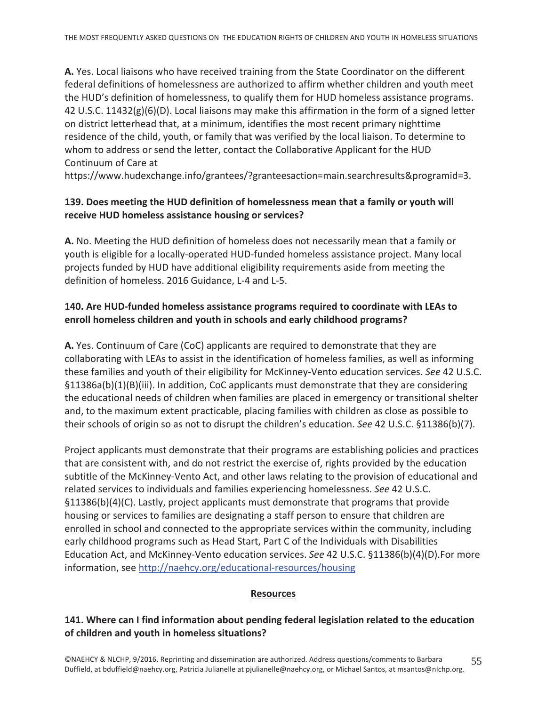A. Yes. Local liaisons who have received training from the State Coordinator on the different federal definitions of homelessness are authorized to affirm whether children and youth meet the HUD's definition of homelessness, to qualify them for HUD homeless assistance programs. 42 U.S.C. 11432( $g$ )( $6$ )(D). Local liaisons may make this affirmation in the form of a signed letter on district letterhead that, at a minimum, identifies the most recent primary nighttime residence of the child, youth, or family that was verified by the local liaison. To determine to whom to address or send the letter, contact the Collaborative Applicant for the HUD Continuum of Care at

https://www.hudexchange.info/grantees/?granteesaction=main.searchresults&programid=3.

# 139. Does meeting the HUD definition of homelessness mean that a family or youth will receive HUD homeless assistance housing or services?

A. No. Meeting the HUD definition of homeless does not necessarily mean that a family or youth is eligible for a locally-operated HUD-funded homeless assistance project. Many local projects funded by HUD have additional eligibility requirements aside from meeting the definition of homeless. 2016 Guidance, L-4 and L-5.

#### 140. Are HUD-funded homeless assistance programs required to coordinate with LEAs to enroll homeless children and youth in schools and early childhood programs?

A. Yes. Continuum of Care (CoC) applicants are required to demonstrate that they are collaborating with LEAs to assist in the identification of homeless families, as well as informing these families and youth of their eligibility for McKinney-Vento education services. See 42 U.S.C.  $\S11386a(b)(1)(B)(iii)$ . In addition, CoC applicants must demonstrate that they are considering the educational needs of children when families are placed in emergency or transitional shelter and, to the maximum extent practicable, placing families with children as close as possible to their schools of origin so as not to disrupt the children's education. See 42 U.S.C. §11386(b)(7).

Project applicants must demonstrate that their programs are establishing policies and practices that are consistent with, and do not restrict the exercise of, rights provided by the education subtitle of the McKinney-Vento Act, and other laws relating to the provision of educational and related services to individuals and families experiencing homelessness. See 42 U.S.C.  $§11386(b)(4)(C)$ . Lastly, project applicants must demonstrate that programs that provide housing or services to families are designating a staff person to ensure that children are enrolled in school and connected to the appropriate services within the community, including early childhood programs such as Head Start, Part C of the Individuals with Disabilities Education Act, and McKinney-Vento education services. See 42 U.S.C. §11386(b)(4)(D).For more information, see http://naehcy.org/educational-resources/housing

#### **Resources**

#### 141. Where can I find information about pending federal legislation related to the education of children and youth in homeless situations?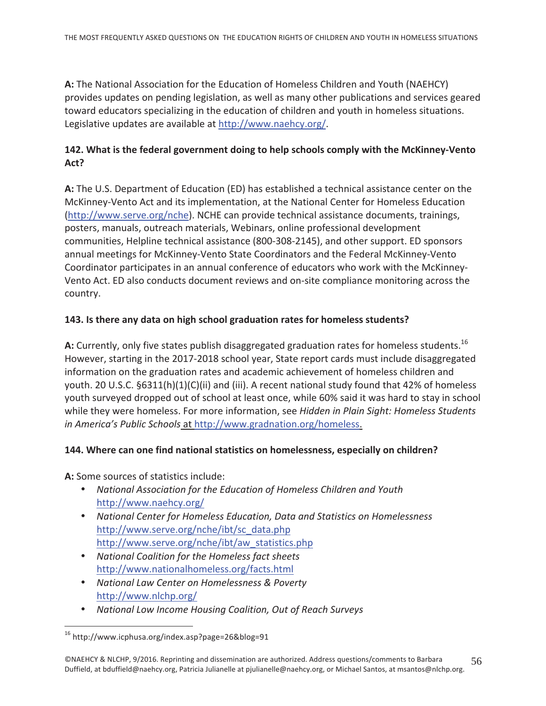A: The National Association for the Education of Homeless Children and Youth (NAEHCY) provides updates on pending legislation, as well as many other publications and services geared toward educators specializing in the education of children and youth in homeless situations. Legislative updates are available at http://www.naehcy.org/.

# 142. What is the federal government doing to help schools comply with the McKinney-Vento Act?

A: The U.S. Department of Education (ED) has established a technical assistance center on the McKinney-Vento Act and its implementation, at the National Center for Homeless Education (http://www.serve.org/nche). NCHE can provide technical assistance documents, trainings, posters, manuals, outreach materials, Webinars, online professional development communities, Helpline technical assistance (800-308-2145), and other support. ED sponsors annual meetings for McKinney-Vento State Coordinators and the Federal McKinney-Vento Coordinator participates in an annual conference of educators who work with the McKinney-Vento Act. ED also conducts document reviews and on-site compliance monitoring across the country.

#### 143. Is there any data on high school graduation rates for homeless students?

A: Currently, only five states publish disaggregated graduation rates for homeless students.<sup>16</sup> However, starting in the 2017-2018 school year, State report cards must include disaggregated information on the graduation rates and academic achievement of homeless children and youth. 20 U.S.C. §6311(h)(1)(C)(ii) and (iii). A recent national study found that 42% of homeless youth surveyed dropped out of school at least once, while 60% said it was hard to stay in school while they were homeless. For more information, see Hidden in Plain Sight: Homeless Students in America's Public Schools at http://www.gradnation.org/homeless.

#### 144. Where can one find national statistics on homelessness, especially on children?

A: Some sources of statistics include:

- National Association for the Education of Homeless Children and Youth http://www.naehcy.org/
- National Center for Homeless Education, Data and Statistics on Homelessness http://www.serve.org/nche/ibt/sc data.php http://www.serve.org/nche/ibt/aw\_statistics.php
- National Coalition for the Homeless fact sheets http://www.nationalhomeless.org/facts.html
- National Law Center on Homelessness & Poverty http://www.nlchp.org/
- National Low Income Housing Coalition, Out of Reach Surveys

<sup>&</sup>lt;sup>16</sup> http://www.icphusa.org/index.asp?page=26&blog=91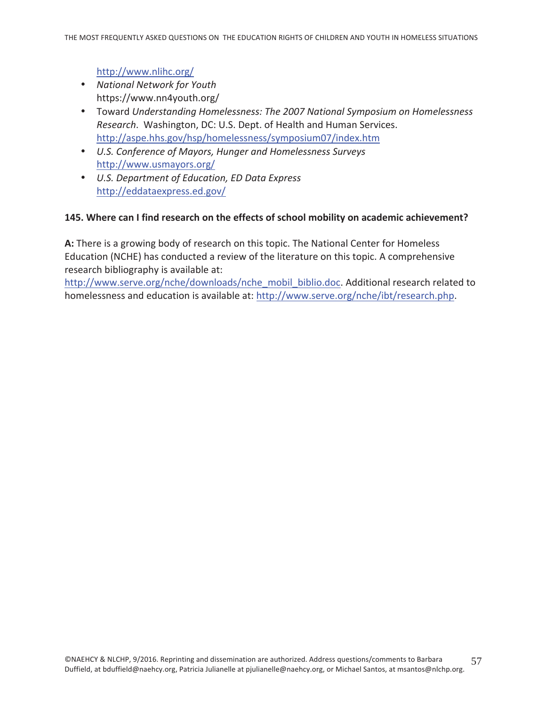#### http://www.nlihc.org/

- National Network for Youth https://www.nn4youth.org/
- Toward Understanding Homelessness: The 2007 National Symposium on Homelessness Research. Washington, DC: U.S. Dept. of Health and Human Services. http://aspe.hhs.gov/hsp/homelessness/symposium07/index.htm
- U.S. Conference of Mayors, Hunger and Homelessness Surveys http://www.usmayors.org/
- U.S. Department of Education, ED Data Express http://eddataexpress.ed.gov/

#### 145. Where can I find research on the effects of school mobility on academic achievement?

A: There is a growing body of research on this topic. The National Center for Homeless Education (NCHE) has conducted a review of the literature on this topic. A comprehensive research bibliography is available at:

http://www.serve.org/nche/downloads/nche\_mobil\_biblio.doc. Additional research related to homelessness and education is available at: http://www.serve.org/nche/ibt/research.php.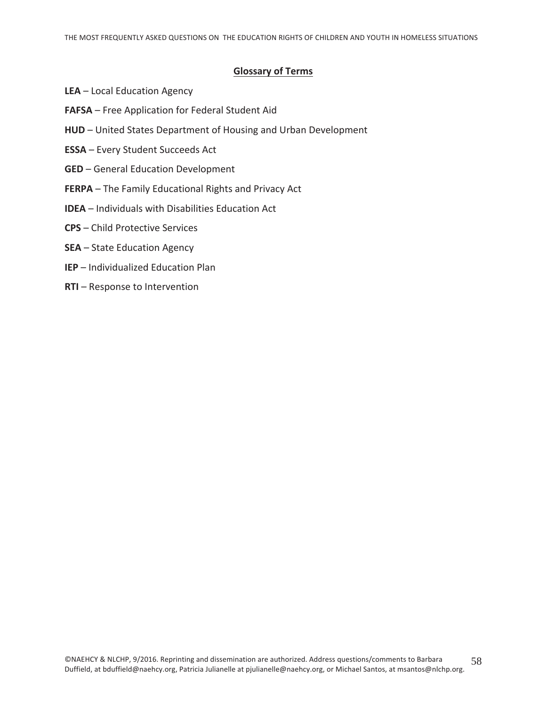#### **Glossary of Terms**

- LEA Local Education Agency
- FAFSA Free Application for Federal Student Aid
- HUD United States Department of Housing and Urban Development
- **ESSA** Every Student Succeeds Act
- **GED** General Education Development
- FERPA The Family Educational Rights and Privacy Act
- **IDEA** Individuals with Disabilities Education Act
- **CPS** Child Protective Services
- **SEA** State Education Agency
- **IEP** Individualized Education Plan
- **RTI** Response to Intervention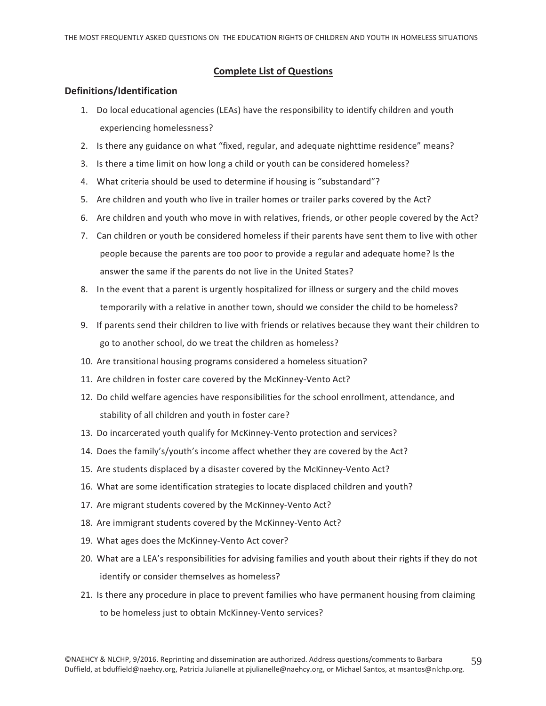#### **Complete List of Questions**

#### Definitions/Identification

- 1. Do local educational agencies (LEAs) have the responsibility to identify children and youth experiencing homelessness?
- 2. Is there any guidance on what "fixed, regular, and adequate nighttime residence" means?
- 3. Is there a time limit on how long a child or youth can be considered homeless?
- 4. What criteria should be used to determine if housing is "substandard"?
- 5. Are children and youth who live in trailer homes or trailer parks covered by the Act?
- 6. Are children and youth who move in with relatives, friends, or other people covered by the Act?
- 7. Can children or youth be considered homeless if their parents have sent them to live with other people because the parents are too poor to provide a regular and adequate home? Is the answer the same if the parents do not live in the United States?
- 8. In the event that a parent is urgently hospitalized for illness or surgery and the child moves temporarily with a relative in another town, should we consider the child to be homeless?
- 9. If parents send their children to live with friends or relatives because they want their children to go to another school, do we treat the children as homeless?
- 10. Are transitional housing programs considered a homeless situation?
- 11. Are children in foster care covered by the McKinney-Vento Act?
- 12. Do child welfare agencies have responsibilities for the school enrollment, attendance, and stability of all children and youth in foster care?
- 13. Do incarcerated youth qualify for McKinney-Vento protection and services?
- 14. Does the family's/youth's income affect whether they are covered by the Act?
- 15. Are students displaced by a disaster covered by the McKinney-Vento Act?
- 16. What are some identification strategies to locate displaced children and youth?
- 17. Are migrant students covered by the McKinney-Vento Act?
- 18. Are immigrant students covered by the McKinney-Vento Act?
- 19. What ages does the McKinney-Vento Act cover?
- 20. What are a LEA's responsibilities for advising families and youth about their rights if they do not identify or consider themselves as homeless?
- 21. Is there any procedure in place to prevent families who have permanent housing from claiming to be homeless just to obtain McKinney-Vento services?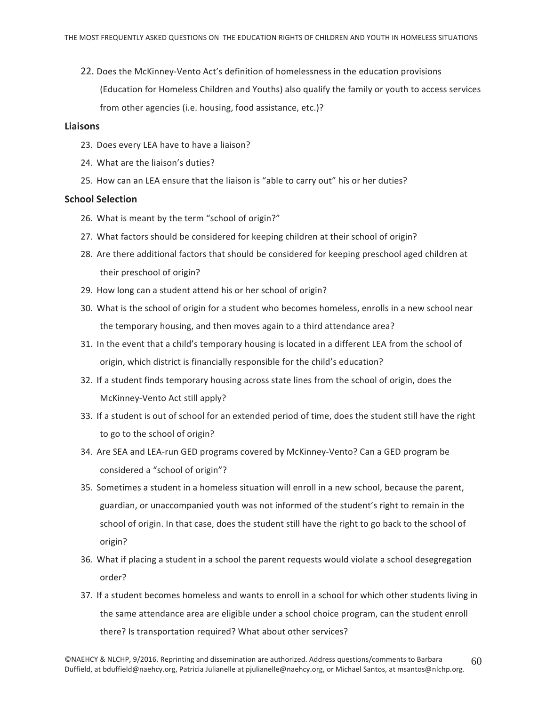22. Does the McKinney-Vento Act's definition of homelessness in the education provisions (Education for Homeless Children and Youths) also qualify the family or youth to access services from other agencies (i.e. housing, food assistance, etc.)?

#### **Liaisons**

- 23. Does every LEA have to have a liaison?
- 24. What are the liaison's duties?
- 25. How can an LEA ensure that the liaison is "able to carry out" his or her duties?

#### **School Selection**

- 26. What is meant by the term "school of origin?"
- 27. What factors should be considered for keeping children at their school of origin?
- 28. Are there additional factors that should be considered for keeping preschool aged children at their preschool of origin?
- 29. How long can a student attend his or her school of origin?
- 30. What is the school of origin for a student who becomes homeless, enrolls in a new school near the temporary housing, and then moves again to a third attendance area?
- 31. In the event that a child's temporary housing is located in a different LEA from the school of origin, which district is financially responsible for the child's education?
- 32. If a student finds temporary housing across state lines from the school of origin, does the McKinney-Vento Act still apply?
- 33. If a student is out of school for an extended period of time, does the student still have the right to go to the school of origin?
- 34. Are SEA and LEA-run GED programs covered by McKinney-Vento? Can a GED program be considered a "school of origin"?
- 35. Sometimes a student in a homeless situation will enroll in a new school, because the parent, guardian, or unaccompanied youth was not informed of the student's right to remain in the school of origin. In that case, does the student still have the right to go back to the school of origin?
- 36. What if placing a student in a school the parent requests would violate a school desegregation order?
- 37. If a student becomes homeless and wants to enroll in a school for which other students living in the same attendance area are eligible under a school choice program, can the student enroll there? Is transportation required? What about other services?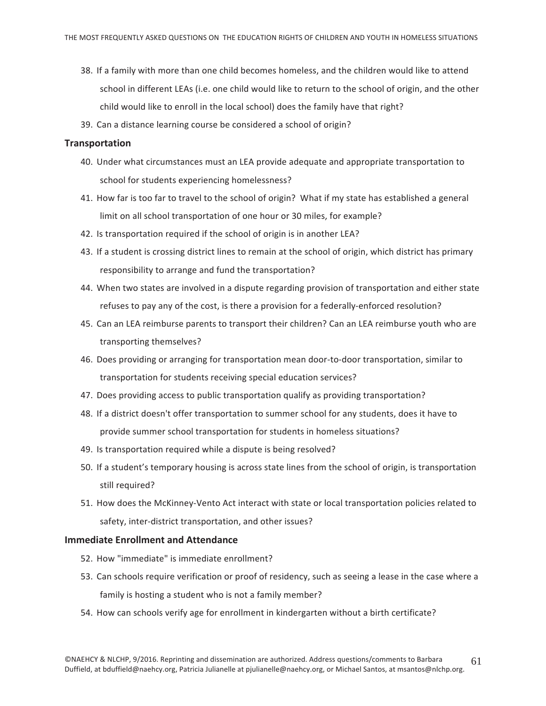- 38. If a family with more than one child becomes homeless, and the children would like to attend school in different LEAs (i.e. one child would like to return to the school of origin, and the other child would like to enroll in the local school) does the family have that right?
- 39. Can a distance learning course be considered a school of origin?

#### **Transportation**

- 40. Under what circumstances must an LEA provide adequate and appropriate transportation to school for students experiencing homelessness?
- 41. How far is too far to travel to the school of origin? What if my state has established a general limit on all school transportation of one hour or 30 miles, for example?
- 42. Is transportation required if the school of origin is in another LEA?
- 43. If a student is crossing district lines to remain at the school of origin, which district has primary responsibility to arrange and fund the transportation?
- 44. When two states are involved in a dispute regarding provision of transportation and either state refuses to pay any of the cost, is there a provision for a federally-enforced resolution?
- 45. Can an LEA reimburse parents to transport their children? Can an LEA reimburse youth who are transporting themselves?
- 46. Does providing or arranging for transportation mean door-to-door transportation, similar to transportation for students receiving special education services?
- 47. Does providing access to public transportation qualify as providing transportation?
- 48. If a district doesn't offer transportation to summer school for any students, does it have to provide summer school transportation for students in homeless situations?
- 49. Is transportation required while a dispute is being resolved?
- 50. If a student's temporary housing is across state lines from the school of origin, is transportation still required?
- 51. How does the McKinney-Vento Act interact with state or local transportation policies related to safety, inter-district transportation, and other issues?

#### **Immediate Enrollment and Attendance**

- 52. How "immediate" is immediate enrollment?
- 53. Can schools require verification or proof of residency, such as seeing a lease in the case where a family is hosting a student who is not a family member?
- 54. How can schools verify age for enrollment in kindergarten without a birth certificate?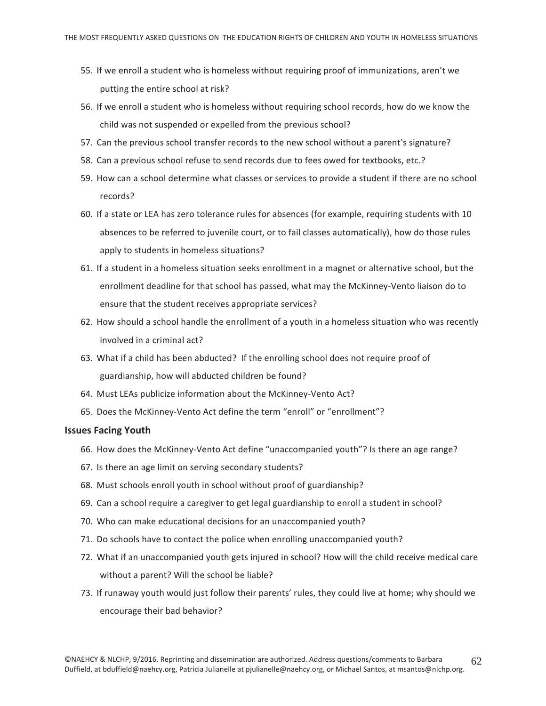- 55. If we enroll a student who is homeless without requiring proof of immunizations, aren't we putting the entire school at risk?
- 56. If we enroll a student who is homeless without requiring school records, how do we know the child was not suspended or expelled from the previous school?
- 57. Can the previous school transfer records to the new school without a parent's signature?
- 58. Can a previous school refuse to send records due to fees owed for textbooks, etc.?
- 59. How can a school determine what classes or services to provide a student if there are no school records?
- 60. If a state or LEA has zero tolerance rules for absences (for example, requiring students with 10 absences to be referred to juvenile court, or to fail classes automatically), how do those rules apply to students in homeless situations?
- 61. If a student in a homeless situation seeks enrollment in a magnet or alternative school, but the enrollment deadline for that school has passed, what may the McKinney-Vento liaison do to ensure that the student receives appropriate services?
- 62. How should a school handle the enrollment of a youth in a homeless situation who was recently involved in a criminal act?
- 63. What if a child has been abducted? If the enrolling school does not require proof of guardianship, how will abducted children be found?
- 64. Must LEAs publicize information about the McKinney-Vento Act?
- 65. Does the McKinney-Vento Act define the term "enroll" or "enrollment"?

#### **Issues Facing Youth**

- 66. How does the McKinney-Vento Act define "unaccompanied youth"? Is there an age range?
- 67. Is there an age limit on serving secondary students?
- 68. Must schools enroll youth in school without proof of guardianship?
- 69. Can a school require a caregiver to get legal guardianship to enroll a student in school?
- 70. Who can make educational decisions for an unaccompanied youth?
- 71. Do schools have to contact the police when enrolling unaccompanied youth?
- 72. What if an unaccompanied youth gets injured in school? How will the child receive medical care without a parent? Will the school be liable?
- 73. If runaway youth would just follow their parents' rules, they could live at home; why should we encourage their bad behavior?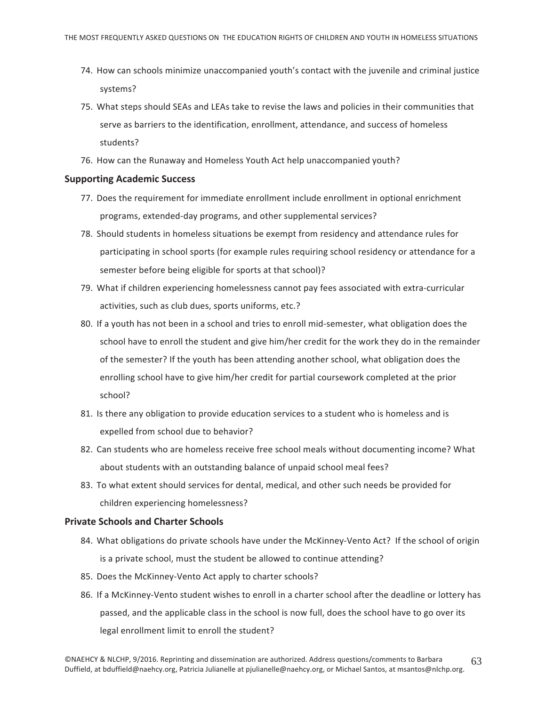- 74. How can schools minimize unaccompanied youth's contact with the juvenile and criminal justice systems?
- 75. What steps should SEAs and LEAs take to revise the laws and policies in their communities that serve as barriers to the identification, enrollment, attendance, and success of homeless students?
- 76. How can the Runaway and Homeless Youth Act help unaccompanied youth?

#### **Supporting Academic Success**

- 77. Does the requirement for immediate enrollment include enrollment in optional enrichment programs, extended-day programs, and other supplemental services?
- 78. Should students in homeless situations be exempt from residency and attendance rules for participating in school sports (for example rules requiring school residency or attendance for a semester before being eligible for sports at that school)?
- 79. What if children experiencing homelessness cannot pay fees associated with extra-curricular activities, such as club dues, sports uniforms, etc.?
- 80. If a youth has not been in a school and tries to enroll mid-semester, what obligation does the school have to enroll the student and give him/her credit for the work they do in the remainder of the semester? If the youth has been attending another school, what obligation does the enrolling school have to give him/her credit for partial coursework completed at the prior school?
- 81. Is there any obligation to provide education services to a student who is homeless and is expelled from school due to behavior?
- 82. Can students who are homeless receive free school meals without documenting income? What about students with an outstanding balance of unpaid school meal fees?
- 83. To what extent should services for dental, medical, and other such needs be provided for children experiencing homelessness?

#### **Private Schools and Charter Schools**

- 84. What obligations do private schools have under the McKinney-Vento Act? If the school of origin is a private school, must the student be allowed to continue attending?
- 85. Does the McKinney-Vento Act apply to charter schools?
- 86. If a McKinney-Vento student wishes to enroll in a charter school after the deadline or lottery has passed, and the applicable class in the school is now full, does the school have to go over its legal enrollment limit to enroll the student?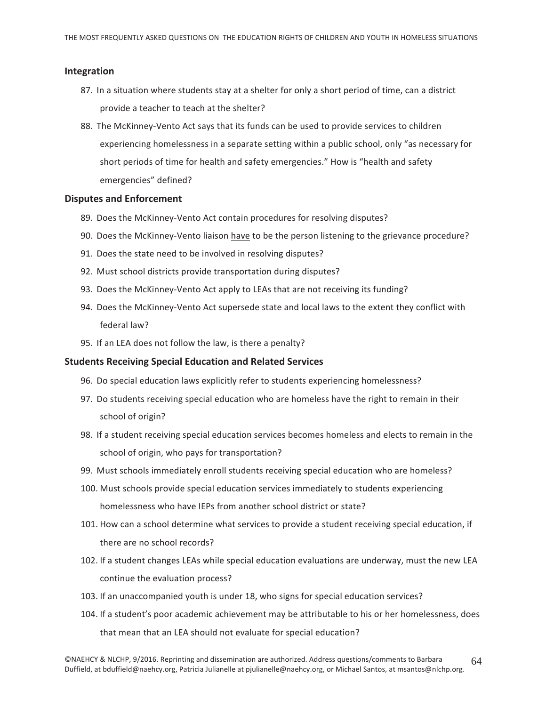#### Integration

- 87. In a situation where students stay at a shelter for only a short period of time, can a district provide a teacher to teach at the shelter?
- 88. The McKinney-Vento Act says that its funds can be used to provide services to children experiencing homelessness in a separate setting within a public school, only "as necessary for short periods of time for health and safety emergencies." How is "health and safety emergencies" defined?

#### **Disputes and Enforcement**

- 89. Does the McKinney-Vento Act contain procedures for resolving disputes?
- 90. Does the McKinney-Vento liaison have to be the person listening to the grievance procedure?
- 91. Does the state need to be involved in resolving disputes?
- 92. Must school districts provide transportation during disputes?
- 93. Does the McKinney-Vento Act apply to LEAs that are not receiving its funding?
- 94. Does the McKinney-Vento Act supersede state and local laws to the extent they conflict with federal law?
- 95. If an LEA does not follow the law, is there a penalty?

#### **Students Receiving Special Education and Related Services**

- 96. Do special education laws explicitly refer to students experiencing homelessness?
- 97. Do students receiving special education who are homeless have the right to remain in their school of origin?
- 98. If a student receiving special education services becomes homeless and elects to remain in the school of origin, who pays for transportation?
- 99. Must schools immediately enroll students receiving special education who are homeless?
- 100. Must schools provide special education services immediately to students experiencing homelessness who have IEPs from another school district or state?
- 101. How can a school determine what services to provide a student receiving special education, if there are no school records?
- 102. If a student changes LEAs while special education evaluations are underway, must the new LEA continue the evaluation process?
- 103. If an unaccompanied youth is under 18, who signs for special education services?
- 104. If a student's poor academic achievement may be attributable to his or her homelessness, does that mean that an LEA should not evaluate for special education?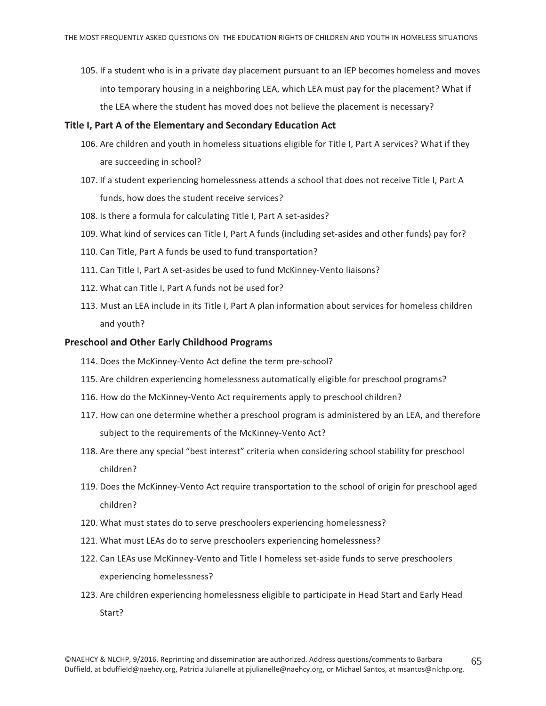105. If a student who is in a private day placement pursuant to an IEP becomes homeless and moves into temporary housing in a neighboring LEA, which LEA must pay for the placement? What if the LEA where the student has moved does not believe the placement is necessary?

#### Title I, Part A of the Elementary and Secondary Education Act

- 106. Are children and youth in homeless situations eligible for Title I, Part A services? What if they are succeeding in school?
- 107. If a student experiencing homelessness attends a school that does not receive Title I, Part A funds, how does the student receive services?
- 108. Is there a formula for calculating Title I, Part A set-asides?
- 109. What kind of services can Title I, Part A funds (including set-asides and other funds) pay for?
- 110. Can Title, Part A funds be used to fund transportation?
- 111. Can Title I, Part A set-asides be used to fund McKinney-Vento liaisons?
- 112. What can Title I. Part A funds not be used for?
- 113. Must an LEA include in its Title I, Part A plan information about services for homeless children and youth?

#### **Preschool and Other Early Childhood Programs**

- 114. Does the McKinney-Vento Act define the term pre-school?
- 115. Are children experiencing homelessness automatically eligible for preschool programs?
- 116. How do the McKinney-Vento Act requirements apply to preschool children?
- 117. How can one determine whether a preschool program is administered by an LEA, and therefore subject to the requirements of the McKinney-Vento Act?
- 118. Are there any special "best interest" criteria when considering school stability for preschool children?
- 119. Does the McKinney-Vento Act require transportation to the school of origin for preschool aged children?
- 120. What must states do to serve preschoolers experiencing homelessness?
- 121. What must LEAs do to serve preschoolers experiencing homelessness?
- 122. Can LEAs use McKinney-Vento and Title I homeless set-aside funds to serve preschoolers experiencing homelessness?
- 123. Are children experiencing homelessness eligible to participate in Head Start and Early Head Start?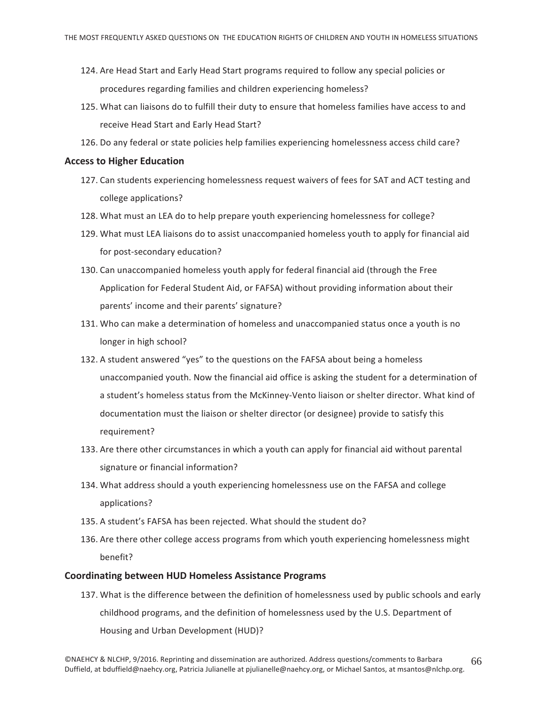- 124. Are Head Start and Early Head Start programs required to follow any special policies or procedures regarding families and children experiencing homeless?
- 125. What can liaisons do to fulfill their duty to ensure that homeless families have access to and receive Head Start and Early Head Start?
- 126. Do any federal or state policies help families experiencing homelessness access child care?

#### **Access to Higher Education**

- 127. Can students experiencing homelessness request waivers of fees for SAT and ACT testing and college applications?
- 128. What must an LEA do to help prepare youth experiencing homelessness for college?
- 129. What must LEA liaisons do to assist unaccompanied homeless youth to apply for financial aid for post-secondary education?
- 130. Can unaccompanied homeless youth apply for federal financial aid (through the Free Application for Federal Student Aid, or FAFSA) without providing information about their parents' income and their parents' signature?
- 131. Who can make a determination of homeless and unaccompanied status once a youth is no longer in high school?
- 132. A student answered "yes" to the questions on the FAFSA about being a homeless unaccompanied youth. Now the financial aid office is asking the student for a determination of a student's homeless status from the McKinney-Vento liaison or shelter director. What kind of documentation must the liaison or shelter director (or designee) provide to satisfy this requirement?
- 133. Are there other circumstances in which a youth can apply for financial aid without parental signature or financial information?
- 134. What address should a youth experiencing homelessness use on the FAFSA and college applications?
- 135. A student's FAFSA has been rejected. What should the student do?
- 136. Are there other college access programs from which youth experiencing homelessness might benefit?

#### **Coordinating between HUD Homeless Assistance Programs**

137. What is the difference between the definition of homelessness used by public schools and early childhood programs, and the definition of homelessness used by the U.S. Department of Housing and Urban Development (HUD)?